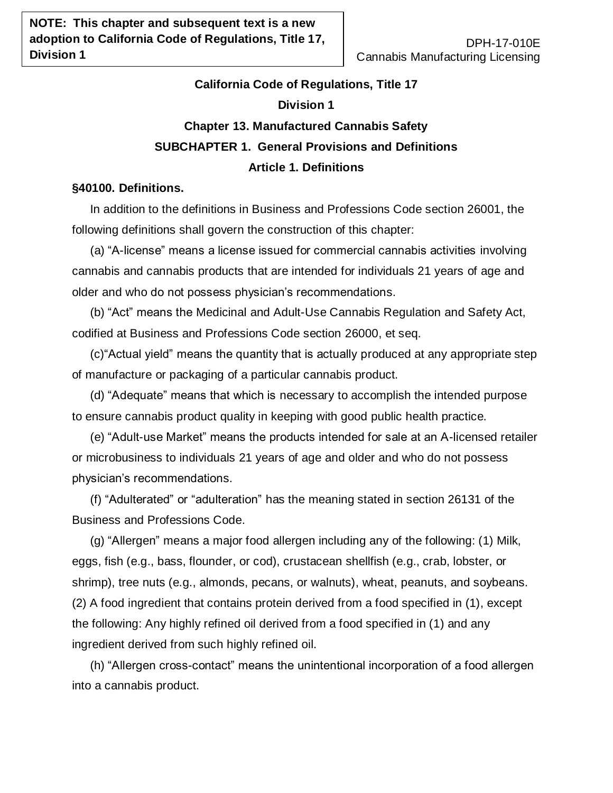# **California Code of Regulations, Title 17 Division 1 Chapter 13. Manufactured Cannabis Safety SUBCHAPTER 1. General Provisions and Definitions Article 1. Definitions**

## **§40100. Definitions.**

In addition to the definitions in Business and Professions Code section 26001, the following definitions shall govern the construction of this chapter:

(a) "A-license" means a license issued for commercial cannabis activities involving cannabis and cannabis products that are intended for individuals 21 years of age and older and who do not possess physician's recommendations.

(b) "Act" means the Medicinal and Adult-Use Cannabis Regulation and Safety Act, codified at Business and Professions Code section 26000, et seq.

(c)"Actual yield" means the quantity that is actually produced at any appropriate step of manufacture or packaging of a particular cannabis product.

(d) "Adequate" means that which is necessary to accomplish the intended purpose to ensure cannabis product quality in keeping with good public health practice.

(e) "Adult-use Market" means the products intended for sale at an A-licensed retailer or microbusiness to individuals 21 years of age and older and who do not possess physician's recommendations.

(f) "Adulterated" or "adulteration" has the meaning stated in section 26131 of the Business and Professions Code.

(g) "Allergen" means a major food allergen including any of the following: (1) Milk, eggs, fish (e.g., bass, flounder, or cod), crustacean shellfish (e.g., crab, lobster, or shrimp), tree nuts (e.g., almonds, pecans, or walnuts), wheat, peanuts, and soybeans. (2) A food ingredient that contains protein derived from a food specified in (1), except the following: Any highly refined oil derived from a food specified in (1) and any ingredient derived from such highly refined oil.

(h) "Allergen cross-contact" means the unintentional incorporation of a food allergen into a cannabis product.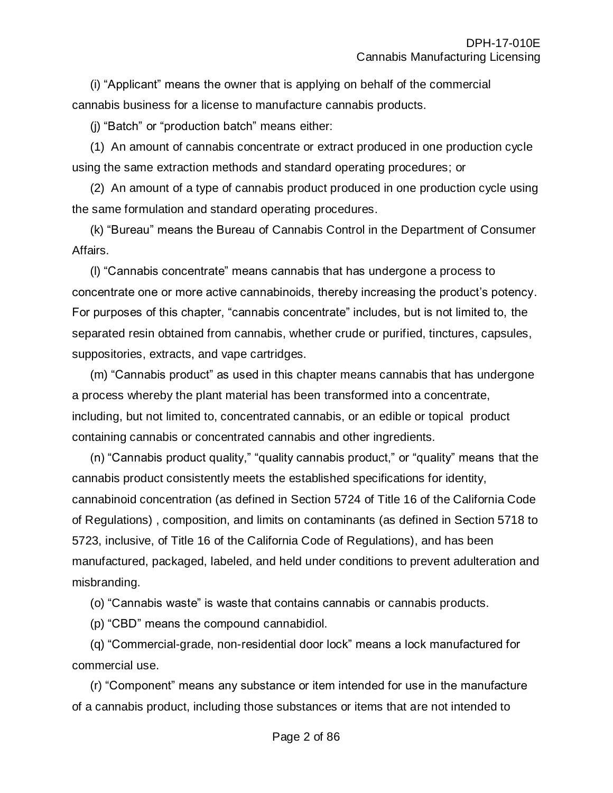(i) "Applicant" means the owner that is applying on behalf of the commercial cannabis business for a license to manufacture cannabis products.

(j) "Batch" or "production batch" means either:

(1) An amount of cannabis concentrate or extract produced in one production cycle using the same extraction methods and standard operating procedures; or

(2) An amount of a type of cannabis product produced in one production cycle using the same formulation and standard operating procedures.

(k) "Bureau" means the Bureau of Cannabis Control in the Department of Consumer Affairs.

(l) "Cannabis concentrate" means cannabis that has undergone a process to concentrate one or more active cannabinoids, thereby increasing the product's potency. For purposes of this chapter, "cannabis concentrate" includes, but is not limited to, the separated resin obtained from cannabis, whether crude or purified, tinctures, capsules, suppositories, extracts, and vape cartridges.

(m) "Cannabis product" as used in this chapter means cannabis that has undergone a process whereby the plant material has been transformed into a concentrate, including, but not limited to, concentrated cannabis, or an edible or topical product containing cannabis or concentrated cannabis and other ingredients.

(n) "Cannabis product quality," "quality cannabis product," or "quality" means that the cannabis product consistently meets the established specifications for identity, cannabinoid concentration (as defined in Section 5724 of Title 16 of the California Code of Regulations) , composition, and limits on contaminants (as defined in Section 5718 to 5723, inclusive, of Title 16 of the California Code of Regulations), and has been manufactured, packaged, labeled, and held under conditions to prevent adulteration and misbranding.

(o) "Cannabis waste" is waste that contains cannabis or cannabis products.

(p) "CBD" means the compound cannabidiol.

(q) "Commercial-grade, non-residential door lock" means a lock manufactured for commercial use.

(r) "Component" means any substance or item intended for use in the manufacture of a cannabis product, including those substances or items that are not intended to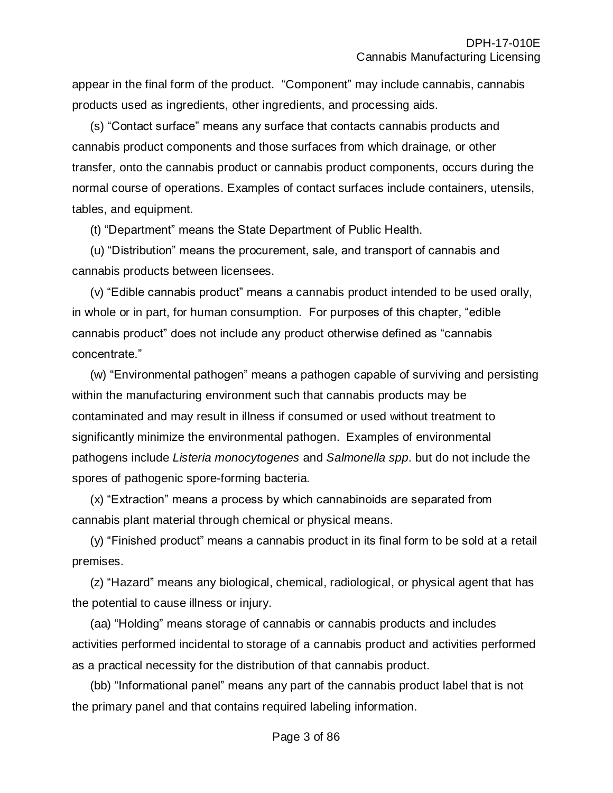appear in the final form of the product. "Component" may include cannabis, cannabis products used as ingredients, other ingredients, and processing aids.

(s) "Contact surface" means any surface that contacts cannabis products and cannabis product components and those surfaces from which drainage, or other transfer, onto the cannabis product or cannabis product components, occurs during the normal course of operations. Examples of contact surfaces include containers, utensils, tables, and equipment.

(t) "Department" means the State Department of Public Health.

(u) "Distribution" means the procurement, sale, and transport of cannabis and cannabis products between licensees.

(v) "Edible cannabis product" means a cannabis product intended to be used orally, in whole or in part, for human consumption. For purposes of this chapter, "edible cannabis product" does not include any product otherwise defined as "cannabis concentrate."

(w) "Environmental pathogen" means a pathogen capable of surviving and persisting within the manufacturing environment such that cannabis products may be contaminated and may result in illness if consumed or used without treatment to significantly minimize the environmental pathogen. Examples of environmental pathogens include *Listeria monocytogenes* and *Salmonella spp*. but do not include the spores of pathogenic spore-forming bacteria.

(x) "Extraction" means a process by which cannabinoids are separated from cannabis plant material through chemical or physical means.

(y) "Finished product" means a cannabis product in its final form to be sold at a retail premises.

(z) "Hazard" means any biological, chemical, radiological, or physical agent that has the potential to cause illness or injury.

(aa) "Holding" means storage of cannabis or cannabis products and includes activities performed incidental to storage of a cannabis product and activities performed as a practical necessity for the distribution of that cannabis product.

(bb) "Informational panel" means any part of the cannabis product label that is not the primary panel and that contains required labeling information.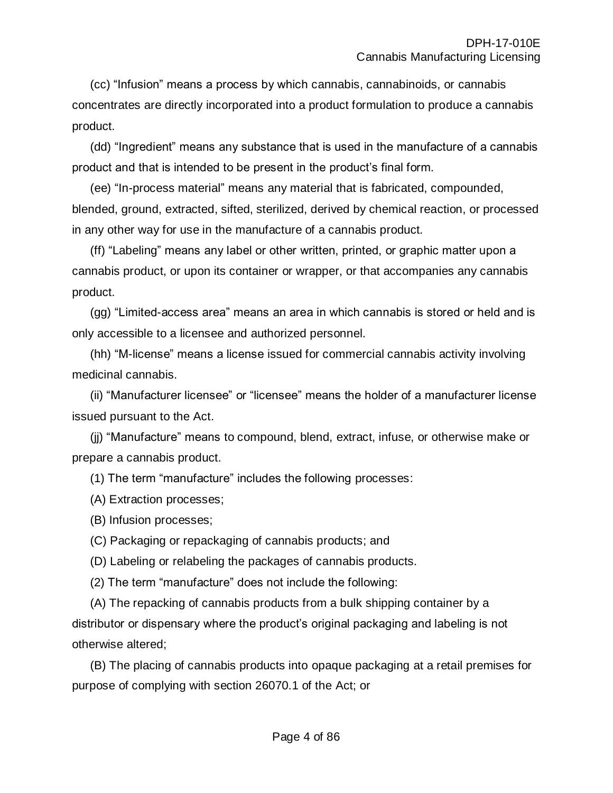(cc) "Infusion" means a process by which cannabis, cannabinoids, or cannabis concentrates are directly incorporated into a product formulation to produce a cannabis product.

(dd) "Ingredient" means any substance that is used in the manufacture of a cannabis product and that is intended to be present in the product's final form.

(ee) "In-process material" means any material that is fabricated, compounded, blended, ground, extracted, sifted, sterilized, derived by chemical reaction, or processed in any other way for use in the manufacture of a cannabis product.

(ff) "Labeling" means any label or other written, printed, or graphic matter upon a cannabis product, or upon its container or wrapper, or that accompanies any cannabis product.

(gg) "Limited-access area" means an area in which cannabis is stored or held and is only accessible to a licensee and authorized personnel.

(hh) "M-license" means a license issued for commercial cannabis activity involving medicinal cannabis.

(ii) "Manufacturer licensee" or "licensee" means the holder of a manufacturer license issued pursuant to the Act.

(jj) "Manufacture" means to compound, blend, extract, infuse, or otherwise make or prepare a cannabis product.

(1) The term "manufacture" includes the following processes:

(A) Extraction processes;

(B) Infusion processes;

(C) Packaging or repackaging of cannabis products; and

(D) Labeling or relabeling the packages of cannabis products.

(2) The term "manufacture" does not include the following:

(A) The repacking of cannabis products from a bulk shipping container by a distributor or dispensary where the product's original packaging and labeling is not otherwise altered;

(B) The placing of cannabis products into opaque packaging at a retail premises for purpose of complying with section 26070.1 of the Act; or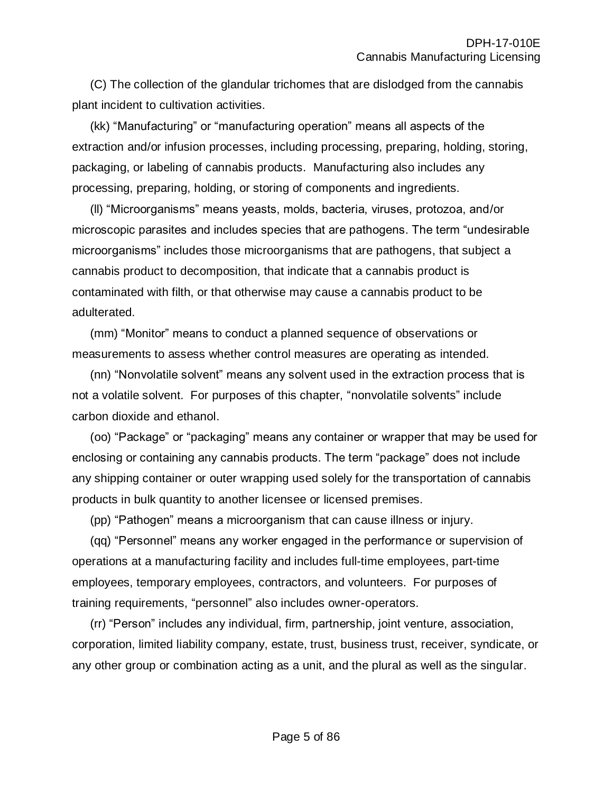(C) The collection of the glandular trichomes that are dislodged from the cannabis plant incident to cultivation activities.

(kk) "Manufacturing" or "manufacturing operation" means all aspects of the extraction and/or infusion processes, including processing, preparing, holding, storing, packaging, or labeling of cannabis products. Manufacturing also includes any processing, preparing, holding, or storing of components and ingredients.

(ll) "Microorganisms" means yeasts, molds, bacteria, viruses, protozoa, and/or microscopic parasites and includes species that are pathogens. The term "undesirable microorganisms" includes those microorganisms that are pathogens, that subject a cannabis product to decomposition, that indicate that a cannabis product is contaminated with filth, or that otherwise may cause a cannabis product to be adulterated.

(mm) "Monitor" means to conduct a planned sequence of observations or measurements to assess whether control measures are operating as intended.

(nn) "Nonvolatile solvent" means any solvent used in the extraction process that is not a volatile solvent. For purposes of this chapter, "nonvolatile solvents" include carbon dioxide and ethanol.

(oo) "Package" or "packaging" means any container or wrapper that may be used for enclosing or containing any cannabis products. The term "package" does not include any shipping container or outer wrapping used solely for the transportation of cannabis products in bulk quantity to another licensee or licensed premises.

(pp) "Pathogen" means a microorganism that can cause illness or injury.

(qq) "Personnel" means any worker engaged in the performance or supervision of operations at a manufacturing facility and includes full-time employees, part-time employees, temporary employees, contractors, and volunteers. For purposes of training requirements, "personnel" also includes owner-operators.

(rr) "Person" includes any individual, firm, partnership, joint venture, association, corporation, limited liability company, estate, trust, business trust, receiver, syndicate, or any other group or combination acting as a unit, and the plural as well as the singular.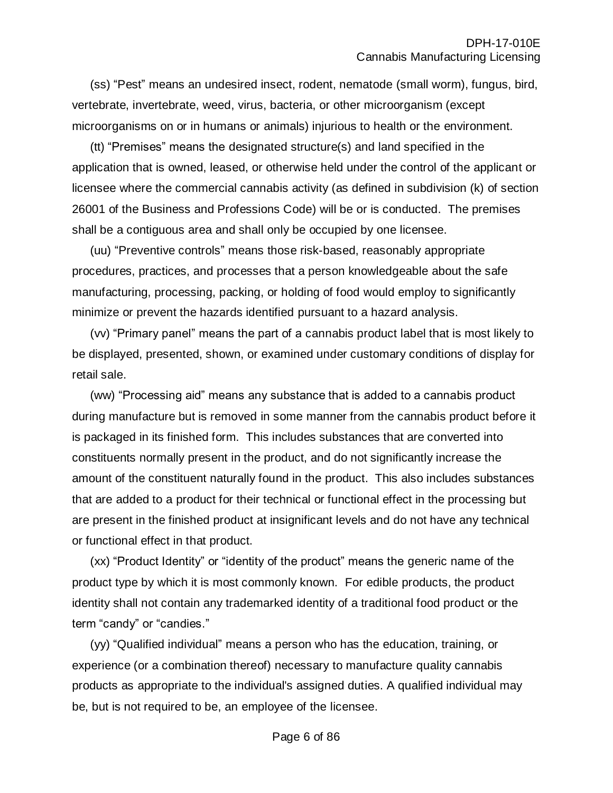(ss) "Pest" means an undesired insect, rodent, nematode (small worm), fungus, bird, vertebrate, invertebrate, weed, virus, bacteria, or other microorganism (except microorganisms on or in humans or animals) injurious to health or the environment.

(tt) "Premises" means the designated structure(s) and land specified in the application that is owned, leased, or otherwise held under the control of the applicant or licensee where the commercial cannabis activity (as defined in subdivision (k) of section 26001 of the Business and Professions Code) will be or is conducted. The premises shall be a contiguous area and shall only be occupied by one licensee.

(uu) "Preventive controls" means those risk-based, reasonably appropriate procedures, practices, and processes that a person knowledgeable about the safe manufacturing, processing, packing, or holding of food would employ to significantly minimize or prevent the hazards identified pursuant to a hazard analysis.

(vv) "Primary panel" means the part of a cannabis product label that is most likely to be displayed, presented, shown, or examined under customary conditions of display for retail sale.

(ww) "Processing aid" means any substance that is added to a cannabis product during manufacture but is removed in some manner from the cannabis product before it is packaged in its finished form. This includes substances that are converted into constituents normally present in the product, and do not significantly increase the amount of the constituent naturally found in the product. This also includes substances that are added to a product for their technical or functional effect in the processing but are present in the finished product at insignificant levels and do not have any technical or functional effect in that product.

(xx) "Product Identity" or "identity of the product" means the generic name of the product type by which it is most commonly known. For edible products, the product identity shall not contain any trademarked identity of a traditional food product or the term "candy" or "candies."

(yy) "Qualified individual" means a person who has the education, training, or experience (or a combination thereof) necessary to manufacture quality cannabis products as appropriate to the individual's assigned duties. A qualified individual may be, but is not required to be, an employee of the licensee.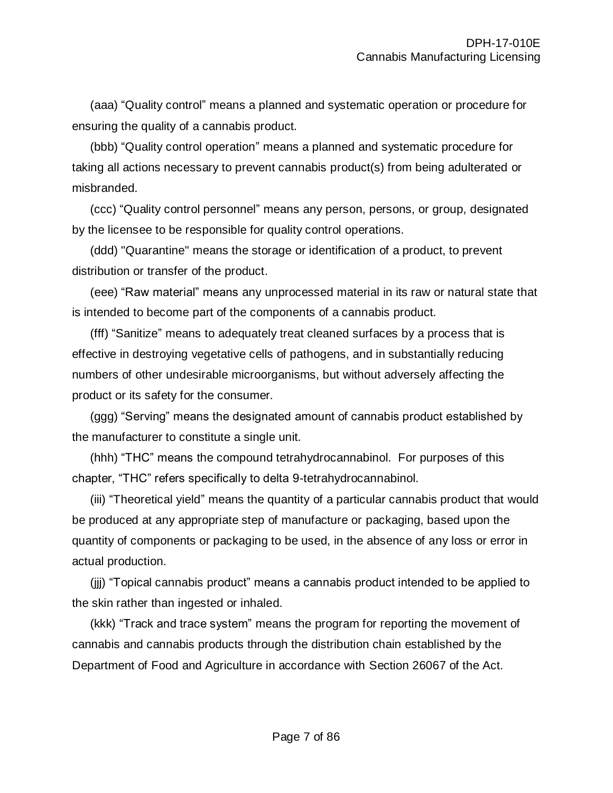(aaa) "Quality control" means a planned and systematic operation or procedure for ensuring the quality of a cannabis product.

(bbb) "Quality control operation" means a planned and systematic procedure for taking all actions necessary to prevent cannabis product(s) from being adulterated or misbranded.

(ccc) "Quality control personnel" means any person, persons, or group, designated by the licensee to be responsible for quality control operations.

(ddd) "Quarantine" means the storage or identification of a product, to prevent distribution or transfer of the product.

(eee) "Raw material" means any unprocessed material in its raw or natural state that is intended to become part of the components of a cannabis product.

(fff) "Sanitize" means to adequately treat cleaned surfaces by a process that is effective in destroying vegetative cells of pathogens, and in substantially reducing numbers of other undesirable microorganisms, but without adversely affecting the product or its safety for the consumer.

(ggg) "Serving" means the designated amount of cannabis product established by the manufacturer to constitute a single unit.

(hhh) "THC" means the compound tetrahydrocannabinol. For purposes of this chapter, "THC" refers specifically to delta 9-tetrahydrocannabinol.

(iii) "Theoretical yield" means the quantity of a particular cannabis product that would be produced at any appropriate step of manufacture or packaging, based upon the quantity of components or packaging to be used, in the absence of any loss or error in actual production.

(jjj) "Topical cannabis product" means a cannabis product intended to be applied to the skin rather than ingested or inhaled.

(kkk) "Track and trace system" means the program for reporting the movement of cannabis and cannabis products through the distribution chain established by the Department of Food and Agriculture in accordance with Section 26067 of the Act.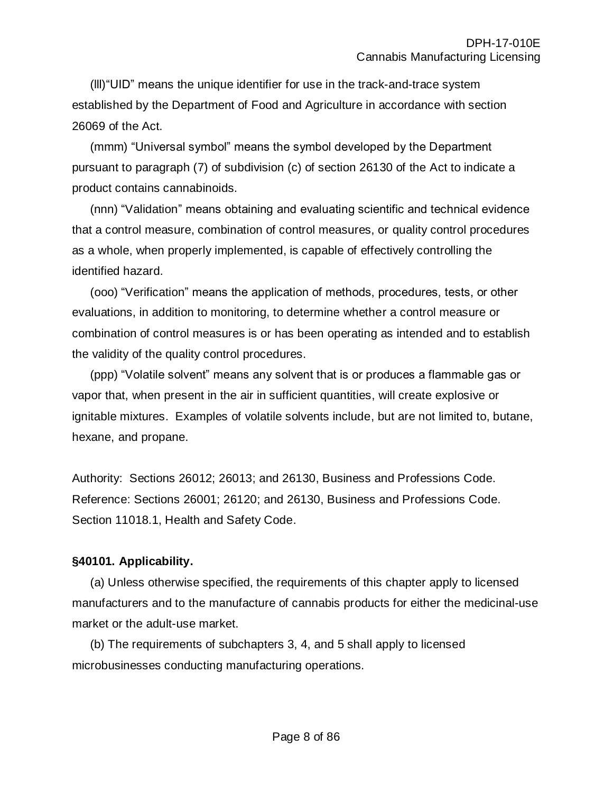(lll)"UID" means the unique identifier for use in the track-and-trace system established by the Department of Food and Agriculture in accordance with section 26069 of the Act.

(mmm) "Universal symbol" means the symbol developed by the Department pursuant to paragraph (7) of subdivision (c) of section 26130 of the Act to indicate a product contains cannabinoids.

(nnn) "Validation" means obtaining and evaluating scientific and technical evidence that a control measure, combination of control measures, or quality control procedures as a whole, when properly implemented, is capable of effectively controlling the identified hazard.

(ooo) "Verification" means the application of methods, procedures, tests, or other evaluations, in addition to monitoring, to determine whether a control measure or combination of control measures is or has been operating as intended and to establish the validity of the quality control procedures.

(ppp) "Volatile solvent" means any solvent that is or produces a flammable gas or vapor that, when present in the air in sufficient quantities, will create explosive or ignitable mixtures. Examples of volatile solvents include, but are not limited to, butane, hexane, and propane.

Authority: Sections 26012; 26013; and 26130, Business and Professions Code. Reference: Sections 26001; 26120; and 26130, Business and Professions Code. Section 11018.1, Health and Safety Code.

# **§40101. Applicability.**

(a) Unless otherwise specified, the requirements of this chapter apply to licensed manufacturers and to the manufacture of cannabis products for either the medicinal-use market or the adult-use market.

(b) The requirements of subchapters 3, 4, and 5 shall apply to licensed microbusinesses conducting manufacturing operations.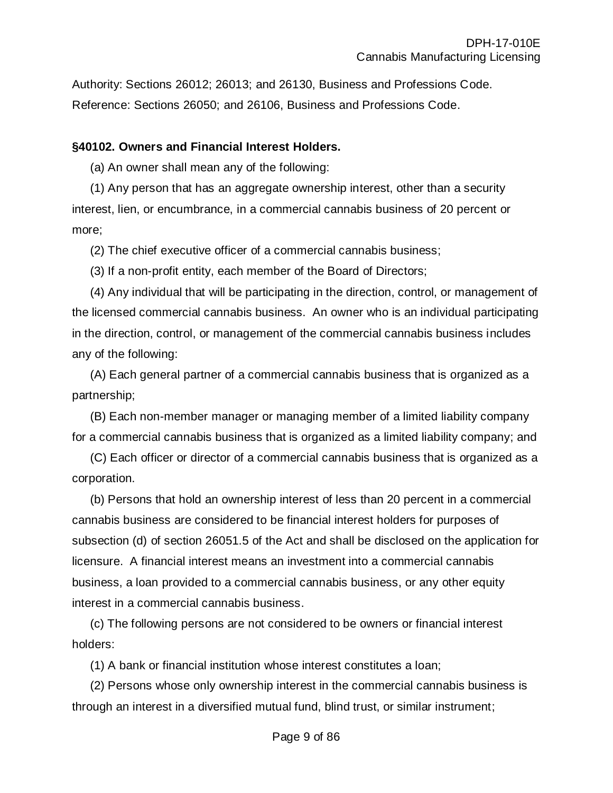Authority: Sections 26012; 26013; and 26130, Business and Professions Code. Reference: Sections 26050; and 26106, Business and Professions Code.

#### **§40102. Owners and Financial Interest Holders.**

(a) An owner shall mean any of the following:

(1) Any person that has an aggregate ownership interest, other than a security interest, lien, or encumbrance, in a commercial cannabis business of 20 percent or more;

(2) The chief executive officer of a commercial cannabis business;

(3) If a non-profit entity, each member of the Board of Directors;

(4) Any individual that will be participating in the direction, control, or management of the licensed commercial cannabis business. An owner who is an individual participating in the direction, control, or management of the commercial cannabis business includes any of the following:

(A) Each general partner of a commercial cannabis business that is organized as a partnership;

(B) Each non-member manager or managing member of a limited liability company for a commercial cannabis business that is organized as a limited liability company; and

(C) Each officer or director of a commercial cannabis business that is organized as a corporation.

(b) Persons that hold an ownership interest of less than 20 percent in a commercial cannabis business are considered to be financial interest holders for purposes of subsection (d) of section 26051.5 of the Act and shall be disclosed on the application for licensure. A financial interest means an investment into a commercial cannabis business, a loan provided to a commercial cannabis business, or any other equity interest in a commercial cannabis business.

(c) The following persons are not considered to be owners or financial interest holders:

(1) A bank or financial institution whose interest constitutes a loan;

(2) Persons whose only ownership interest in the commercial cannabis business is through an interest in a diversified mutual fund, blind trust, or similar instrument;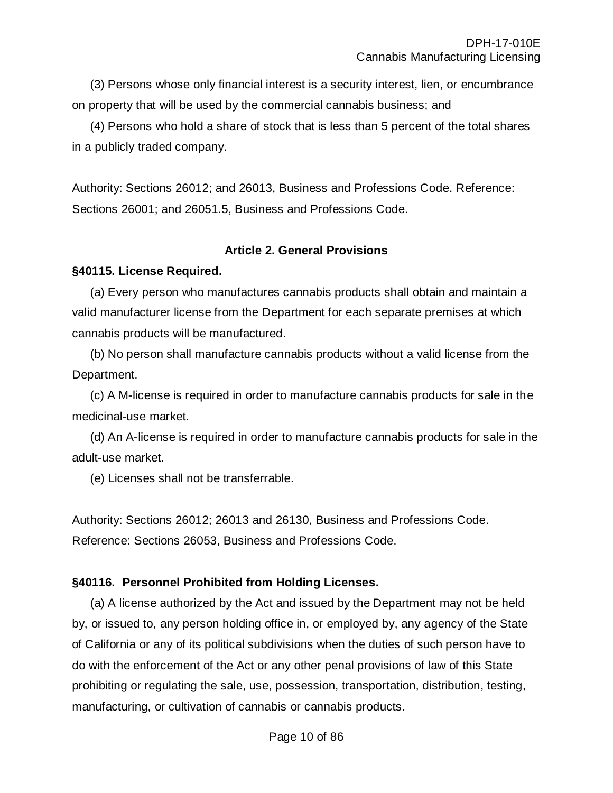(3) Persons whose only financial interest is a security interest, lien, or encumbrance on property that will be used by the commercial cannabis business; and

(4) Persons who hold a share of stock that is less than 5 percent of the total shares in a publicly traded company.

Authority: Sections 26012; and 26013, Business and Professions Code. Reference: Sections 26001; and 26051.5, Business and Professions Code.

#### **Article 2. General Provisions**

#### **§40115. License Required.**

(a) Every person who manufactures cannabis products shall obtain and maintain a valid manufacturer license from the Department for each separate premises at which cannabis products will be manufactured.

(b) No person shall manufacture cannabis products without a valid license from the Department.

(c) A M-license is required in order to manufacture cannabis products for sale in the medicinal-use market.

(d) An A-license is required in order to manufacture cannabis products for sale in the adult-use market.

(e) Licenses shall not be transferrable.

Authority: Sections 26012; 26013 and 26130, Business and Professions Code. Reference: Sections 26053, Business and Professions Code.

### **§40116. Personnel Prohibited from Holding Licenses.**

(a) A license authorized by the Act and issued by the Department may not be held by, or issued to, any person holding office in, or employed by, any agency of the State of California or any of its political subdivisions when the duties of such person have to do with the enforcement of the Act or any other penal provisions of law of this State prohibiting or regulating the sale, use, possession, transportation, distribution, testing, manufacturing, or cultivation of cannabis or cannabis products.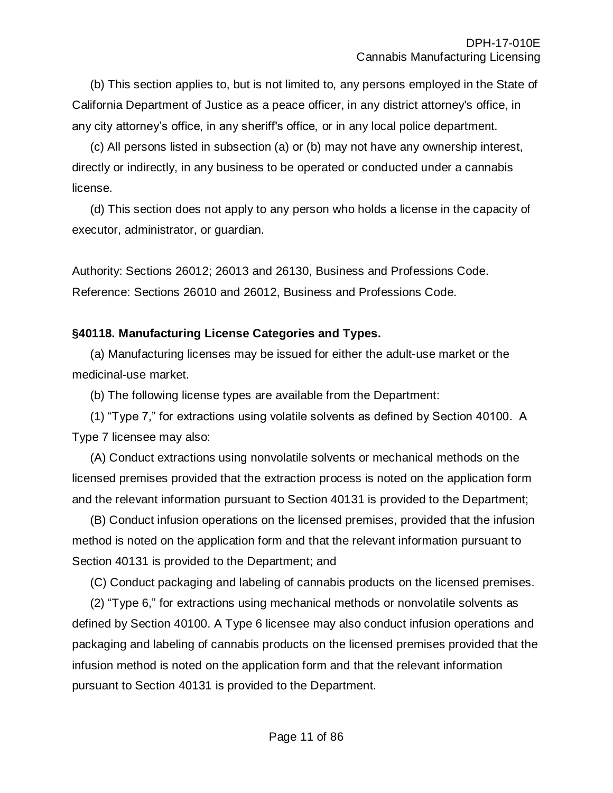(b) This section applies to, but is not limited to, any persons employed in the State of California Department of Justice as a peace officer, in any district attorney's office, in any city attorney's office, in any sheriff's office, or in any local police department.

(c) All persons listed in subsection (a) or (b) may not have any ownership interest, directly or indirectly, in any business to be operated or conducted under a cannabis license.

(d) This section does not apply to any person who holds a license in the capacity of executor, administrator, or guardian.

Authority: Sections 26012; 26013 and 26130, Business and Professions Code. Reference: Sections 26010 and 26012, Business and Professions Code.

## **§40118. Manufacturing License Categories and Types.**

(a) Manufacturing licenses may be issued for either the adult-use market or the medicinal-use market.

(b) The following license types are available from the Department:

(1) "Type 7," for extractions using volatile solvents as defined by Section 40100. A Type 7 licensee may also:

(A) Conduct extractions using nonvolatile solvents or mechanical methods on the licensed premises provided that the extraction process is noted on the application form and the relevant information pursuant to Section 40131 is provided to the Department;

(B) Conduct infusion operations on the licensed premises, provided that the infusion method is noted on the application form and that the relevant information pursuant to Section 40131 is provided to the Department; and

(C) Conduct packaging and labeling of cannabis products on the licensed premises.

(2) "Type 6," for extractions using mechanical methods or nonvolatile solvents as defined by Section 40100. A Type 6 licensee may also conduct infusion operations and packaging and labeling of cannabis products on the licensed premises provided that the infusion method is noted on the application form and that the relevant information pursuant to Section 40131 is provided to the Department.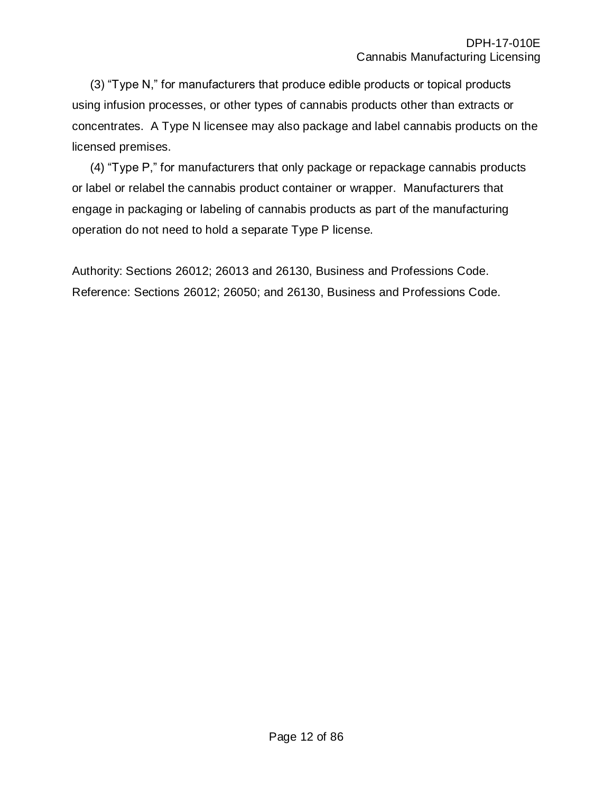(3) "Type N," for manufacturers that produce edible products or topical products using infusion processes, or other types of cannabis products other than extracts or concentrates. A Type N licensee may also package and label cannabis products on the licensed premises.

(4) "Type P," for manufacturers that only package or repackage cannabis products or label or relabel the cannabis product container or wrapper. Manufacturers that engage in packaging or labeling of cannabis products as part of the manufacturing operation do not need to hold a separate Type P license.

Authority: Sections 26012; 26013 and 26130, Business and Professions Code. Reference: Sections 26012; 26050; and 26130, Business and Professions Code.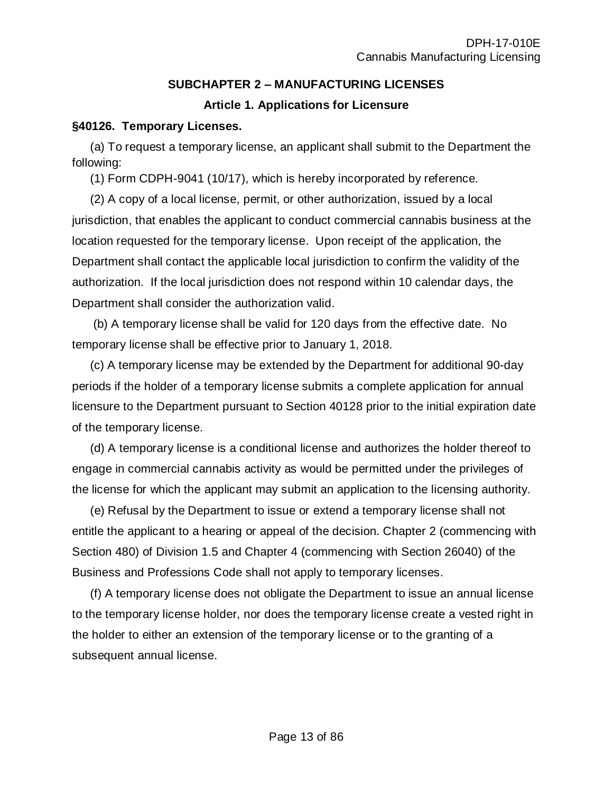## **SUBCHAPTER 2 – MANUFACTURING LICENSES**

## **Article 1. Applications for Licensure**

### **§40126. Temporary Licenses.**

(a) To request a temporary license, an applicant shall submit to the Department the following:

(1) Form CDPH-9041 (10/17), which is hereby incorporated by reference.

(2) A copy of a local license, permit, or other authorization, issued by a local jurisdiction, that enables the applicant to conduct commercial cannabis business at the location requested for the temporary license. Upon receipt of the application, the Department shall contact the applicable local jurisdiction to confirm the validity of the authorization. If the local jurisdiction does not respond within 10 calendar days, the Department shall consider the authorization valid.

(b) A temporary license shall be valid for 120 days from the effective date. No temporary license shall be effective prior to January 1, 2018.

(c) A temporary license may be extended by the Department for additional 90-day periods if the holder of a temporary license submits a complete application for annual licensure to the Department pursuant to Section 40128 prior to the initial expiration date of the temporary license.

(d) A temporary license is a conditional license and authorizes the holder thereof to engage in commercial cannabis activity as would be permitted under the privileges of the license for which the applicant may submit an application to the licensing authority.

(e) Refusal by the Department to issue or extend a temporary license shall not entitle the applicant to a hearing or appeal of the decision. Chapter 2 (commencing with Section 480) of Division 1.5 and Chapter 4 (commencing with Section 26040) of the Business and Professions Code shall not apply to temporary licenses.

(f) A temporary license does not obligate the Department to issue an annual license to the temporary license holder, nor does the temporary license create a vested right in the holder to either an extension of the temporary license or to the granting of a subsequent annual license.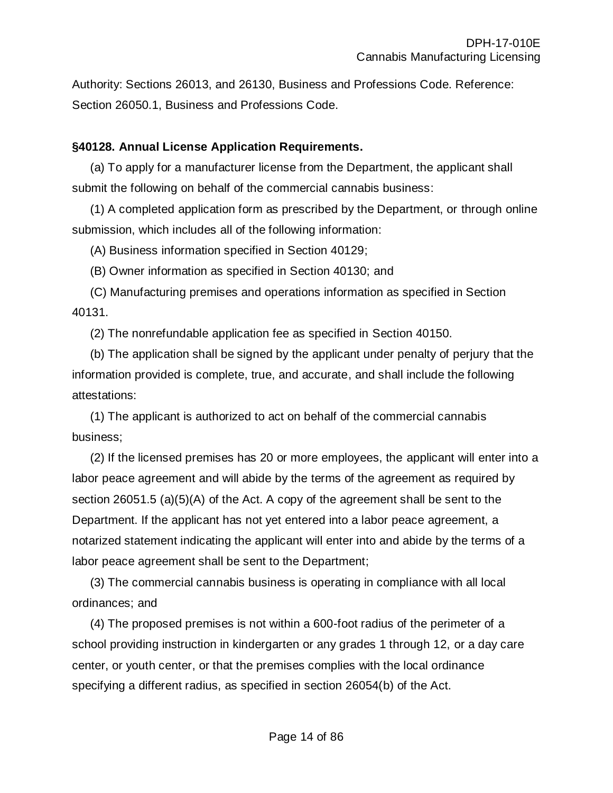Authority: Sections 26013, and 26130, Business and Professions Code. Reference: Section 26050.1, Business and Professions Code.

### **§40128. Annual License Application Requirements.**

(a) To apply for a manufacturer license from the Department, the applicant shall submit the following on behalf of the commercial cannabis business:

(1) A completed application form as prescribed by the Department, or through online submission, which includes all of the following information:

(A) Business information specified in Section 40129;

(B) Owner information as specified in Section 40130; and

(C) Manufacturing premises and operations information as specified in Section 40131.

(2) The nonrefundable application fee as specified in Section 40150.

(b) The application shall be signed by the applicant under penalty of perjury that the information provided is complete, true, and accurate, and shall include the following attestations:

(1) The applicant is authorized to act on behalf of the commercial cannabis business;

(2) If the licensed premises has 20 or more employees, the applicant will enter into a labor peace agreement and will abide by the terms of the agreement as required by section 26051.5 (a)(5)(A) of the Act. A copy of the agreement shall be sent to the Department. If the applicant has not yet entered into a labor peace agreement, a notarized statement indicating the applicant will enter into and abide by the terms of a labor peace agreement shall be sent to the Department;

(3) The commercial cannabis business is operating in compliance with all local ordinances; and

(4) The proposed premises is not within a 600-foot radius of the perimeter of a school providing instruction in kindergarten or any grades 1 through 12, or a day care center, or youth center, or that the premises complies with the local ordinance specifying a different radius, as specified in section 26054(b) of the Act.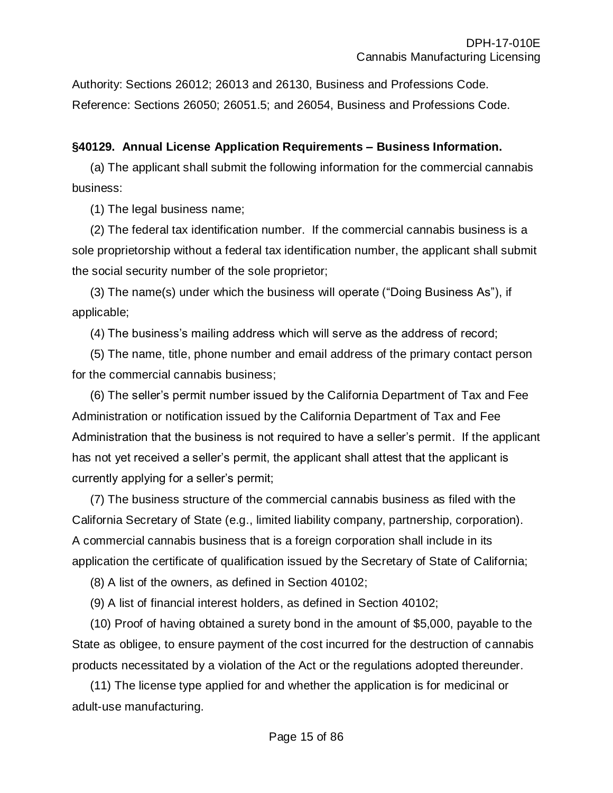Authority: Sections 26012; 26013 and 26130, Business and Professions Code. Reference: Sections 26050; 26051.5; and 26054, Business and Professions Code.

## **§40129. Annual License Application Requirements – Business Information.**

(a) The applicant shall submit the following information for the commercial cannabis business:

(1) The legal business name;

(2) The federal tax identification number. If the commercial cannabis business is a sole proprietorship without a federal tax identification number, the applicant shall submit the social security number of the sole proprietor;

(3) The name(s) under which the business will operate ("Doing Business As"), if applicable;

(4) The business's mailing address which will serve as the address of record;

(5) The name, title, phone number and email address of the primary contact person for the commercial cannabis business;

(6) The seller's permit number issued by the California Department of Tax and Fee Administration or notification issued by the California Department of Tax and Fee Administration that the business is not required to have a seller's permit. If the applicant has not yet received a seller's permit, the applicant shall attest that the applicant is currently applying for a seller's permit;

(7) The business structure of the commercial cannabis business as filed with the California Secretary of State (e.g., limited liability company, partnership, corporation). A commercial cannabis business that is a foreign corporation shall include in its application the certificate of qualification issued by the Secretary of State of California;

(8) A list of the owners, as defined in Section 40102;

(9) A list of financial interest holders, as defined in Section 40102;

(10) Proof of having obtained a surety bond in the amount of \$5,000, payable to the State as obligee, to ensure payment of the cost incurred for the destruction of cannabis products necessitated by a violation of the Act or the regulations adopted thereunder.

(11) The license type applied for and whether the application is for medicinal or adult-use manufacturing.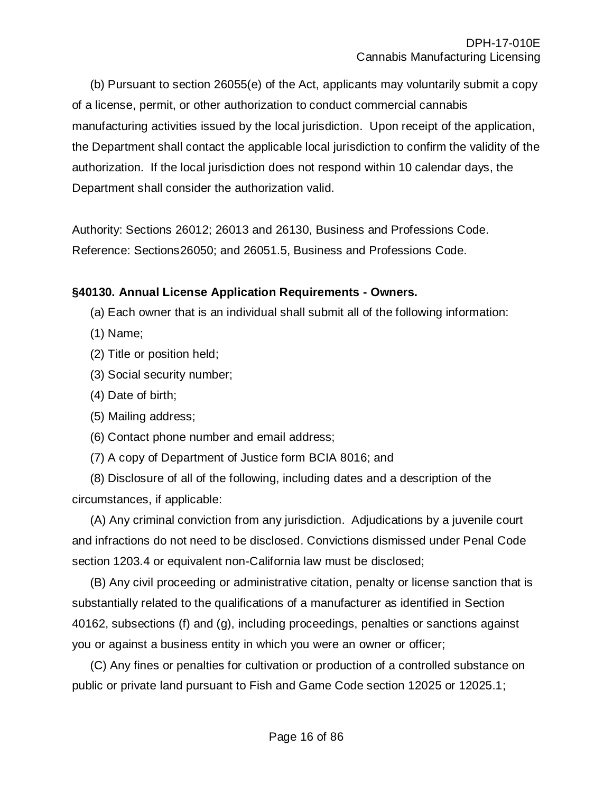(b) Pursuant to section 26055(e) of the Act, applicants may voluntarily submit a copy of a license, permit, or other authorization to conduct commercial cannabis manufacturing activities issued by the local jurisdiction. Upon receipt of the application, the Department shall contact the applicable local jurisdiction to confirm the validity of the authorization. If the local jurisdiction does not respond within 10 calendar days, the Department shall consider the authorization valid.

Authority: Sections 26012; 26013 and 26130, Business and Professions Code. Reference: Sections26050; and 26051.5, Business and Professions Code.

## **§40130. Annual License Application Requirements - Owners.**

- (a) Each owner that is an individual shall submit all of the following information:
- (1) Name;
- (2) Title or position held;
- (3) Social security number;
- (4) Date of birth;
- (5) Mailing address;
- (6) Contact phone number and email address;
- (7) A copy of Department of Justice form BCIA 8016; and

(8) Disclosure of all of the following, including dates and a description of the circumstances, if applicable:

(A) Any criminal conviction from any jurisdiction. Adjudications by a juvenile court and infractions do not need to be disclosed. Convictions dismissed under Penal Code section 1203.4 or equivalent non-California law must be disclosed;

(B) Any civil proceeding or administrative citation, penalty or license sanction that is substantially related to the qualifications of a manufacturer as identified in Section 40162, subsections (f) and (g), including proceedings, penalties or sanctions against you or against a business entity in which you were an owner or officer;

(C) Any fines or penalties for cultivation or production of a controlled substance on public or private land pursuant to Fish and Game Code section 12025 or 12025.1;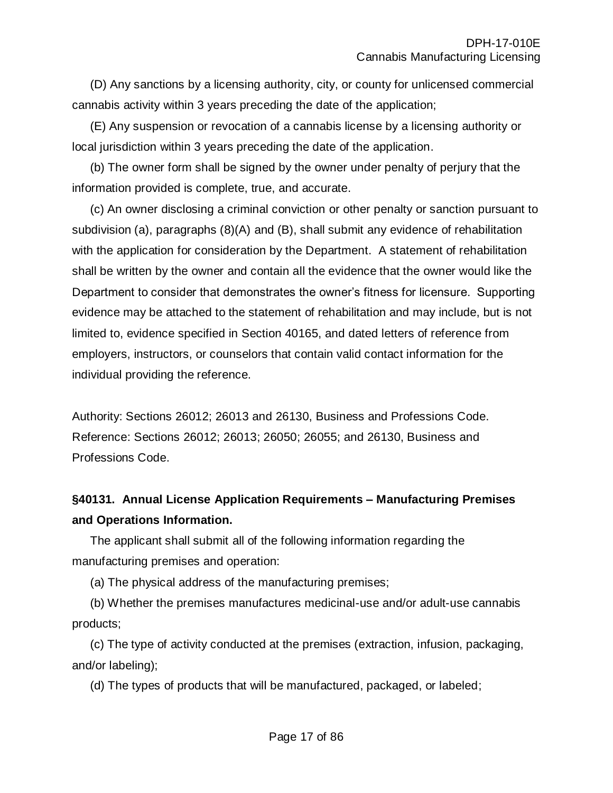(D) Any sanctions by a licensing authority, city, or county for unlicensed commercial cannabis activity within 3 years preceding the date of the application;

(E) Any suspension or revocation of a cannabis license by a licensing authority or local jurisdiction within 3 years preceding the date of the application.

(b) The owner form shall be signed by the owner under penalty of perjury that the information provided is complete, true, and accurate.

(c) An owner disclosing a criminal conviction or other penalty or sanction pursuant to subdivision (a), paragraphs (8)(A) and (B), shall submit any evidence of rehabilitation with the application for consideration by the Department. A statement of rehabilitation shall be written by the owner and contain all the evidence that the owner would like the Department to consider that demonstrates the owner's fitness for licensure. Supporting evidence may be attached to the statement of rehabilitation and may include, but is not limited to, evidence specified in Section 40165, and dated letters of reference from employers, instructors, or counselors that contain valid contact information for the individual providing the reference.

Authority: Sections 26012; 26013 and 26130, Business and Professions Code. Reference: Sections 26012; 26013; 26050; 26055; and 26130, Business and Professions Code.

# **§40131. Annual License Application Requirements – Manufacturing Premises and Operations Information.**

The applicant shall submit all of the following information regarding the manufacturing premises and operation:

(a) The physical address of the manufacturing premises;

(b) Whether the premises manufactures medicinal-use and/or adult-use cannabis products;

(c) The type of activity conducted at the premises (extraction, infusion, packaging, and/or labeling);

(d) The types of products that will be manufactured, packaged, or labeled;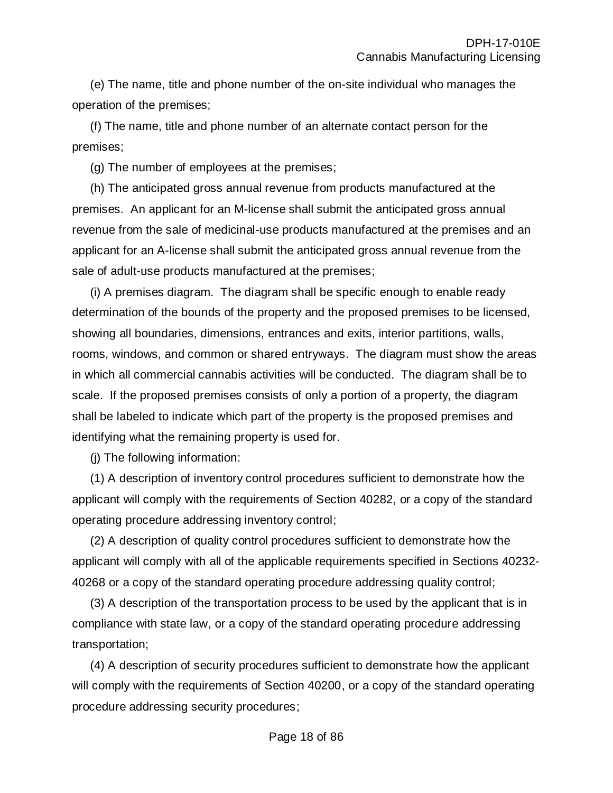(e) The name, title and phone number of the on-site individual who manages the operation of the premises;

(f) The name, title and phone number of an alternate contact person for the premises;

(g) The number of employees at the premises;

(h) The anticipated gross annual revenue from products manufactured at the premises. An applicant for an M-license shall submit the anticipated gross annual revenue from the sale of medicinal-use products manufactured at the premises and an applicant for an A-license shall submit the anticipated gross annual revenue from the sale of adult-use products manufactured at the premises;

(i) A premises diagram. The diagram shall be specific enough to enable ready determination of the bounds of the property and the proposed premises to be licensed, showing all boundaries, dimensions, entrances and exits, interior partitions, walls, rooms, windows, and common or shared entryways. The diagram must show the areas in which all commercial cannabis activities will be conducted. The diagram shall be to scale. If the proposed premises consists of only a portion of a property, the diagram shall be labeled to indicate which part of the property is the proposed premises and identifying what the remaining property is used for.

(j) The following information:

(1) A description of inventory control procedures sufficient to demonstrate how the applicant will comply with the requirements of Section 40282, or a copy of the standard operating procedure addressing inventory control;

(2) A description of quality control procedures sufficient to demonstrate how the applicant will comply with all of the applicable requirements specified in Sections 40232- 40268 or a copy of the standard operating procedure addressing quality control;

(3) A description of the transportation process to be used by the applicant that is in compliance with state law, or a copy of the standard operating procedure addressing transportation;

(4) A description of security procedures sufficient to demonstrate how the applicant will comply with the requirements of Section 40200, or a copy of the standard operating procedure addressing security procedures;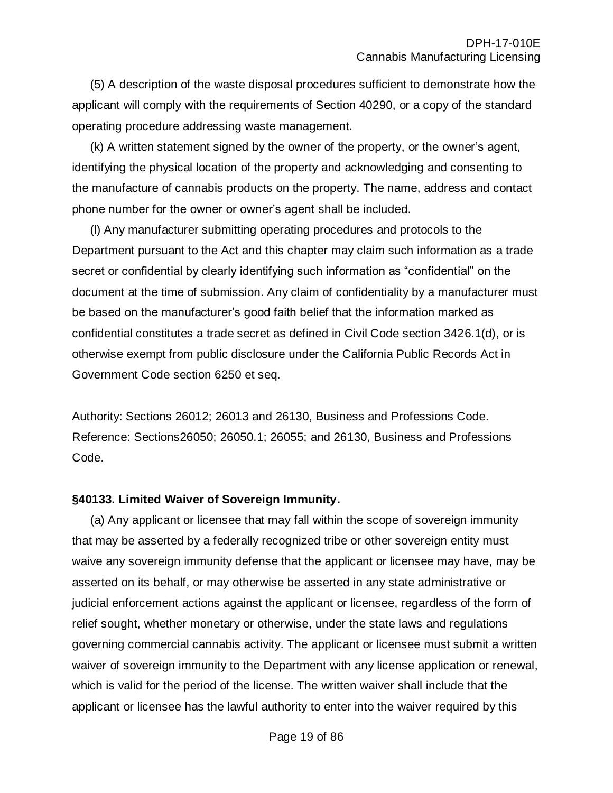(5) A description of the waste disposal procedures sufficient to demonstrate how the applicant will comply with the requirements of Section 40290, or a copy of the standard operating procedure addressing waste management.

(k) A written statement signed by the owner of the property, or the owner's agent, identifying the physical location of the property and acknowledging and consenting to the manufacture of cannabis products on the property. The name, address and contact phone number for the owner or owner's agent shall be included.

(l) Any manufacturer submitting operating procedures and protocols to the Department pursuant to the Act and this chapter may claim such information as a trade secret or confidential by clearly identifying such information as "confidential" on the document at the time of submission. Any claim of confidentiality by a manufacturer must be based on the manufacturer's good faith belief that the information marked as confidential constitutes a trade secret as defined in Civil Code section 3426.1(d), or is otherwise exempt from public disclosure under the California Public Records Act in Government Code section 6250 et seq.

Authority: Sections 26012; 26013 and 26130, Business and Professions Code. Reference: Sections26050; 26050.1; 26055; and 26130, Business and Professions Code.

#### **§40133. Limited Waiver of Sovereign Immunity.**

(a) Any applicant or licensee that may fall within the scope of sovereign immunity that may be asserted by a federally recognized tribe or other sovereign entity must waive any sovereign immunity defense that the applicant or licensee may have, may be asserted on its behalf, or may otherwise be asserted in any state administrative or judicial enforcement actions against the applicant or licensee, regardless of the form of relief sought, whether monetary or otherwise, under the state laws and regulations governing commercial cannabis activity. The applicant or licensee must submit a written waiver of sovereign immunity to the Department with any license application or renewal, which is valid for the period of the license. The written waiver shall include that the applicant or licensee has the lawful authority to enter into the waiver required by this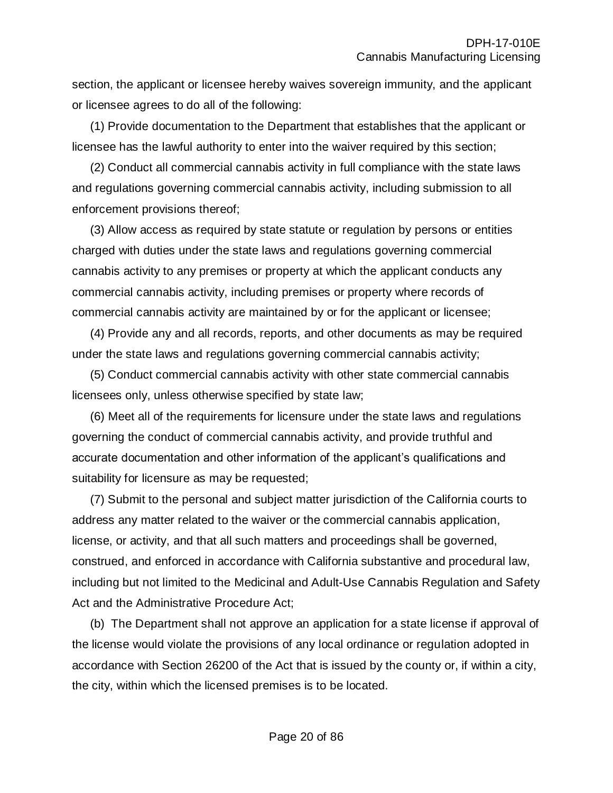section, the applicant or licensee hereby waives sovereign immunity, and the applicant or licensee agrees to do all of the following:

(1) Provide documentation to the Department that establishes that the applicant or licensee has the lawful authority to enter into the waiver required by this section;

(2) Conduct all commercial cannabis activity in full compliance with the state laws and regulations governing commercial cannabis activity, including submission to all enforcement provisions thereof;

(3) Allow access as required by state statute or regulation by persons or entities charged with duties under the state laws and regulations governing commercial cannabis activity to any premises or property at which the applicant conducts any commercial cannabis activity, including premises or property where records of commercial cannabis activity are maintained by or for the applicant or licensee;

(4) Provide any and all records, reports, and other documents as may be required under the state laws and regulations governing commercial cannabis activity;

(5) Conduct commercial cannabis activity with other state commercial cannabis licensees only, unless otherwise specified by state law;

(6) Meet all of the requirements for licensure under the state laws and regulations governing the conduct of commercial cannabis activity, and provide truthful and accurate documentation and other information of the applicant's qualifications and suitability for licensure as may be requested;

(7) Submit to the personal and subject matter jurisdiction of the California courts to address any matter related to the waiver or the commercial cannabis application, license, or activity, and that all such matters and proceedings shall be governed, construed, and enforced in accordance with California substantive and procedural law, including but not limited to the Medicinal and Adult-Use Cannabis Regulation and Safety Act and the Administrative Procedure Act;

(b) The Department shall not approve an application for a state license if approval of the license would violate the provisions of any local ordinance or regulation adopted in accordance with Section 26200 of the Act that is issued by the county or, if within a city, the city, within which the licensed premises is to be located.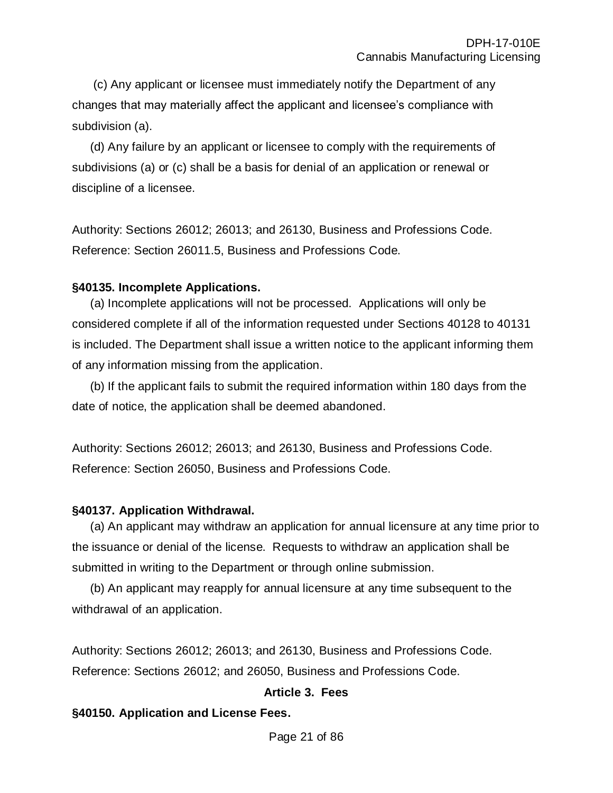(c) Any applicant or licensee must immediately notify the Department of any changes that may materially affect the applicant and licensee's compliance with subdivision (a).

(d) Any failure by an applicant or licensee to comply with the requirements of subdivisions (a) or (c) shall be a basis for denial of an application or renewal or discipline of a licensee.

Authority: Sections 26012; 26013; and 26130, Business and Professions Code. Reference: Section 26011.5, Business and Professions Code.

### **§40135. Incomplete Applications.**

(a) Incomplete applications will not be processed. Applications will only be considered complete if all of the information requested under Sections 40128 to 40131 is included. The Department shall issue a written notice to the applicant informing them of any information missing from the application.

(b) If the applicant fails to submit the required information within 180 days from the date of notice, the application shall be deemed abandoned.

Authority: Sections 26012; 26013; and 26130, Business and Professions Code. Reference: Section 26050, Business and Professions Code.

# **§40137. Application Withdrawal.**

(a) An applicant may withdraw an application for annual licensure at any time prior to the issuance or denial of the license. Requests to withdraw an application shall be submitted in writing to the Department or through online submission.

(b) An applicant may reapply for annual licensure at any time subsequent to the withdrawal of an application.

Authority: Sections 26012; 26013; and 26130, Business and Professions Code. Reference: Sections 26012; and 26050, Business and Professions Code.

# **Article 3. Fees**

# **§40150. Application and License Fees.**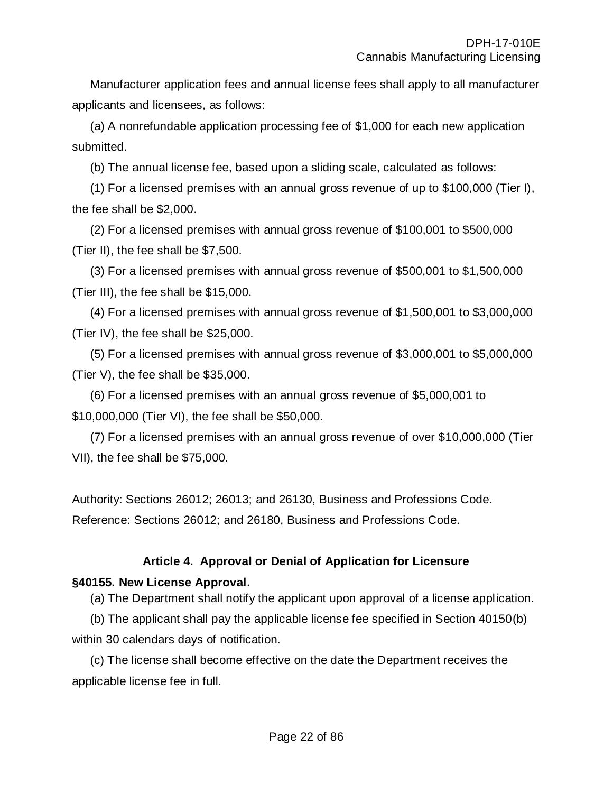Manufacturer application fees and annual license fees shall apply to all manufacturer applicants and licensees, as follows:

(a) A nonrefundable application processing fee of \$1,000 for each new application submitted.

(b) The annual license fee, based upon a sliding scale, calculated as follows:

(1) For a licensed premises with an annual gross revenue of up to \$100,000 (Tier I), the fee shall be \$2,000.

(2) For a licensed premises with annual gross revenue of \$100,001 to \$500,000 (Tier II), the fee shall be \$7,500.

(3) For a licensed premises with annual gross revenue of \$500,001 to \$1,500,000 (Tier III), the fee shall be \$15,000.

(4) For a licensed premises with annual gross revenue of \$1,500,001 to \$3,000,000 (Tier IV), the fee shall be \$25,000.

(5) For a licensed premises with annual gross revenue of \$3,000,001 to \$5,000,000 (Tier V), the fee shall be \$35,000.

(6) For a licensed premises with an annual gross revenue of \$5,000,001 to \$10,000,000 (Tier VI), the fee shall be \$50,000.

(7) For a licensed premises with an annual gross revenue of over \$10,000,000 (Tier VII), the fee shall be \$75,000.

Authority: Sections 26012; 26013; and 26130, Business and Professions Code. Reference: Sections 26012; and 26180, Business and Professions Code.

# **Article 4. Approval or Denial of Application for Licensure**

# **§40155. New License Approval.**

(a) The Department shall notify the applicant upon approval of a license application.

(b) The applicant shall pay the applicable license fee specified in Section 40150(b) within 30 calendars days of notification.

(c) The license shall become effective on the date the Department receives the applicable license fee in full.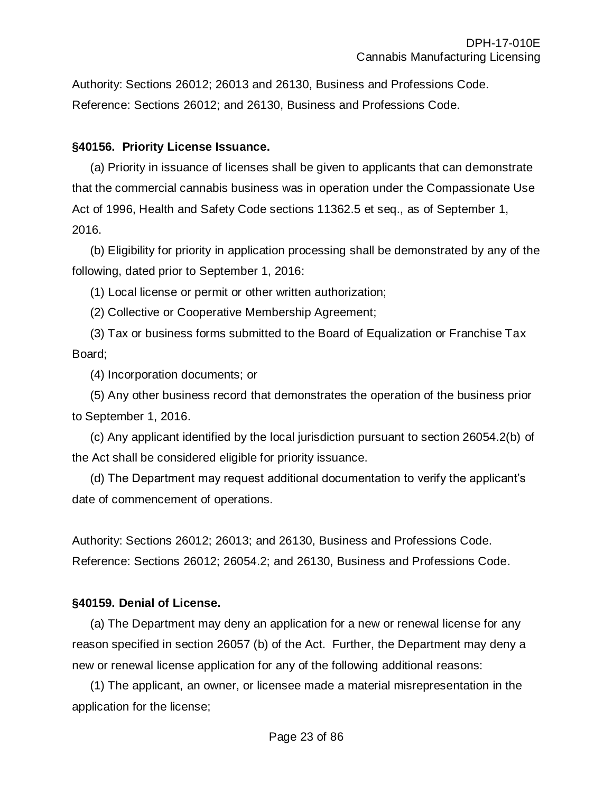Authority: Sections 26012; 26013 and 26130, Business and Professions Code. Reference: Sections 26012; and 26130, Business and Professions Code.

#### **§40156. Priority License Issuance.**

(a) Priority in issuance of licenses shall be given to applicants that can demonstrate that the commercial cannabis business was in operation under the Compassionate Use Act of 1996, Health and Safety Code sections 11362.5 et seq., as of September 1, 2016.

(b) Eligibility for priority in application processing shall be demonstrated by any of the following, dated prior to September 1, 2016:

(1) Local license or permit or other written authorization;

(2) Collective or Cooperative Membership Agreement;

(3) Tax or business forms submitted to the Board of Equalization or Franchise Tax Board;

(4) Incorporation documents; or

(5) Any other business record that demonstrates the operation of the business prior to September 1, 2016.

(c) Any applicant identified by the local jurisdiction pursuant to section 26054.2(b) of the Act shall be considered eligible for priority issuance.

(d) The Department may request additional documentation to verify the applicant's date of commencement of operations.

Authority: Sections 26012; 26013; and 26130, Business and Professions Code. Reference: Sections 26012; 26054.2; and 26130, Business and Professions Code.

#### **§40159. Denial of License.**

(a) The Department may deny an application for a new or renewal license for any reason specified in section 26057 (b) of the Act. Further, the Department may deny a new or renewal license application for any of the following additional reasons:

(1) The applicant, an owner, or licensee made a material misrepresentation in the application for the license;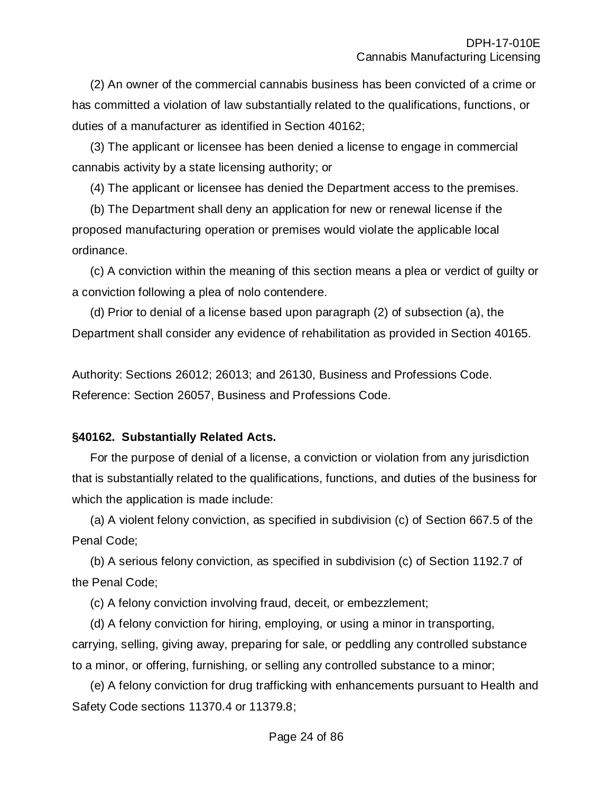(2) An owner of the commercial cannabis business has been convicted of a crime or has committed a violation of law substantially related to the qualifications, functions, or duties of a manufacturer as identified in Section 40162;

(3) The applicant or licensee has been denied a license to engage in commercial cannabis activity by a state licensing authority; or

(4) The applicant or licensee has denied the Department access to the premises.

(b) The Department shall deny an application for new or renewal license if the proposed manufacturing operation or premises would violate the applicable local ordinance.

(c) A conviction within the meaning of this section means a plea or verdict of guilty or a conviction following a plea of nolo contendere.

(d) Prior to denial of a license based upon paragraph (2) of subsection (a), the Department shall consider any evidence of rehabilitation as provided in Section 40165.

Authority: Sections 26012; 26013; and 26130, Business and Professions Code. Reference: Section 26057, Business and Professions Code.

# **§40162. Substantially Related Acts.**

For the purpose of denial of a license, a conviction or violation from any jurisdiction that is substantially related to the qualifications, functions, and duties of the business for which the application is made include:

(a) A violent felony conviction, as specified in subdivision (c) of Section 667.5 of the Penal Code;

(b) A serious felony conviction, as specified in subdivision (c) of Section 1192.7 of the Penal Code;

(c) A felony conviction involving fraud, deceit, or embezzlement;

(d) A felony conviction for hiring, employing, or using a minor in transporting, carrying, selling, giving away, preparing for sale, or peddling any controlled substance to a minor, or offering, furnishing, or selling any controlled substance to a minor;

(e) A felony conviction for drug trafficking with enhancements pursuant to Health and Safety Code sections 11370.4 or 11379.8;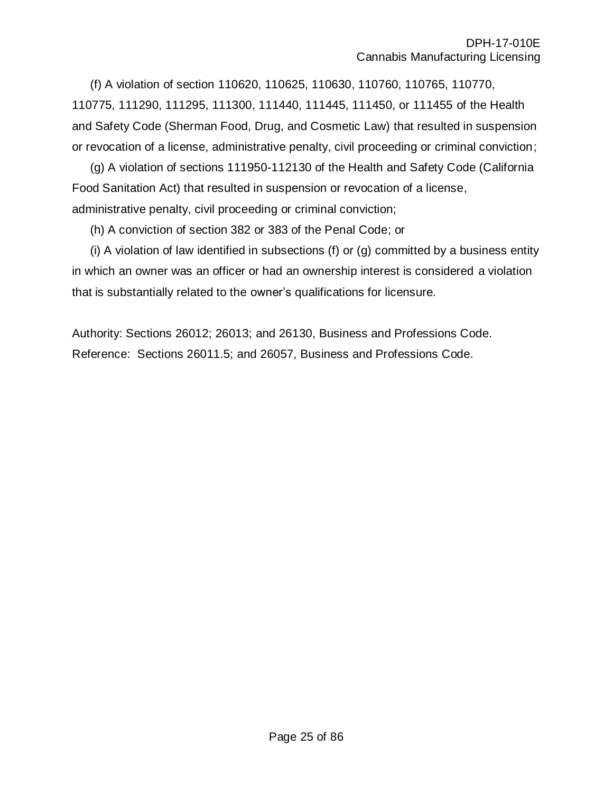(f) A violation of section 110620, 110625, 110630, 110760, 110765, 110770, 110775, 111290, 111295, 111300, 111440, 111445, 111450, or 111455 of the Health and Safety Code (Sherman Food, Drug, and Cosmetic Law) that resulted in suspension or revocation of a license, administrative penalty, civil proceeding or criminal conviction;

(g) A violation of sections 111950-112130 of the Health and Safety Code (California Food Sanitation Act) that resulted in suspension or revocation of a license, administrative penalty, civil proceeding or criminal conviction;

(h) A conviction of section 382 or 383 of the Penal Code; or

(i) A violation of law identified in subsections (f) or (g) committed by a business entity in which an owner was an officer or had an ownership interest is considered a violation that is substantially related to the owner's qualifications for licensure.

Authority: Sections 26012; 26013; and 26130, Business and Professions Code. Reference: Sections 26011.5; and 26057, Business and Professions Code.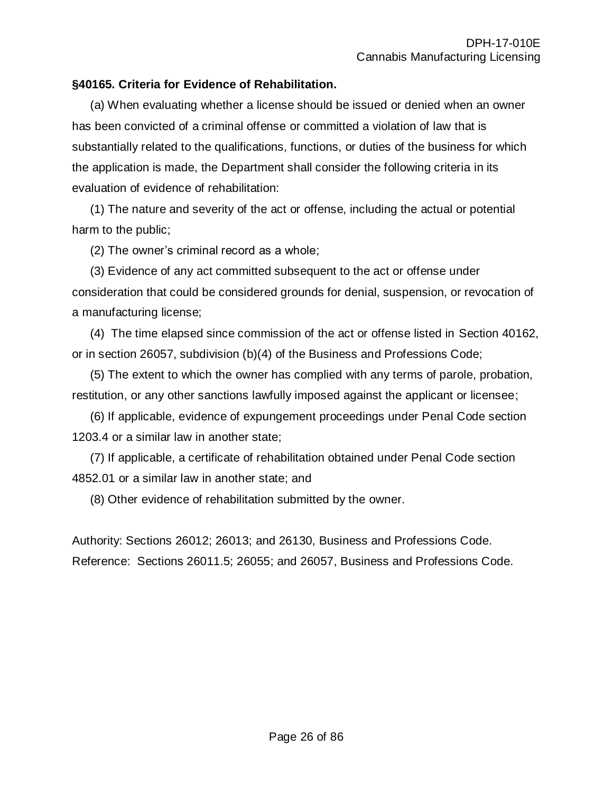## **§40165. Criteria for Evidence of Rehabilitation.**

(a) When evaluating whether a license should be issued or denied when an owner has been convicted of a criminal offense or committed a violation of law that is substantially related to the qualifications, functions, or duties of the business for which the application is made, the Department shall consider the following criteria in its evaluation of evidence of rehabilitation:

(1) The nature and severity of the act or offense, including the actual or potential harm to the public;

(2) The owner's criminal record as a whole;

(3) Evidence of any act committed subsequent to the act or offense under consideration that could be considered grounds for denial, suspension, or revocation of a manufacturing license;

(4) The time elapsed since commission of the act or offense listed in Section 40162, or in section 26057, subdivision (b)(4) of the Business and Professions Code;

(5) The extent to which the owner has complied with any terms of parole, probation, restitution, or any other sanctions lawfully imposed against the applicant or licensee;

(6) If applicable, evidence of expungement proceedings under Penal Code section 1203.4 or a similar law in another state;

(7) If applicable, a certificate of rehabilitation obtained under Penal Code section 4852.01 or a similar law in another state; and

(8) Other evidence of rehabilitation submitted by the owner.

Authority: Sections 26012; 26013; and 26130, Business and Professions Code. Reference: Sections 26011.5; 26055; and 26057, Business and Professions Code.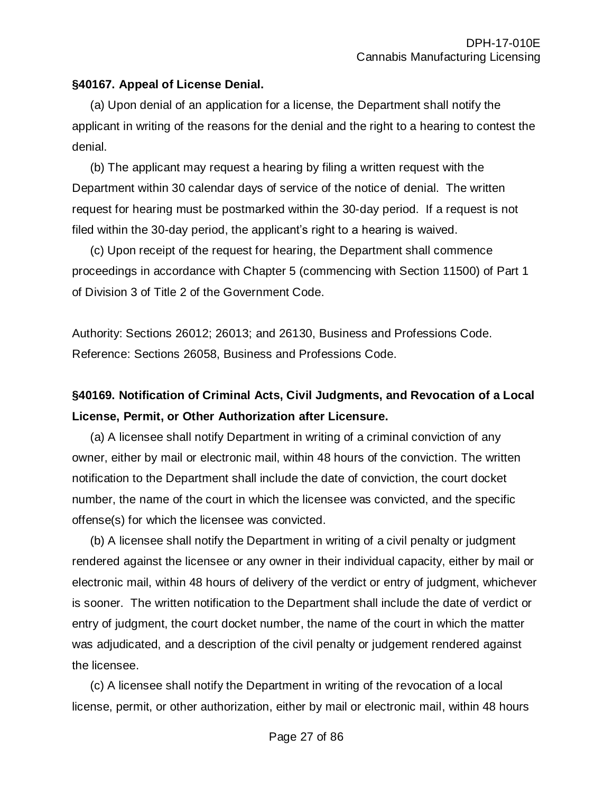## **§40167. Appeal of License Denial.**

(a) Upon denial of an application for a license, the Department shall notify the applicant in writing of the reasons for the denial and the right to a hearing to contest the denial.

(b) The applicant may request a hearing by filing a written request with the Department within 30 calendar days of service of the notice of denial. The written request for hearing must be postmarked within the 30-day period. If a request is not filed within the 30-day period, the applicant's right to a hearing is waived.

(c) Upon receipt of the request for hearing, the Department shall commence proceedings in accordance with Chapter 5 (commencing with Section 11500) of Part 1 of Division 3 of Title 2 of the Government Code.

Authority: Sections 26012; 26013; and 26130, Business and Professions Code. Reference: Sections 26058, Business and Professions Code.

# **§40169. Notification of Criminal Acts, Civil Judgments, and Revocation of a Local License, Permit, or Other Authorization after Licensure.**

(a) A licensee shall notify Department in writing of a criminal conviction of any owner, either by mail or electronic mail, within 48 hours of the conviction. The written notification to the Department shall include the date of conviction, the court docket number, the name of the court in which the licensee was convicted, and the specific offense(s) for which the licensee was convicted.

(b) A licensee shall notify the Department in writing of a civil penalty or judgment rendered against the licensee or any owner in their individual capacity, either by mail or electronic mail, within 48 hours of delivery of the verdict or entry of judgment, whichever is sooner. The written notification to the Department shall include the date of verdict or entry of judgment, the court docket number, the name of the court in which the matter was adjudicated, and a description of the civil penalty or judgement rendered against the licensee.

(c) A licensee shall notify the Department in writing of the revocation of a local license, permit, or other authorization, either by mail or electronic mail, within 48 hours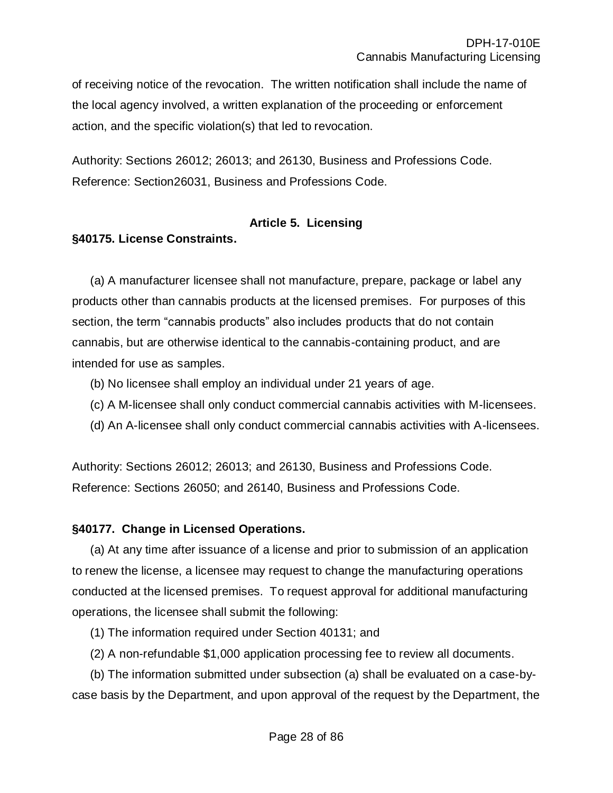of receiving notice of the revocation. The written notification shall include the name of the local agency involved, a written explanation of the proceeding or enforcement action, and the specific violation(s) that led to revocation.

Authority: Sections 26012; 26013; and 26130, Business and Professions Code. Reference: Section26031, Business and Professions Code.

## **Article 5. Licensing**

## **§40175. License Constraints.**

(a) A manufacturer licensee shall not manufacture, prepare, package or label any products other than cannabis products at the licensed premises. For purposes of this section, the term "cannabis products" also includes products that do not contain cannabis, but are otherwise identical to the cannabis-containing product, and are intended for use as samples.

- (b) No licensee shall employ an individual under 21 years of age.
- (c) A M-licensee shall only conduct commercial cannabis activities with M-licensees.
- (d) An A-licensee shall only conduct commercial cannabis activities with A-licensees.

Authority: Sections 26012; 26013; and 26130, Business and Professions Code. Reference: Sections 26050; and 26140, Business and Professions Code.

### **§40177. Change in Licensed Operations.**

(a) At any time after issuance of a license and prior to submission of an application to renew the license, a licensee may request to change the manufacturing operations conducted at the licensed premises. To request approval for additional manufacturing operations, the licensee shall submit the following:

- (1) The information required under Section 40131; and
- (2) A non-refundable \$1,000 application processing fee to review all documents.

(b) The information submitted under subsection (a) shall be evaluated on a case-bycase basis by the Department, and upon approval of the request by the Department, the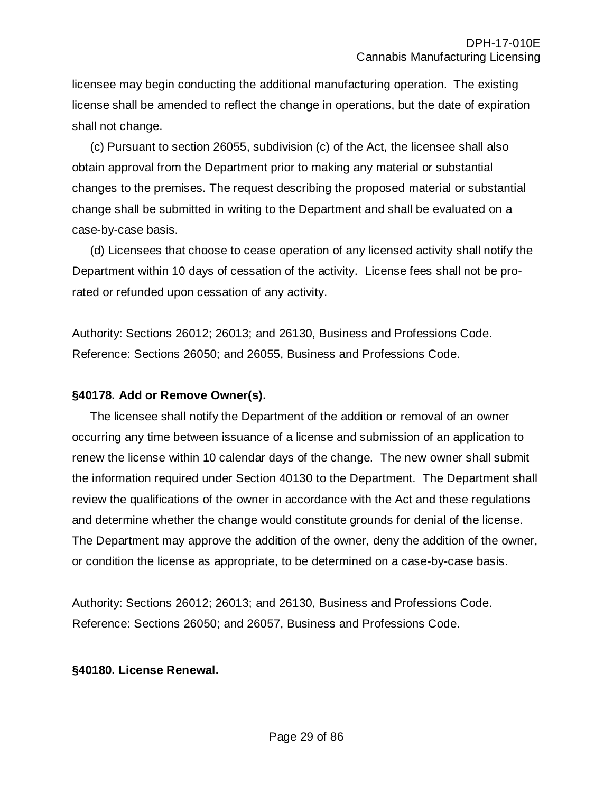licensee may begin conducting the additional manufacturing operation. The existing license shall be amended to reflect the change in operations, but the date of expiration shall not change.

(c) Pursuant to section 26055, subdivision (c) of the Act, the licensee shall also obtain approval from the Department prior to making any material or substantial changes to the premises. The request describing the proposed material or substantial change shall be submitted in writing to the Department and shall be evaluated on a case-by-case basis.

(d) Licensees that choose to cease operation of any licensed activity shall notify the Department within 10 days of cessation of the activity. License fees shall not be prorated or refunded upon cessation of any activity.

Authority: Sections 26012; 26013; and 26130, Business and Professions Code. Reference: Sections 26050; and 26055, Business and Professions Code.

### **§40178. Add or Remove Owner(s).**

The licensee shall notify the Department of the addition or removal of an owner occurring any time between issuance of a license and submission of an application to renew the license within 10 calendar days of the change. The new owner shall submit the information required under Section 40130 to the Department. The Department shall review the qualifications of the owner in accordance with the Act and these regulations and determine whether the change would constitute grounds for denial of the license. The Department may approve the addition of the owner, deny the addition of the owner, or condition the license as appropriate, to be determined on a case-by-case basis.

Authority: Sections 26012; 26013; and 26130, Business and Professions Code. Reference: Sections 26050; and 26057, Business and Professions Code.

#### **§40180. License Renewal.**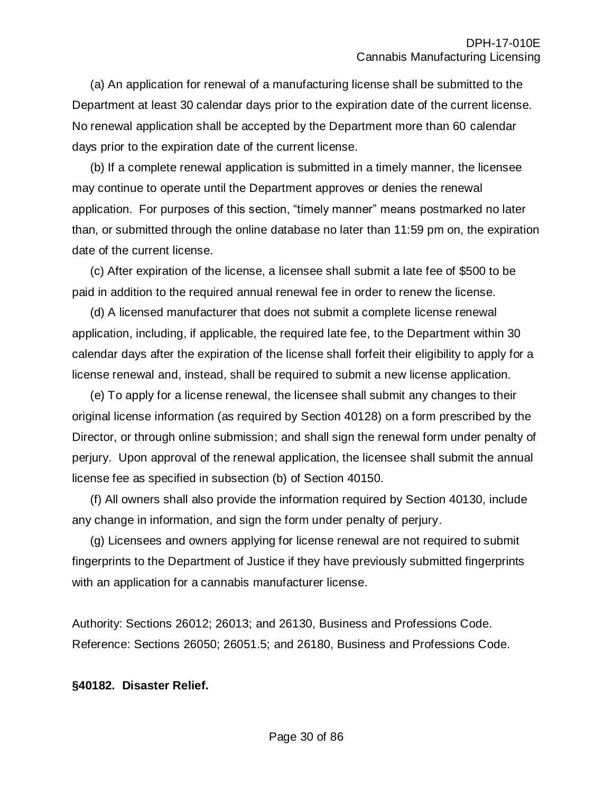(a) An application for renewal of a manufacturing license shall be submitted to the Department at least 30 calendar days prior to the expiration date of the current license. No renewal application shall be accepted by the Department more than 60 calendar days prior to the expiration date of the current license.

(b) If a complete renewal application is submitted in a timely manner, the licensee may continue to operate until the Department approves or denies the renewal application. For purposes of this section, "timely manner" means postmarked no later than, or submitted through the online database no later than 11:59 pm on, the expiration date of the current license.

(c) After expiration of the license, a licensee shall submit a late fee of \$500 to be paid in addition to the required annual renewal fee in order to renew the license.

(d) A licensed manufacturer that does not submit a complete license renewal application, including, if applicable, the required late fee, to the Department within 30 calendar days after the expiration of the license shall forfeit their eligibility to apply for a license renewal and, instead, shall be required to submit a new license application.

(e) To apply for a license renewal, the licensee shall submit any changes to their original license information (as required by Section 40128) on a form prescribed by the Director, or through online submission; and shall sign the renewal form under penalty of perjury. Upon approval of the renewal application, the licensee shall submit the annual license fee as specified in subsection (b) of Section 40150.

(f) All owners shall also provide the information required by Section 40130, include any change in information, and sign the form under penalty of perjury.

(g) Licensees and owners applying for license renewal are not required to submit fingerprints to the Department of Justice if they have previously submitted fingerprints with an application for a cannabis manufacturer license.

Authority: Sections 26012; 26013; and 26130, Business and Professions Code. Reference: Sections 26050; 26051.5; and 26180, Business and Professions Code.

#### **§40182. Disaster Relief.**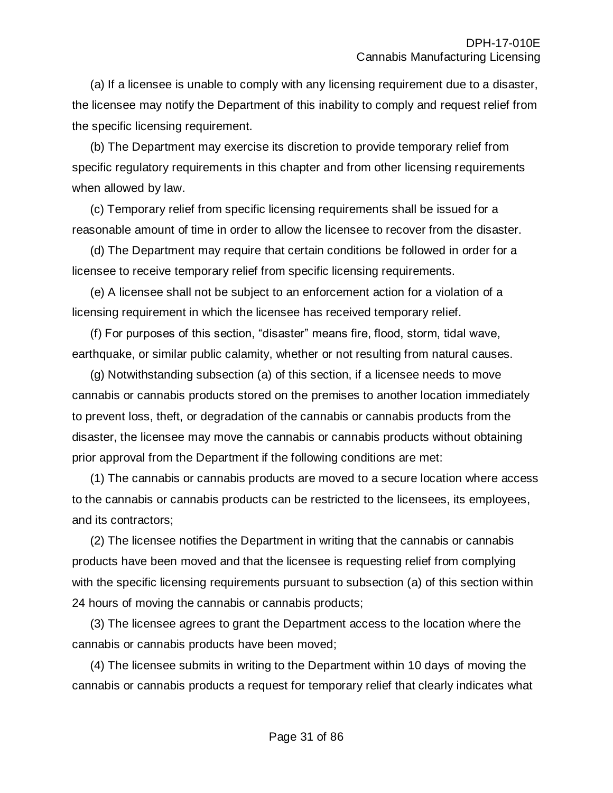(a) If a licensee is unable to comply with any licensing requirement due to a disaster, the licensee may notify the Department of this inability to comply and request relief from the specific licensing requirement.

(b) The Department may exercise its discretion to provide temporary relief from specific regulatory requirements in this chapter and from other licensing requirements when allowed by law.

(c) Temporary relief from specific licensing requirements shall be issued for a reasonable amount of time in order to allow the licensee to recover from the disaster.

(d) The Department may require that certain conditions be followed in order for a licensee to receive temporary relief from specific licensing requirements.

(e) A licensee shall not be subject to an enforcement action for a violation of a licensing requirement in which the licensee has received temporary relief.

(f) For purposes of this section, "disaster" means fire, flood, storm, tidal wave, earthquake, or similar public calamity, whether or not resulting from natural causes.

(g) Notwithstanding subsection (a) of this section, if a licensee needs to move cannabis or cannabis products stored on the premises to another location immediately to prevent loss, theft, or degradation of the cannabis or cannabis products from the disaster, the licensee may move the cannabis or cannabis products without obtaining prior approval from the Department if the following conditions are met:

(1) The cannabis or cannabis products are moved to a secure location where access to the cannabis or cannabis products can be restricted to the licensees, its employees, and its contractors;

(2) The licensee notifies the Department in writing that the cannabis or cannabis products have been moved and that the licensee is requesting relief from complying with the specific licensing requirements pursuant to subsection (a) of this section within 24 hours of moving the cannabis or cannabis products;

(3) The licensee agrees to grant the Department access to the location where the cannabis or cannabis products have been moved;

(4) The licensee submits in writing to the Department within 10 days of moving the cannabis or cannabis products a request for temporary relief that clearly indicates what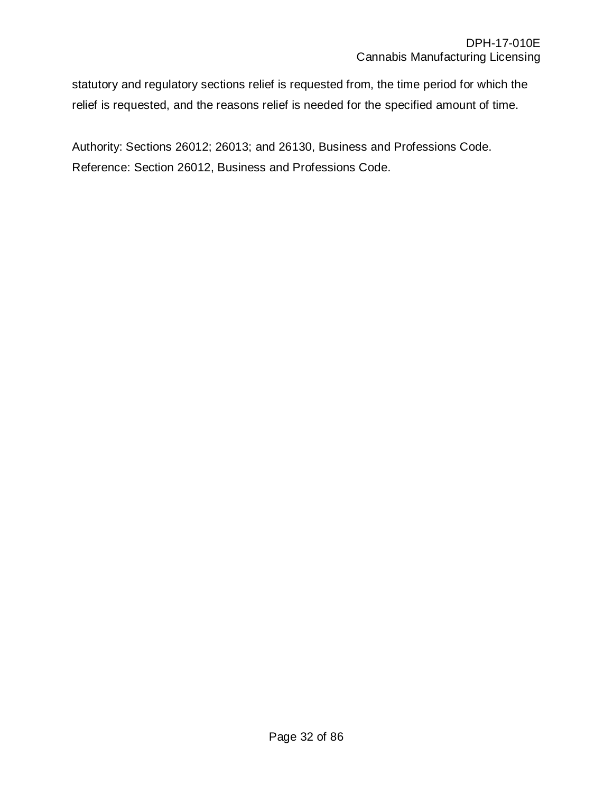statutory and regulatory sections relief is requested from, the time period for which the relief is requested, and the reasons relief is needed for the specified amount of time.

Authority: Sections 26012; 26013; and 26130, Business and Professions Code. Reference: Section 26012, Business and Professions Code.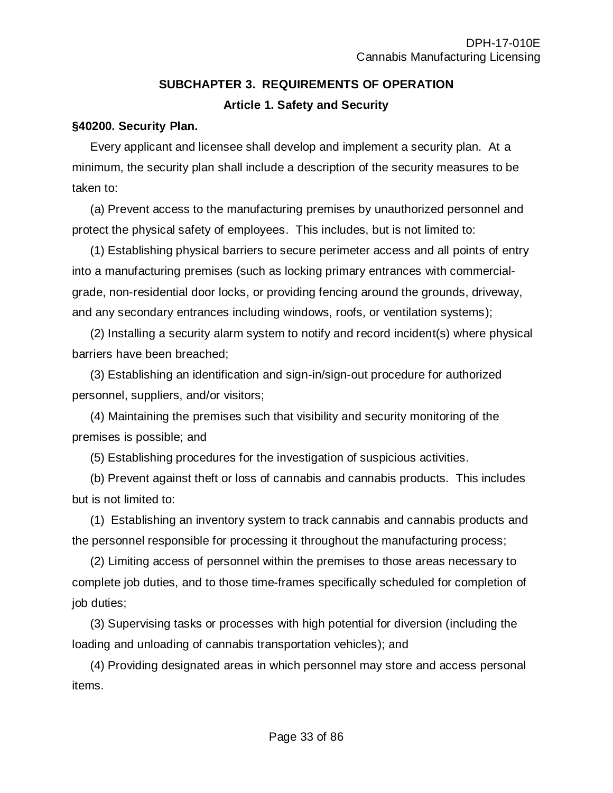# **SUBCHAPTER 3. REQUIREMENTS OF OPERATION Article 1. Safety and Security**

### **§40200. Security Plan.**

Every applicant and licensee shall develop and implement a security plan. At a minimum, the security plan shall include a description of the security measures to be taken to:

(a) Prevent access to the manufacturing premises by unauthorized personnel and protect the physical safety of employees. This includes, but is not limited to:

(1) Establishing physical barriers to secure perimeter access and all points of entry into a manufacturing premises (such as locking primary entrances with commercialgrade, non-residential door locks, or providing fencing around the grounds, driveway, and any secondary entrances including windows, roofs, or ventilation systems);

(2) Installing a security alarm system to notify and record incident(s) where physical barriers have been breached;

(3) Establishing an identification and sign-in/sign-out procedure for authorized personnel, suppliers, and/or visitors;

(4) Maintaining the premises such that visibility and security monitoring of the premises is possible; and

(5) Establishing procedures for the investigation of suspicious activities.

(b) Prevent against theft or loss of cannabis and cannabis products. This includes but is not limited to:

(1) Establishing an inventory system to track cannabis and cannabis products and the personnel responsible for processing it throughout the manufacturing process;

(2) Limiting access of personnel within the premises to those areas necessary to complete job duties, and to those time-frames specifically scheduled for completion of job duties;

(3) Supervising tasks or processes with high potential for diversion (including the loading and unloading of cannabis transportation vehicles); and

(4) Providing designated areas in which personnel may store and access personal items.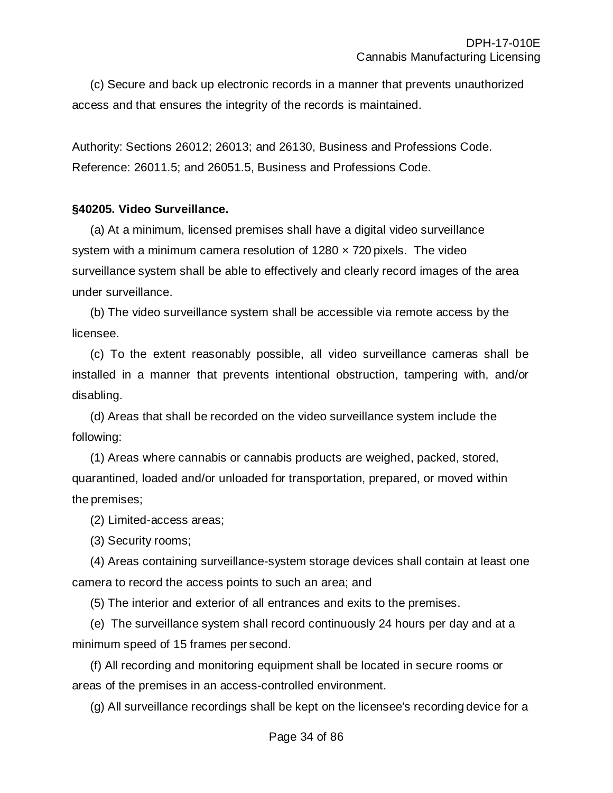(c) Secure and back up electronic records in a manner that prevents unauthorized access and that ensures the integrity of the records is maintained.

Authority: Sections 26012; 26013; and 26130, Business and Professions Code. Reference: 26011.5; and 26051.5, Business and Professions Code.

#### **§40205. Video Surveillance.**

(a) At a minimum, licensed premises shall have a digital video surveillance system with a minimum camera resolution of  $1280 \times 720$  pixels. The video surveillance system shall be able to effectively and clearly record images of the area under surveillance.

(b) The video surveillance system shall be accessible via remote access by the licensee.

(c) To the extent reasonably possible, all video surveillance cameras shall be installed in a manner that prevents intentional obstruction, tampering with, and/or disabling.

(d) Areas that shall be recorded on the video surveillance system include the following:

(1) Areas where cannabis or cannabis products are weighed, packed, stored, quarantined, loaded and/or unloaded for transportation, prepared, or moved within the premises;

(2) Limited-access areas;

(3) Security rooms;

(4) Areas containing surveillance-system storage devices shall contain at least one camera to record the access points to such an area; and

(5) The interior and exterior of all entrances and exits to the premises.

(e) The surveillance system shall record continuously 24 hours per day and at a minimum speed of 15 frames per second.

(f) All recording and monitoring equipment shall be located in secure rooms or areas of the premises in an access-controlled environment.

(g) All surveillance recordings shall be kept on the licensee's recording device for a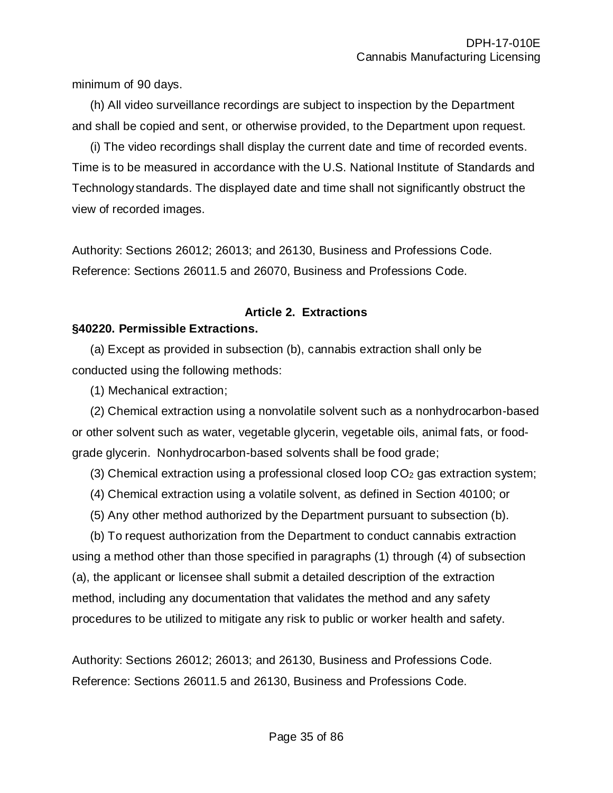minimum of 90 days.

(h) All video surveillance recordings are subject to inspection by the Department and shall be copied and sent, or otherwise provided, to the Department upon request.

(i) The video recordings shall display the current date and time of recorded events. Time is to be measured in accordance with the U.S. National Institute of Standards and Technology standards. The displayed date and time shall not significantly obstruct the view of recorded images.

Authority: Sections 26012; 26013; and 26130, Business and Professions Code. Reference: Sections 26011.5 and 26070, Business and Professions Code.

# **Article 2. Extractions**

# **§40220. Permissible Extractions.**

(a) Except as provided in subsection (b), cannabis extraction shall only be conducted using the following methods:

(1) Mechanical extraction;

(2) Chemical extraction using a nonvolatile solvent such as a nonhydrocarbon-based or other solvent such as water, vegetable glycerin, vegetable oils, animal fats, or foodgrade glycerin. Nonhydrocarbon-based solvents shall be food grade;

(3) Chemical extraction using a professional closed loop  $CO<sub>2</sub>$  gas extraction system;

- (4) Chemical extraction using a volatile solvent, as defined in Section 40100; or
- (5) Any other method authorized by the Department pursuant to subsection (b).

(b) To request authorization from the Department to conduct cannabis extraction using a method other than those specified in paragraphs (1) through (4) of subsection (a), the applicant or licensee shall submit a detailed description of the extraction method, including any documentation that validates the method and any safety procedures to be utilized to mitigate any risk to public or worker health and safety.

Authority: Sections 26012; 26013; and 26130, Business and Professions Code. Reference: Sections 26011.5 and 26130, Business and Professions Code.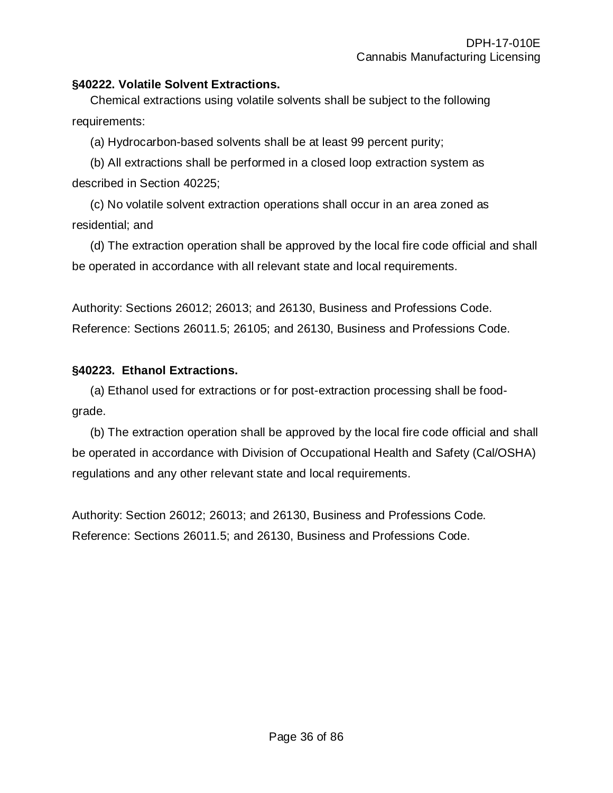## **§40222. Volatile Solvent Extractions.**

Chemical extractions using volatile solvents shall be subject to the following requirements:

(a) Hydrocarbon-based solvents shall be at least 99 percent purity;

(b) All extractions shall be performed in a closed loop extraction system as described in Section 40225;

(c) No volatile solvent extraction operations shall occur in an area zoned as residential; and

(d) The extraction operation shall be approved by the local fire code official and shall be operated in accordance with all relevant state and local requirements.

Authority: Sections 26012; 26013; and 26130, Business and Professions Code. Reference: Sections 26011.5; 26105; and 26130, Business and Professions Code.

## **§40223. Ethanol Extractions.**

(a) Ethanol used for extractions or for post-extraction processing shall be foodgrade.

(b) The extraction operation shall be approved by the local fire code official and shall be operated in accordance with Division of Occupational Health and Safety (Cal/OSHA) regulations and any other relevant state and local requirements.

Authority: Section 26012; 26013; and 26130, Business and Professions Code. Reference: Sections 26011.5; and 26130, Business and Professions Code.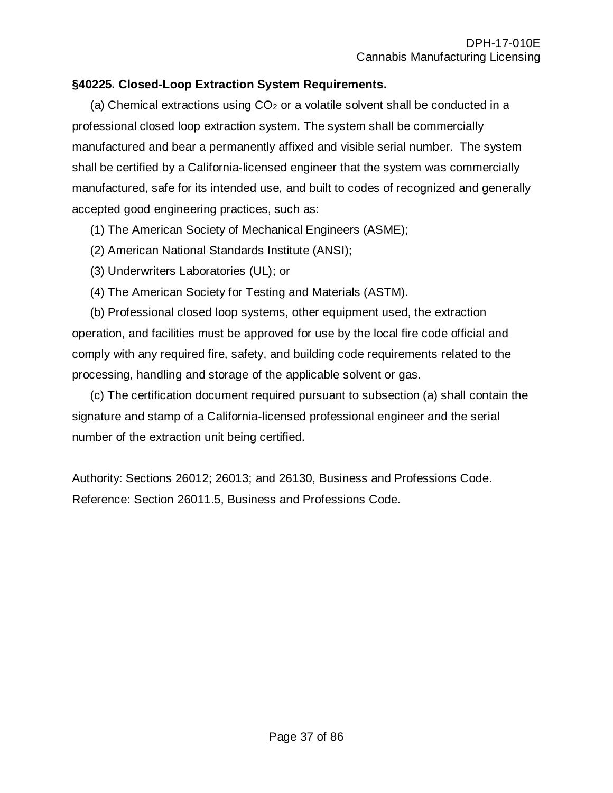# **§40225. Closed-Loop Extraction System Requirements.**

(a) Chemical extractions using  $CO<sub>2</sub>$  or a volatile solvent shall be conducted in a professional closed loop extraction system. The system shall be commercially manufactured and bear a permanently affixed and visible serial number. The system shall be certified by a California-licensed engineer that the system was commercially manufactured, safe for its intended use, and built to codes of recognized and generally accepted good engineering practices, such as:

(1) The American Society of Mechanical Engineers (ASME);

- (2) American National Standards Institute (ANSI);
- (3) Underwriters Laboratories (UL); or
- (4) The American Society for Testing and Materials (ASTM).

(b) Professional closed loop systems, other equipment used, the extraction operation, and facilities must be approved for use by the local fire code official and comply with any required fire, safety, and building code requirements related to the processing, handling and storage of the applicable solvent or gas.

(c) The certification document required pursuant to subsection (a) shall contain the signature and stamp of a California-licensed professional engineer and the serial number of the extraction unit being certified.

Authority: Sections 26012; 26013; and 26130, Business and Professions Code. Reference: Section 26011.5, Business and Professions Code.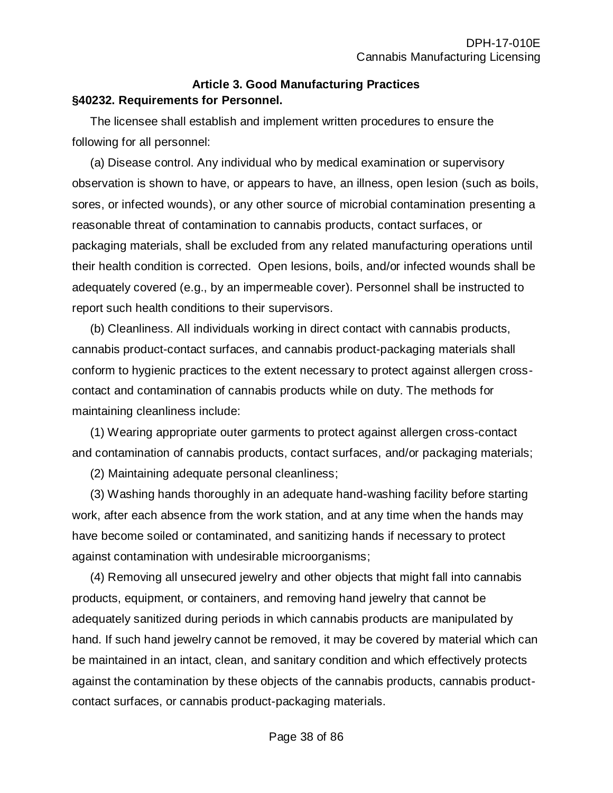#### **Article 3. Good Manufacturing Practices §40232. Requirements for Personnel.**

The licensee shall establish and implement written procedures to ensure the following for all personnel:

(a) Disease control. Any individual who by medical examination or supervisory observation is shown to have, or appears to have, an illness, open lesion (such as boils, sores, or infected wounds), or any other source of microbial contamination presenting a reasonable threat of contamination to cannabis products, contact surfaces, or packaging materials, shall be excluded from any related manufacturing operations until their health condition is corrected. Open lesions, boils, and/or infected wounds shall be adequately covered (e.g., by an impermeable cover). Personnel shall be instructed to report such health conditions to their supervisors.

(b) Cleanliness. All individuals working in direct contact with cannabis products, cannabis product-contact surfaces, and cannabis product-packaging materials shall conform to hygienic practices to the extent necessary to protect against allergen crosscontact and contamination of cannabis products while on duty. The methods for maintaining cleanliness include:

(1) Wearing appropriate outer garments to protect against allergen cross-contact and contamination of cannabis products, contact surfaces, and/or packaging materials;

(2) Maintaining adequate personal cleanliness;

(3) Washing hands thoroughly in an adequate hand-washing facility before starting work, after each absence from the work station, and at any time when the hands may have become soiled or contaminated, and sanitizing hands if necessary to protect against contamination with undesirable microorganisms;

(4) Removing all unsecured jewelry and other objects that might fall into cannabis products, equipment, or containers, and removing hand jewelry that cannot be adequately sanitized during periods in which cannabis products are manipulated by hand. If such hand jewelry cannot be removed, it may be covered by material which can be maintained in an intact, clean, and sanitary condition and which effectively protects against the contamination by these objects of the cannabis products, cannabis productcontact surfaces, or cannabis product-packaging materials.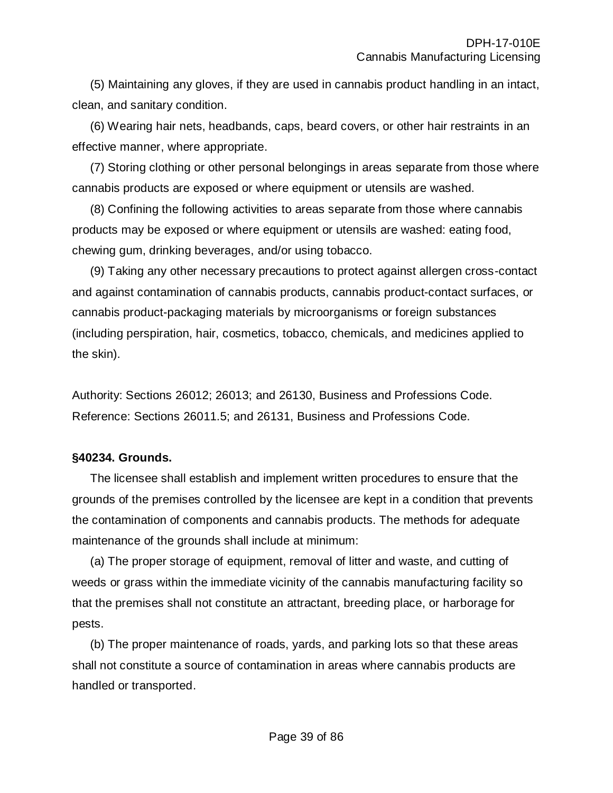(5) Maintaining any gloves, if they are used in cannabis product handling in an intact, clean, and sanitary condition.

(6) Wearing hair nets, headbands, caps, beard covers, or other hair restraints in an effective manner, where appropriate.

(7) Storing clothing or other personal belongings in areas separate from those where cannabis products are exposed or where equipment or utensils are washed.

(8) Confining the following activities to areas separate from those where cannabis products may be exposed or where equipment or utensils are washed: eating food, chewing gum, drinking beverages, and/or using tobacco.

(9) Taking any other necessary precautions to protect against allergen cross-contact and against contamination of cannabis products, cannabis product-contact surfaces, or cannabis product-packaging materials by microorganisms or foreign substances (including perspiration, hair, cosmetics, tobacco, chemicals, and medicines applied to the skin).

Authority: Sections 26012; 26013; and 26130, Business and Professions Code. Reference: Sections 26011.5; and 26131, Business and Professions Code.

# **§40234. Grounds.**

The licensee shall establish and implement written procedures to ensure that the grounds of the premises controlled by the licensee are kept in a condition that prevents the contamination of components and cannabis products. The methods for adequate maintenance of the grounds shall include at minimum:

(a) The proper storage of equipment, removal of litter and waste, and cutting of weeds or grass within the immediate vicinity of the cannabis manufacturing facility so that the premises shall not constitute an attractant, breeding place, or harborage for pests.

(b) The proper maintenance of roads, yards, and parking lots so that these areas shall not constitute a source of contamination in areas where cannabis products are handled or transported.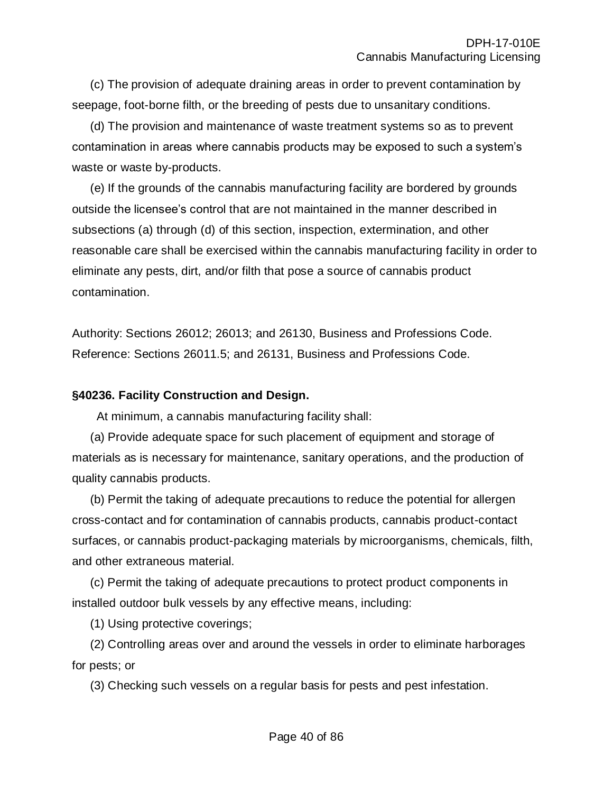(c) The provision of adequate draining areas in order to prevent contamination by seepage, foot-borne filth, or the breeding of pests due to unsanitary conditions.

(d) The provision and maintenance of waste treatment systems so as to prevent contamination in areas where cannabis products may be exposed to such a system's waste or waste by-products.

(e) If the grounds of the cannabis manufacturing facility are bordered by grounds outside the licensee's control that are not maintained in the manner described in subsections (a) through (d) of this section, inspection, extermination, and other reasonable care shall be exercised within the cannabis manufacturing facility in order to eliminate any pests, dirt, and/or filth that pose a source of cannabis product contamination.

Authority: Sections 26012; 26013; and 26130, Business and Professions Code. Reference: Sections 26011.5; and 26131, Business and Professions Code.

#### **§40236. Facility Construction and Design.**

At minimum, a cannabis manufacturing facility shall:

(a) Provide adequate space for such placement of equipment and storage of materials as is necessary for maintenance, sanitary operations, and the production of quality cannabis products.

(b) Permit the taking of adequate precautions to reduce the potential for allergen cross-contact and for contamination of cannabis products, cannabis product-contact surfaces, or cannabis product-packaging materials by microorganisms, chemicals, filth, and other extraneous material.

(c) Permit the taking of adequate precautions to protect product components in installed outdoor bulk vessels by any effective means, including:

(1) Using protective coverings;

(2) Controlling areas over and around the vessels in order to eliminate harborages for pests; or

(3) Checking such vessels on a regular basis for pests and pest infestation.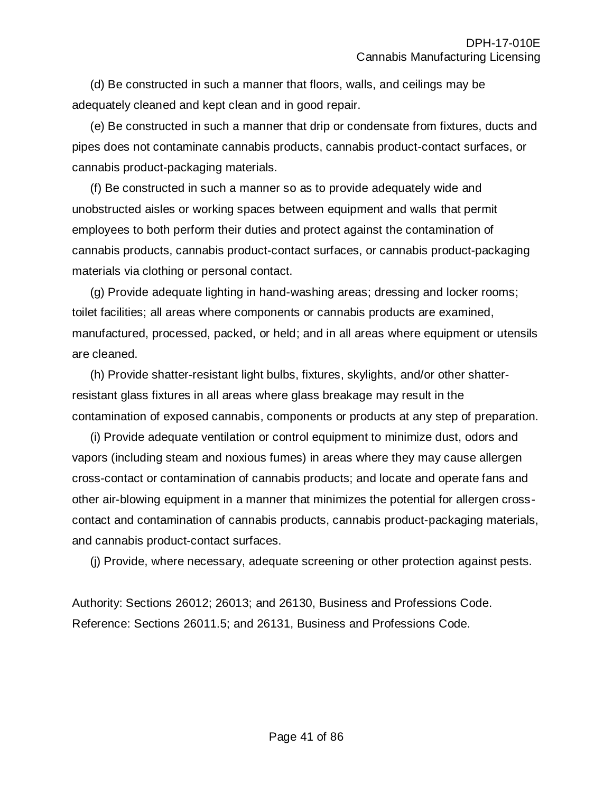(d) Be constructed in such a manner that floors, walls, and ceilings may be adequately cleaned and kept clean and in good repair.

(e) Be constructed in such a manner that drip or condensate from fixtures, ducts and pipes does not contaminate cannabis products, cannabis product-contact surfaces, or cannabis product-packaging materials.

(f) Be constructed in such a manner so as to provide adequately wide and unobstructed aisles or working spaces between equipment and walls that permit employees to both perform their duties and protect against the contamination of cannabis products, cannabis product-contact surfaces, or cannabis product-packaging materials via clothing or personal contact.

(g) Provide adequate lighting in hand-washing areas; dressing and locker rooms; toilet facilities; all areas where components or cannabis products are examined, manufactured, processed, packed, or held; and in all areas where equipment or utensils are cleaned.

(h) Provide shatter-resistant light bulbs, fixtures, skylights, and/or other shatterresistant glass fixtures in all areas where glass breakage may result in the contamination of exposed cannabis, components or products at any step of preparation.

(i) Provide adequate ventilation or control equipment to minimize dust, odors and vapors (including steam and noxious fumes) in areas where they may cause allergen cross-contact or contamination of cannabis products; and locate and operate fans and other air-blowing equipment in a manner that minimizes the potential for allergen crosscontact and contamination of cannabis products, cannabis product-packaging materials, and cannabis product-contact surfaces.

(j) Provide, where necessary, adequate screening or other protection against pests.

Authority: Sections 26012; 26013; and 26130, Business and Professions Code. Reference: Sections 26011.5; and 26131, Business and Professions Code.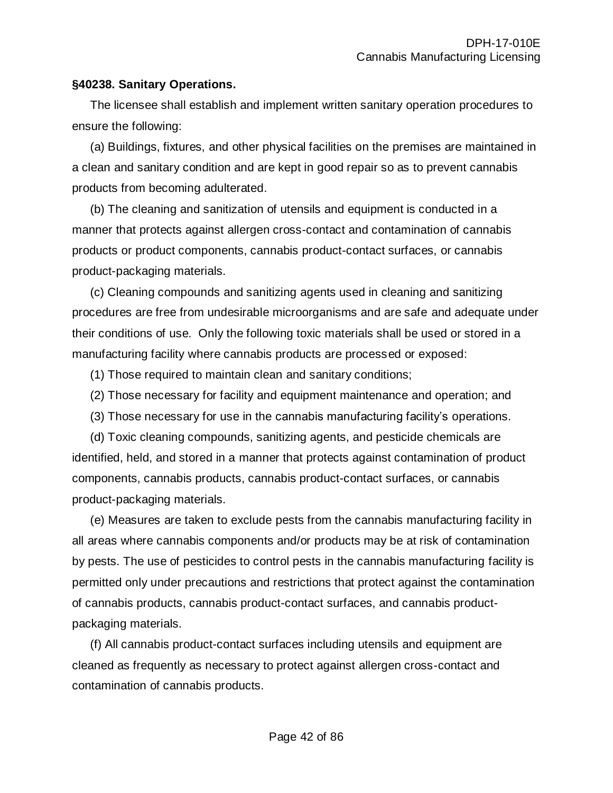#### **§40238. Sanitary Operations.**

The licensee shall establish and implement written sanitary operation procedures to ensure the following:

(a) Buildings, fixtures, and other physical facilities on the premises are maintained in a clean and sanitary condition and are kept in good repair so as to prevent cannabis products from becoming adulterated.

(b) The cleaning and sanitization of utensils and equipment is conducted in a manner that protects against allergen cross-contact and contamination of cannabis products or product components, cannabis product-contact surfaces, or cannabis product-packaging materials.

(c) Cleaning compounds and sanitizing agents used in cleaning and sanitizing procedures are free from undesirable microorganisms and are safe and adequate under their conditions of use. Only the following toxic materials shall be used or stored in a manufacturing facility where cannabis products are processed or exposed:

(1) Those required to maintain clean and sanitary conditions;

- (2) Those necessary for facility and equipment maintenance and operation; and
- (3) Those necessary for use in the cannabis manufacturing facility's operations.

(d) Toxic cleaning compounds, sanitizing agents, and pesticide chemicals are identified, held, and stored in a manner that protects against contamination of product components, cannabis products, cannabis product-contact surfaces, or cannabis product-packaging materials.

(e) Measures are taken to exclude pests from the cannabis manufacturing facility in all areas where cannabis components and/or products may be at risk of contamination by pests. The use of pesticides to control pests in the cannabis manufacturing facility is permitted only under precautions and restrictions that protect against the contamination of cannabis products, cannabis product-contact surfaces, and cannabis productpackaging materials.

(f) All cannabis product-contact surfaces including utensils and equipment are cleaned as frequently as necessary to protect against allergen cross-contact and contamination of cannabis products.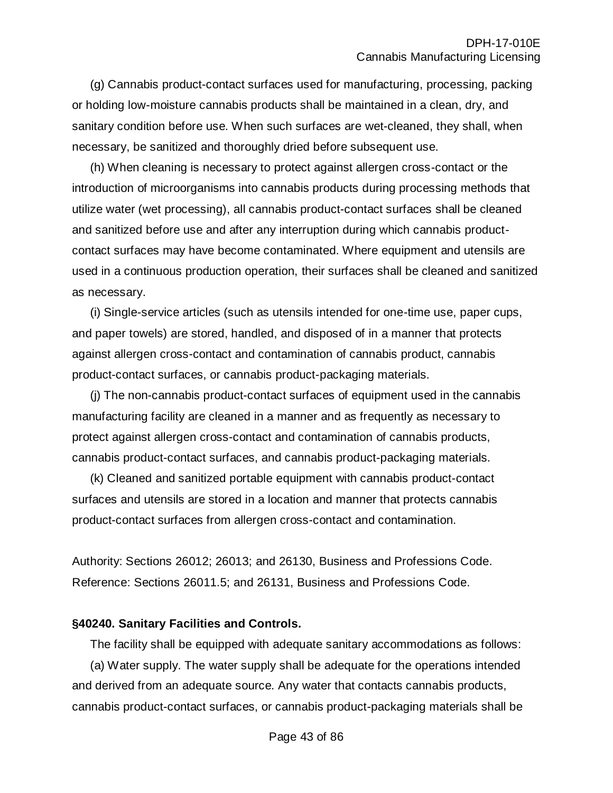(g) Cannabis product-contact surfaces used for manufacturing, processing, packing or holding low-moisture cannabis products shall be maintained in a clean, dry, and sanitary condition before use. When such surfaces are wet-cleaned, they shall, when necessary, be sanitized and thoroughly dried before subsequent use.

(h) When cleaning is necessary to protect against allergen cross-contact or the introduction of microorganisms into cannabis products during processing methods that utilize water (wet processing), all cannabis product-contact surfaces shall be cleaned and sanitized before use and after any interruption during which cannabis productcontact surfaces may have become contaminated. Where equipment and utensils are used in a continuous production operation, their surfaces shall be cleaned and sanitized as necessary.

(i) Single-service articles (such as utensils intended for one-time use, paper cups, and paper towels) are stored, handled, and disposed of in a manner that protects against allergen cross-contact and contamination of cannabis product, cannabis product-contact surfaces, or cannabis product-packaging materials.

(j) The non-cannabis product-contact surfaces of equipment used in the cannabis manufacturing facility are cleaned in a manner and as frequently as necessary to protect against allergen cross-contact and contamination of cannabis products, cannabis product-contact surfaces, and cannabis product-packaging materials.

(k) Cleaned and sanitized portable equipment with cannabis product-contact surfaces and utensils are stored in a location and manner that protects cannabis product-contact surfaces from allergen cross-contact and contamination.

Authority: Sections 26012; 26013; and 26130, Business and Professions Code. Reference: Sections 26011.5; and 26131, Business and Professions Code.

#### **§40240. Sanitary Facilities and Controls.**

The facility shall be equipped with adequate sanitary accommodations as follows: (a) Water supply. The water supply shall be adequate for the operations intended and derived from an adequate source. Any water that contacts cannabis products, cannabis product-contact surfaces, or cannabis product-packaging materials shall be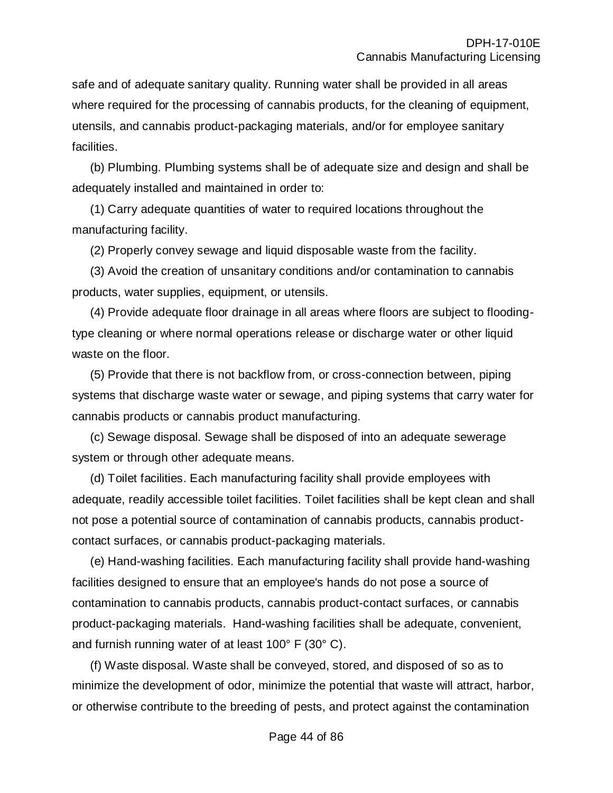safe and of adequate sanitary quality. Running water shall be provided in all areas where required for the processing of cannabis products, for the cleaning of equipment, utensils, and cannabis product-packaging materials, and/or for employee sanitary facilities.

(b) Plumbing. Plumbing systems shall be of adequate size and design and shall be adequately installed and maintained in order to:

(1) Carry adequate quantities of water to required locations throughout the manufacturing facility.

(2) Properly convey sewage and liquid disposable waste from the facility.

(3) Avoid the creation of unsanitary conditions and/or contamination to cannabis products, water supplies, equipment, or utensils.

(4) Provide adequate floor drainage in all areas where floors are subject to floodingtype cleaning or where normal operations release or discharge water or other liquid waste on the floor.

(5) Provide that there is not backflow from, or cross-connection between, piping systems that discharge waste water or sewage, and piping systems that carry water for cannabis products or cannabis product manufacturing.

(c) Sewage disposal. Sewage shall be disposed of into an adequate sewerage system or through other adequate means.

(d) Toilet facilities. Each manufacturing facility shall provide employees with adequate, readily accessible toilet facilities. Toilet facilities shall be kept clean and shall not pose a potential source of contamination of cannabis products, cannabis productcontact surfaces, or cannabis product-packaging materials.

(e) Hand-washing facilities. Each manufacturing facility shall provide hand-washing facilities designed to ensure that an employee's hands do not pose a source of contamination to cannabis products, cannabis product-contact surfaces, or cannabis product-packaging materials. Hand-washing facilities shall be adequate, convenient, and furnish running water of at least 100° F (30° C).

(f) Waste disposal. Waste shall be conveyed, stored, and disposed of so as to minimize the development of odor, minimize the potential that waste will attract, harbor, or otherwise contribute to the breeding of pests, and protect against the contamination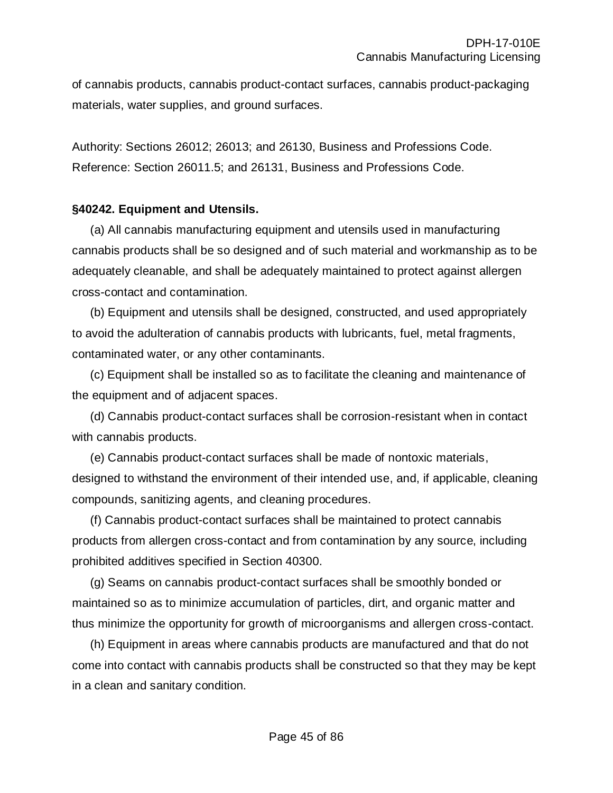of cannabis products, cannabis product-contact surfaces, cannabis product-packaging materials, water supplies, and ground surfaces.

Authority: Sections 26012; 26013; and 26130, Business and Professions Code. Reference: Section 26011.5; and 26131, Business and Professions Code.

#### **§40242. Equipment and Utensils.**

(a) All cannabis manufacturing equipment and utensils used in manufacturing cannabis products shall be so designed and of such material and workmanship as to be adequately cleanable, and shall be adequately maintained to protect against allergen cross-contact and contamination.

(b) Equipment and utensils shall be designed, constructed, and used appropriately to avoid the adulteration of cannabis products with lubricants, fuel, metal fragments, contaminated water, or any other contaminants.

(c) Equipment shall be installed so as to facilitate the cleaning and maintenance of the equipment and of adjacent spaces.

(d) Cannabis product-contact surfaces shall be corrosion-resistant when in contact with cannabis products.

(e) Cannabis product-contact surfaces shall be made of nontoxic materials, designed to withstand the environment of their intended use, and, if applicable, cleaning compounds, sanitizing agents, and cleaning procedures.

(f) Cannabis product-contact surfaces shall be maintained to protect cannabis products from allergen cross-contact and from contamination by any source, including prohibited additives specified in Section 40300.

(g) Seams on cannabis product-contact surfaces shall be smoothly bonded or maintained so as to minimize accumulation of particles, dirt, and organic matter and thus minimize the opportunity for growth of microorganisms and allergen cross-contact.

(h) Equipment in areas where cannabis products are manufactured and that do not come into contact with cannabis products shall be constructed so that they may be kept in a clean and sanitary condition.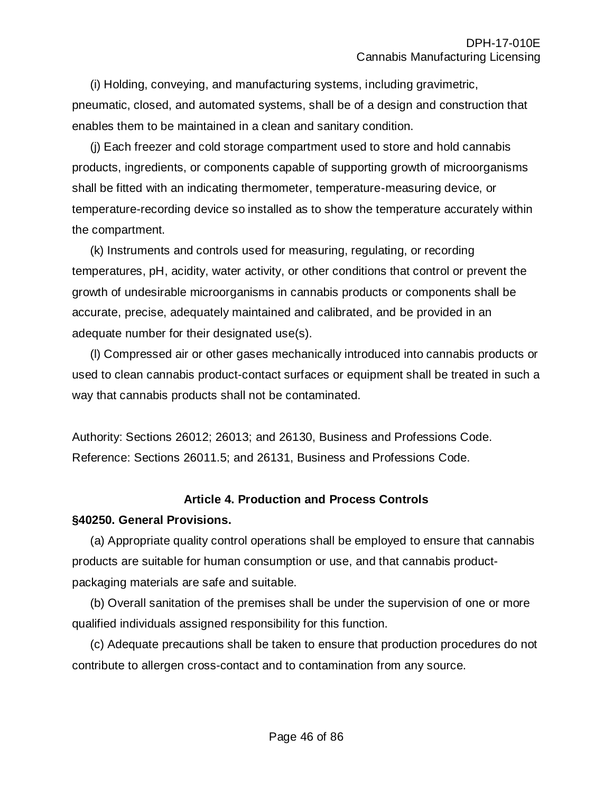(i) Holding, conveying, and manufacturing systems, including gravimetric, pneumatic, closed, and automated systems, shall be of a design and construction that enables them to be maintained in a clean and sanitary condition.

(j) Each freezer and cold storage compartment used to store and hold cannabis products, ingredients, or components capable of supporting growth of microorganisms shall be fitted with an indicating thermometer, temperature-measuring device, or temperature-recording device so installed as to show the temperature accurately within the compartment.

(k) Instruments and controls used for measuring, regulating, or recording temperatures, pH, acidity, water activity, or other conditions that control or prevent the growth of undesirable microorganisms in cannabis products or components shall be accurate, precise, adequately maintained and calibrated, and be provided in an adequate number for their designated use(s).

(l) Compressed air or other gases mechanically introduced into cannabis products or used to clean cannabis product-contact surfaces or equipment shall be treated in such a way that cannabis products shall not be contaminated.

Authority: Sections 26012; 26013; and 26130, Business and Professions Code. Reference: Sections 26011.5; and 26131, Business and Professions Code.

# **Article 4. Production and Process Controls**

# **§40250. General Provisions.**

(a) Appropriate quality control operations shall be employed to ensure that cannabis products are suitable for human consumption or use, and that cannabis productpackaging materials are safe and suitable.

(b) Overall sanitation of the premises shall be under the supervision of one or more qualified individuals assigned responsibility for this function.

(c) Adequate precautions shall be taken to ensure that production procedures do not contribute to allergen cross-contact and to contamination from any source.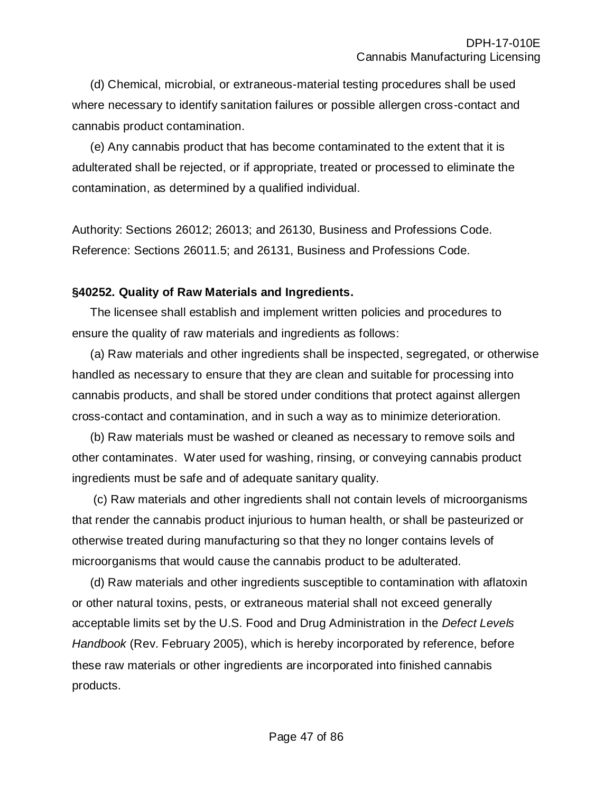(d) Chemical, microbial, or extraneous-material testing procedures shall be used where necessary to identify sanitation failures or possible allergen cross-contact and cannabis product contamination.

(e) Any cannabis product that has become contaminated to the extent that it is adulterated shall be rejected, or if appropriate, treated or processed to eliminate the contamination, as determined by a qualified individual.

Authority: Sections 26012; 26013; and 26130, Business and Professions Code. Reference: Sections 26011.5; and 26131, Business and Professions Code.

#### **§40252. Quality of Raw Materials and Ingredients.**

The licensee shall establish and implement written policies and procedures to ensure the quality of raw materials and ingredients as follows:

(a) Raw materials and other ingredients shall be inspected, segregated, or otherwise handled as necessary to ensure that they are clean and suitable for processing into cannabis products, and shall be stored under conditions that protect against allergen cross-contact and contamination, and in such a way as to minimize deterioration.

(b) Raw materials must be washed or cleaned as necessary to remove soils and other contaminates. Water used for washing, rinsing, or conveying cannabis product ingredients must be safe and of adequate sanitary quality.

(c) Raw materials and other ingredients shall not contain levels of microorganisms that render the cannabis product injurious to human health, or shall be pasteurized or otherwise treated during manufacturing so that they no longer contains levels of microorganisms that would cause the cannabis product to be adulterated.

(d) Raw materials and other ingredients susceptible to contamination with aflatoxin or other natural toxins, pests, or extraneous material shall not exceed generally acceptable limits set by the U.S. Food and Drug Administration in the *Defect Levels Handbook* (Rev. February 2005), which is hereby incorporated by reference, before these raw materials or other ingredients are incorporated into finished cannabis products.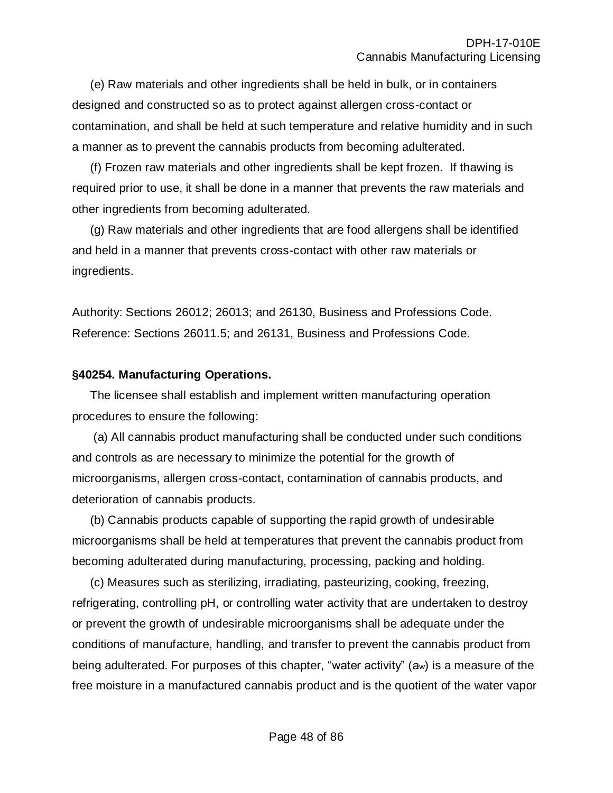(e) Raw materials and other ingredients shall be held in bulk, or in containers designed and constructed so as to protect against allergen cross-contact or contamination, and shall be held at such temperature and relative humidity and in such a manner as to prevent the cannabis products from becoming adulterated.

(f) Frozen raw materials and other ingredients shall be kept frozen. If thawing is required prior to use, it shall be done in a manner that prevents the raw materials and other ingredients from becoming adulterated.

(g) Raw materials and other ingredients that are food allergens shall be identified and held in a manner that prevents cross-contact with other raw materials or ingredients.

Authority: Sections 26012; 26013; and 26130, Business and Professions Code. Reference: Sections 26011.5; and 26131, Business and Professions Code.

#### **§40254. Manufacturing Operations.**

The licensee shall establish and implement written manufacturing operation procedures to ensure the following:

(a) All cannabis product manufacturing shall be conducted under such conditions and controls as are necessary to minimize the potential for the growth of microorganisms, allergen cross-contact, contamination of cannabis products, and deterioration of cannabis products.

(b) Cannabis products capable of supporting the rapid growth of undesirable microorganisms shall be held at temperatures that prevent the cannabis product from becoming adulterated during manufacturing, processing, packing and holding.

(c) Measures such as sterilizing, irradiating, pasteurizing, cooking, freezing, refrigerating, controlling pH, or controlling water activity that are undertaken to destroy or prevent the growth of undesirable microorganisms shall be adequate under the conditions of manufacture, handling, and transfer to prevent the cannabis product from being adulterated. For purposes of this chapter, "water activity" (aw) is a measure of the free moisture in a manufactured cannabis product and is the quotient of the water vapor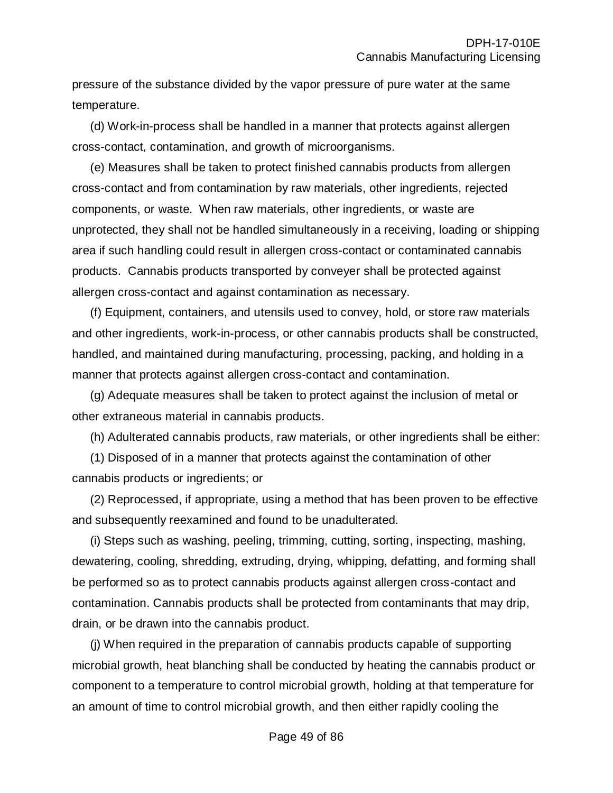pressure of the substance divided by the vapor pressure of pure water at the same temperature.

(d) Work-in-process shall be handled in a manner that protects against allergen cross-contact, contamination, and growth of microorganisms.

(e) Measures shall be taken to protect finished cannabis products from allergen cross-contact and from contamination by raw materials, other ingredients, rejected components, or waste. When raw materials, other ingredients, or waste are unprotected, they shall not be handled simultaneously in a receiving, loading or shipping area if such handling could result in allergen cross-contact or contaminated cannabis products. Cannabis products transported by conveyer shall be protected against allergen cross-contact and against contamination as necessary.

(f) Equipment, containers, and utensils used to convey, hold, or store raw materials and other ingredients, work-in-process, or other cannabis products shall be constructed, handled, and maintained during manufacturing, processing, packing, and holding in a manner that protects against allergen cross-contact and contamination.

(g) Adequate measures shall be taken to protect against the inclusion of metal or other extraneous material in cannabis products.

(h) Adulterated cannabis products, raw materials, or other ingredients shall be either:

(1) Disposed of in a manner that protects against the contamination of other cannabis products or ingredients; or

(2) Reprocessed, if appropriate, using a method that has been proven to be effective and subsequently reexamined and found to be unadulterated.

(i) Steps such as washing, peeling, trimming, cutting, sorting, inspecting, mashing, dewatering, cooling, shredding, extruding, drying, whipping, defatting, and forming shall be performed so as to protect cannabis products against allergen cross-contact and contamination. Cannabis products shall be protected from contaminants that may drip, drain, or be drawn into the cannabis product.

(j) When required in the preparation of cannabis products capable of supporting microbial growth, heat blanching shall be conducted by heating the cannabis product or component to a temperature to control microbial growth, holding at that temperature for an amount of time to control microbial growth, and then either rapidly cooling the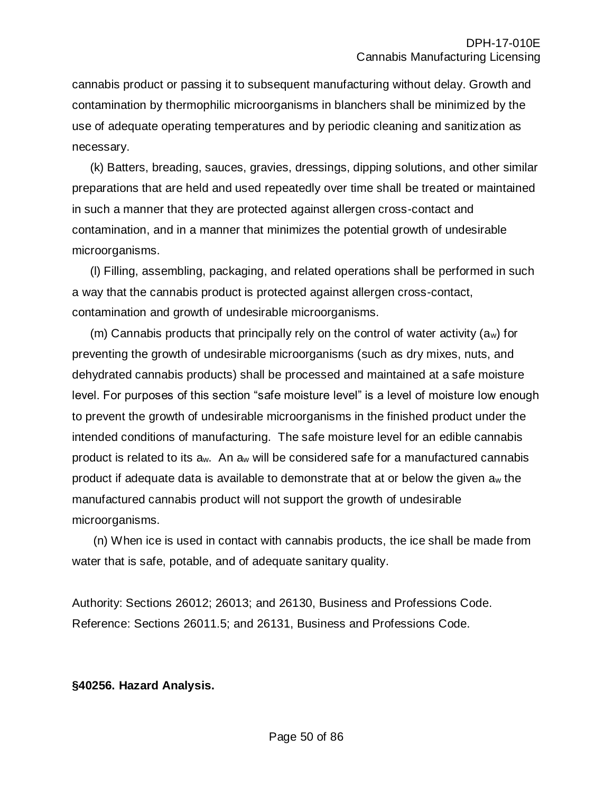cannabis product or passing it to subsequent manufacturing without delay. Growth and contamination by thermophilic microorganisms in blanchers shall be minimized by the use of adequate operating temperatures and by periodic cleaning and sanitization as necessary.

(k) Batters, breading, sauces, gravies, dressings, dipping solutions, and other similar preparations that are held and used repeatedly over time shall be treated or maintained in such a manner that they are protected against allergen cross-contact and contamination, and in a manner that minimizes the potential growth of undesirable microorganisms.

(l) Filling, assembling, packaging, and related operations shall be performed in such a way that the cannabis product is protected against allergen cross-contact, contamination and growth of undesirable microorganisms.

(m) Cannabis products that principally rely on the control of water activity (aw) for preventing the growth of undesirable microorganisms (such as dry mixes, nuts, and dehydrated cannabis products) shall be processed and maintained at a safe moisture level. For purposes of this section "safe moisture level" is a level of moisture low enough to prevent the growth of undesirable microorganisms in the finished product under the intended conditions of manufacturing. The safe moisture level for an edible cannabis product is related to its aw. An a<sup>w</sup> will be considered safe for a manufactured cannabis product if adequate data is available to demonstrate that at or below the given a<sup>w</sup> the manufactured cannabis product will not support the growth of undesirable microorganisms.

(n) When ice is used in contact with cannabis products, the ice shall be made from water that is safe, potable, and of adequate sanitary quality.

Authority: Sections 26012; 26013; and 26130, Business and Professions Code. Reference: Sections 26011.5; and 26131, Business and Professions Code.

#### **§40256. Hazard Analysis.**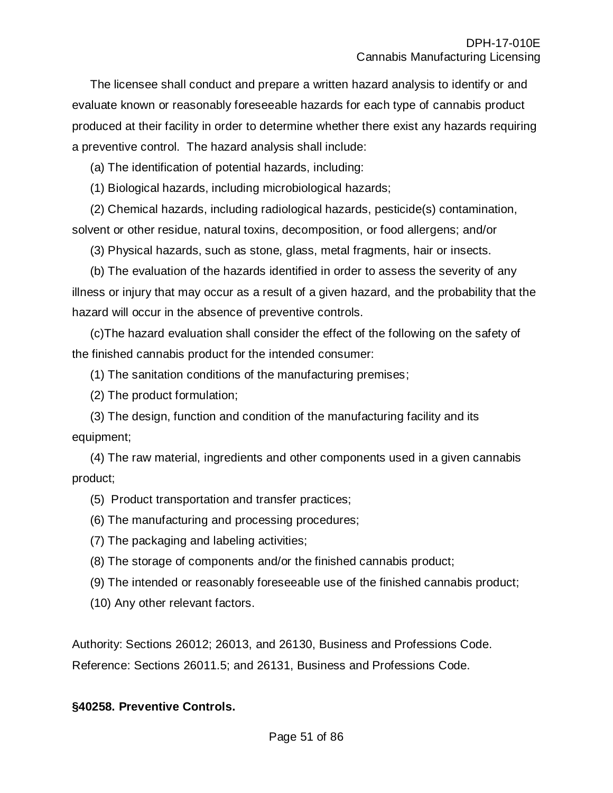The licensee shall conduct and prepare a written hazard analysis to identify or and evaluate known or reasonably foreseeable hazards for each type of cannabis product produced at their facility in order to determine whether there exist any hazards requiring a preventive control. The hazard analysis shall include:

(a) The identification of potential hazards, including:

(1) Biological hazards, including microbiological hazards;

(2) Chemical hazards, including radiological hazards, pesticide(s) contamination, solvent or other residue, natural toxins, decomposition, or food allergens; and/or

(3) Physical hazards, such as stone, glass, metal fragments, hair or insects.

(b) The evaluation of the hazards identified in order to assess the severity of any illness or injury that may occur as a result of a given hazard, and the probability that the hazard will occur in the absence of preventive controls.

(c)The hazard evaluation shall consider the effect of the following on the safety of the finished cannabis product for the intended consumer:

(1) The sanitation conditions of the manufacturing premises;

(2) The product formulation;

(3) The design, function and condition of the manufacturing facility and its equipment;

(4) The raw material, ingredients and other components used in a given cannabis product;

(5) Product transportation and transfer practices;

(6) The manufacturing and processing procedures;

(7) The packaging and labeling activities;

(8) The storage of components and/or the finished cannabis product;

(9) The intended or reasonably foreseeable use of the finished cannabis product;

(10) Any other relevant factors.

Authority: Sections 26012; 26013, and 26130, Business and Professions Code. Reference: Sections 26011.5; and 26131, Business and Professions Code.

# **§40258. Preventive Controls.**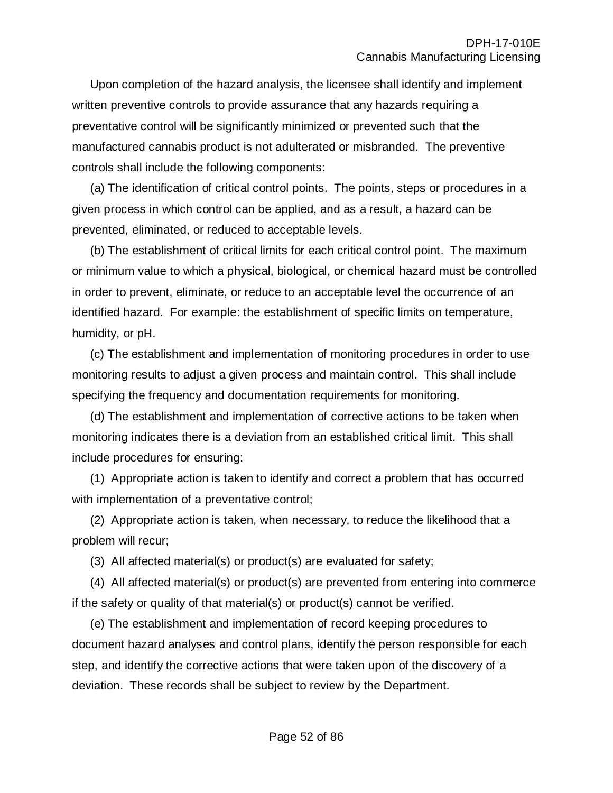Upon completion of the hazard analysis, the licensee shall identify and implement written preventive controls to provide assurance that any hazards requiring a preventative control will be significantly minimized or prevented such that the manufactured cannabis product is not adulterated or misbranded. The preventive controls shall include the following components:

(a) The identification of critical control points. The points, steps or procedures in a given process in which control can be applied, and as a result, a hazard can be prevented, eliminated, or reduced to acceptable levels.

(b) The establishment of critical limits for each critical control point. The maximum or minimum value to which a physical, biological, or chemical hazard must be controlled in order to prevent, eliminate, or reduce to an acceptable level the occurrence of an identified hazard. For example: the establishment of specific limits on temperature, humidity, or pH.

(c) The establishment and implementation of monitoring procedures in order to use monitoring results to adjust a given process and maintain control. This shall include specifying the frequency and documentation requirements for monitoring.

(d) The establishment and implementation of corrective actions to be taken when monitoring indicates there is a deviation from an established critical limit. This shall include procedures for ensuring:

(1) Appropriate action is taken to identify and correct a problem that has occurred with implementation of a preventative control;

(2) Appropriate action is taken, when necessary, to reduce the likelihood that a problem will recur;

(3) All affected material(s) or product(s) are evaluated for safety;

(4) All affected material(s) or product(s) are prevented from entering into commerce if the safety or quality of that material(s) or product(s) cannot be verified.

(e) The establishment and implementation of record keeping procedures to document hazard analyses and control plans, identify the person responsible for each step, and identify the corrective actions that were taken upon of the discovery of a deviation. These records shall be subject to review by the Department.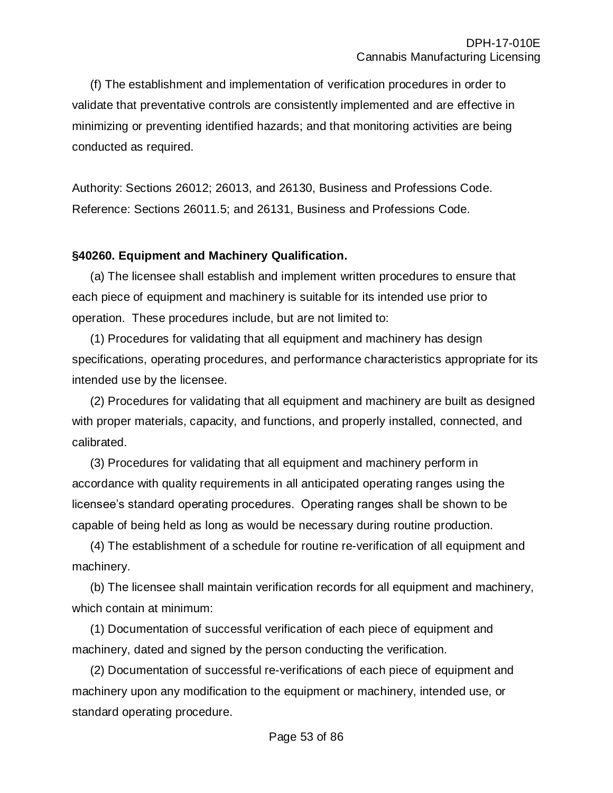(f) The establishment and implementation of verification procedures in order to validate that preventative controls are consistently implemented and are effective in minimizing or preventing identified hazards; and that monitoring activities are being conducted as required.

Authority: Sections 26012; 26013, and 26130, Business and Professions Code. Reference: Sections 26011.5; and 26131, Business and Professions Code.

# **§40260. Equipment and Machinery Qualification.**

(a) The licensee shall establish and implement written procedures to ensure that each piece of equipment and machinery is suitable for its intended use prior to operation. These procedures include, but are not limited to:

(1) Procedures for validating that all equipment and machinery has design specifications, operating procedures, and performance characteristics appropriate for its intended use by the licensee.

(2) Procedures for validating that all equipment and machinery are built as designed with proper materials, capacity, and functions, and properly installed, connected, and calibrated.

(3) Procedures for validating that all equipment and machinery perform in accordance with quality requirements in all anticipated operating ranges using the licensee's standard operating procedures. Operating ranges shall be shown to be capable of being held as long as would be necessary during routine production.

(4) The establishment of a schedule for routine re-verification of all equipment and machinery.

(b) The licensee shall maintain verification records for all equipment and machinery, which contain at minimum:

(1) Documentation of successful verification of each piece of equipment and machinery, dated and signed by the person conducting the verification.

(2) Documentation of successful re-verifications of each piece of equipment and machinery upon any modification to the equipment or machinery, intended use, or standard operating procedure.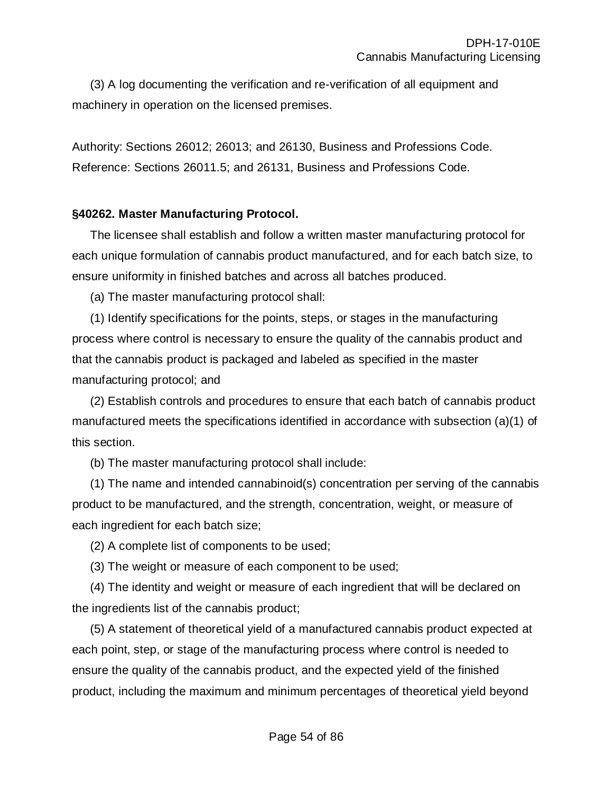(3) A log documenting the verification and re-verification of all equipment and machinery in operation on the licensed premises.

Authority: Sections 26012; 26013; and 26130, Business and Professions Code. Reference: Sections 26011.5; and 26131, Business and Professions Code.

#### **§40262. Master Manufacturing Protocol.**

The licensee shall establish and follow a written master manufacturing protocol for each unique formulation of cannabis product manufactured, and for each batch size, to ensure uniformity in finished batches and across all batches produced.

(a) The master manufacturing protocol shall:

(1) Identify specifications for the points, steps, or stages in the manufacturing process where control is necessary to ensure the quality of the cannabis product and that the cannabis product is packaged and labeled as specified in the master manufacturing protocol; and

(2) Establish controls and procedures to ensure that each batch of cannabis product manufactured meets the specifications identified in accordance with subsection (a)(1) of this section.

(b) The master manufacturing protocol shall include:

(1) The name and intended cannabinoid(s) concentration per serving of the cannabis product to be manufactured, and the strength, concentration, weight, or measure of each ingredient for each batch size;

(2) A complete list of components to be used;

(3) The weight or measure of each component to be used;

(4) The identity and weight or measure of each ingredient that will be declared on the ingredients list of the cannabis product;

(5) A statement of theoretical yield of a manufactured cannabis product expected at each point, step, or stage of the manufacturing process where control is needed to ensure the quality of the cannabis product, and the expected yield of the finished product, including the maximum and minimum percentages of theoretical yield beyond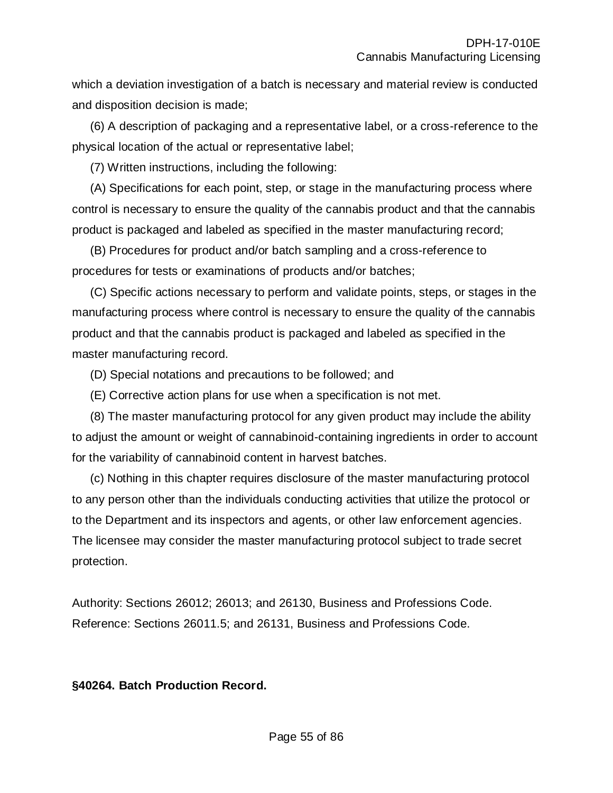which a deviation investigation of a batch is necessary and material review is conducted and disposition decision is made;

(6) A description of packaging and a representative label, or a cross-reference to the physical location of the actual or representative label;

(7) Written instructions, including the following:

(A) Specifications for each point, step, or stage in the manufacturing process where control is necessary to ensure the quality of the cannabis product and that the cannabis product is packaged and labeled as specified in the master manufacturing record;

(B) Procedures for product and/or batch sampling and a cross-reference to procedures for tests or examinations of products and/or batches;

(C) Specific actions necessary to perform and validate points, steps, or stages in the manufacturing process where control is necessary to ensure the quality of the cannabis product and that the cannabis product is packaged and labeled as specified in the master manufacturing record.

(D) Special notations and precautions to be followed; and

(E) Corrective action plans for use when a specification is not met.

(8) The master manufacturing protocol for any given product may include the ability to adjust the amount or weight of cannabinoid-containing ingredients in order to account for the variability of cannabinoid content in harvest batches.

(c) Nothing in this chapter requires disclosure of the master manufacturing protocol to any person other than the individuals conducting activities that utilize the protocol or to the Department and its inspectors and agents, or other law enforcement agencies. The licensee may consider the master manufacturing protocol subject to trade secret protection.

Authority: Sections 26012; 26013; and 26130, Business and Professions Code. Reference: Sections 26011.5; and 26131, Business and Professions Code.

**§40264. Batch Production Record.**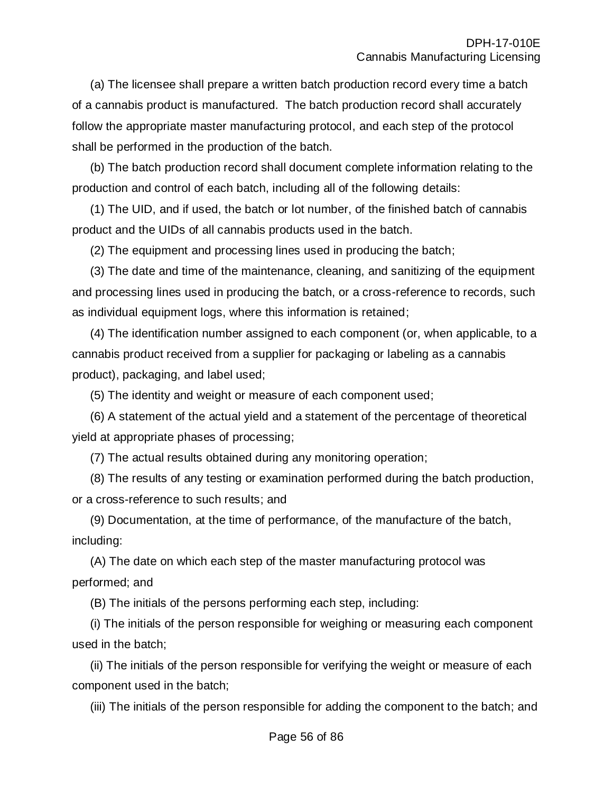(a) The licensee shall prepare a written batch production record every time a batch of a cannabis product is manufactured. The batch production record shall accurately follow the appropriate master manufacturing protocol, and each step of the protocol shall be performed in the production of the batch.

(b) The batch production record shall document complete information relating to the production and control of each batch, including all of the following details:

(1) The UID, and if used, the batch or lot number, of the finished batch of cannabis product and the UIDs of all cannabis products used in the batch.

(2) The equipment and processing lines used in producing the batch;

(3) The date and time of the maintenance, cleaning, and sanitizing of the equipment and processing lines used in producing the batch, or a cross-reference to records, such as individual equipment logs, where this information is retained;

(4) The identification number assigned to each component (or, when applicable, to a cannabis product received from a supplier for packaging or labeling as a cannabis product), packaging, and label used;

(5) The identity and weight or measure of each component used;

(6) A statement of the actual yield and a statement of the percentage of theoretical yield at appropriate phases of processing;

(7) The actual results obtained during any monitoring operation;

(8) The results of any testing or examination performed during the batch production, or a cross-reference to such results; and

(9) Documentation, at the time of performance, of the manufacture of the batch, including:

(A) The date on which each step of the master manufacturing protocol was performed; and

(B) The initials of the persons performing each step, including:

(i) The initials of the person responsible for weighing or measuring each component used in the batch;

(ii) The initials of the person responsible for verifying the weight or measure of each component used in the batch;

(iii) The initials of the person responsible for adding the component to the batch; and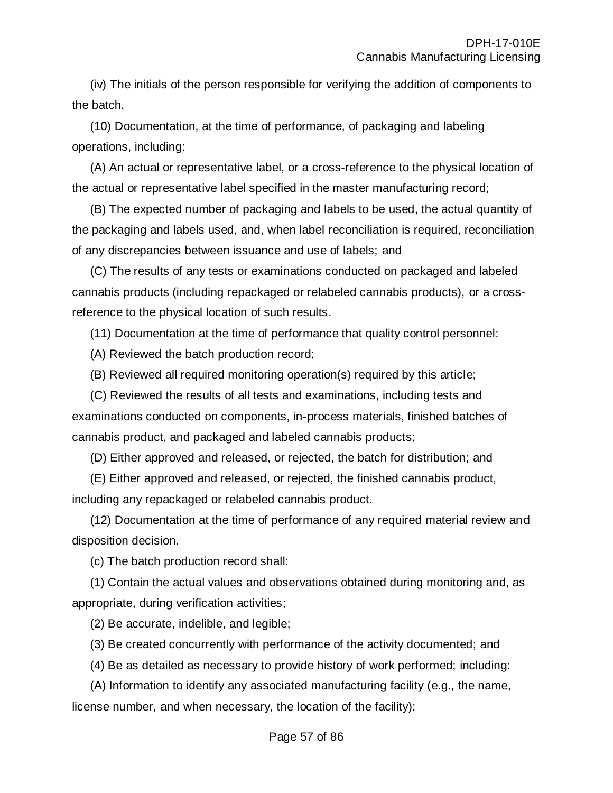(iv) The initials of the person responsible for verifying the addition of components to the batch.

(10) Documentation, at the time of performance, of packaging and labeling operations, including:

(A) An actual or representative label, or a cross-reference to the physical location of the actual or representative label specified in the master manufacturing record;

(B) The expected number of packaging and labels to be used, the actual quantity of the packaging and labels used, and, when label reconciliation is required, reconciliation of any discrepancies between issuance and use of labels; and

(C) The results of any tests or examinations conducted on packaged and labeled cannabis products (including repackaged or relabeled cannabis products), or a crossreference to the physical location of such results.

(11) Documentation at the time of performance that quality control personnel:

(A) Reviewed the batch production record;

(B) Reviewed all required monitoring operation(s) required by this article;

(C) Reviewed the results of all tests and examinations, including tests and examinations conducted on components, in-process materials, finished batches of cannabis product, and packaged and labeled cannabis products;

(D) Either approved and released, or rejected, the batch for distribution; and

(E) Either approved and released, or rejected, the finished cannabis product, including any repackaged or relabeled cannabis product.

(12) Documentation at the time of performance of any required material review and disposition decision.

(c) The batch production record shall:

(1) Contain the actual values and observations obtained during monitoring and, as appropriate, during verification activities;

(2) Be accurate, indelible, and legible;

(3) Be created concurrently with performance of the activity documented; and

(4) Be as detailed as necessary to provide history of work performed; including:

(A) Information to identify any associated manufacturing facility (e.g., the name, license number, and when necessary, the location of the facility);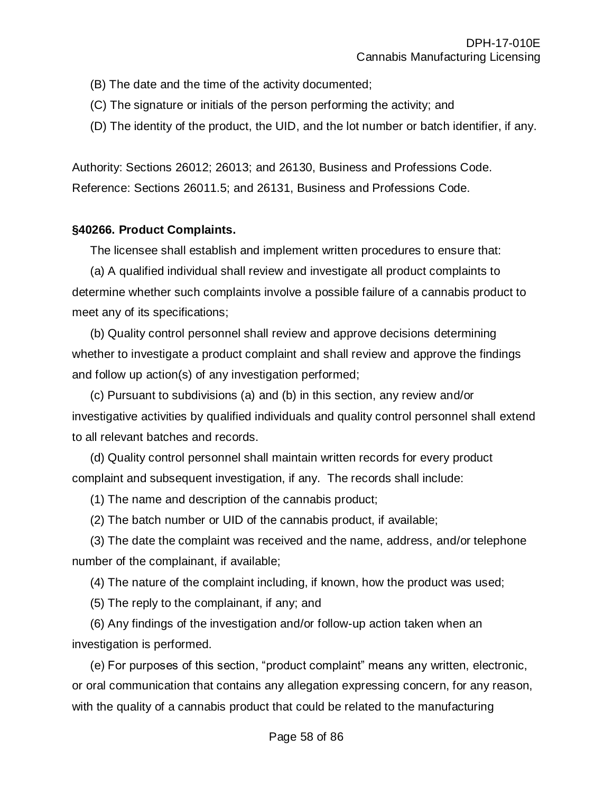- (B) The date and the time of the activity documented;
- (C) The signature or initials of the person performing the activity; and
- (D) The identity of the product, the UID, and the lot number or batch identifier, if any.

Authority: Sections 26012; 26013; and 26130, Business and Professions Code. Reference: Sections 26011.5; and 26131, Business and Professions Code.

#### **§40266. Product Complaints.**

The licensee shall establish and implement written procedures to ensure that:

(a) A qualified individual shall review and investigate all product complaints to determine whether such complaints involve a possible failure of a cannabis product to meet any of its specifications;

(b) Quality control personnel shall review and approve decisions determining whether to investigate a product complaint and shall review and approve the findings and follow up action(s) of any investigation performed;

(c) Pursuant to subdivisions (a) and (b) in this section, any review and/or investigative activities by qualified individuals and quality control personnel shall extend to all relevant batches and records.

(d) Quality control personnel shall maintain written records for every product complaint and subsequent investigation, if any. The records shall include:

(1) The name and description of the cannabis product;

(2) The batch number or UID of the cannabis product, if available;

(3) The date the complaint was received and the name, address, and/or telephone number of the complainant, if available;

(4) The nature of the complaint including, if known, how the product was used;

(5) The reply to the complainant, if any; and

(6) Any findings of the investigation and/or follow-up action taken when an investigation is performed.

(e) For purposes of this section, "product complaint" means any written, electronic, or oral communication that contains any allegation expressing concern, for any reason, with the quality of a cannabis product that could be related to the manufacturing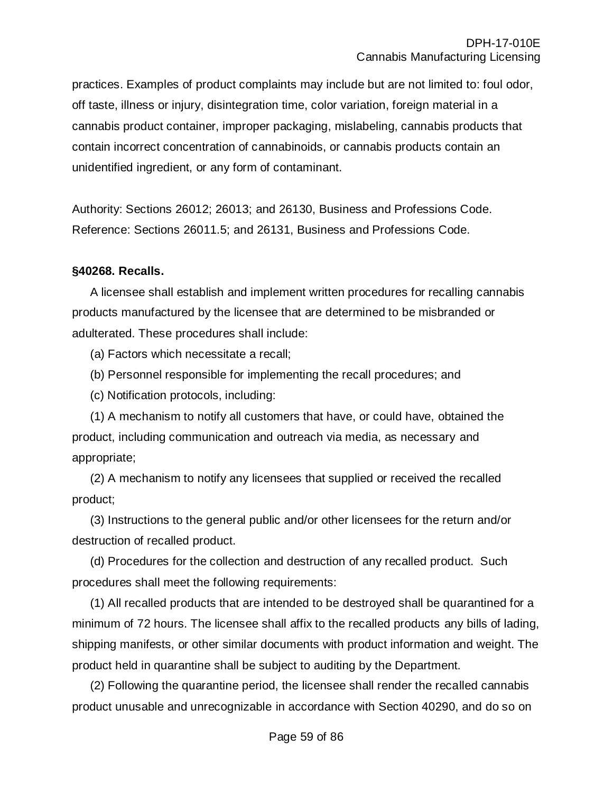practices. Examples of product complaints may include but are not limited to: foul odor, off taste, illness or injury, disintegration time, color variation, foreign material in a cannabis product container, improper packaging, mislabeling, cannabis products that contain incorrect concentration of cannabinoids, or cannabis products contain an unidentified ingredient, or any form of contaminant.

Authority: Sections 26012; 26013; and 26130, Business and Professions Code. Reference: Sections 26011.5; and 26131, Business and Professions Code.

# **§40268. Recalls.**

A licensee shall establish and implement written procedures for recalling cannabis products manufactured by the licensee that are determined to be misbranded or adulterated. These procedures shall include:

(a) Factors which necessitate a recall;

(b) Personnel responsible for implementing the recall procedures; and

(c) Notification protocols, including:

(1) A mechanism to notify all customers that have, or could have, obtained the product, including communication and outreach via media, as necessary and appropriate;

(2) A mechanism to notify any licensees that supplied or received the recalled product;

(3) Instructions to the general public and/or other licensees for the return and/or destruction of recalled product.

(d) Procedures for the collection and destruction of any recalled product. Such procedures shall meet the following requirements:

(1) All recalled products that are intended to be destroyed shall be quarantined for a minimum of 72 hours. The licensee shall affix to the recalled products any bills of lading, shipping manifests, or other similar documents with product information and weight. The product held in quarantine shall be subject to auditing by the Department.

(2) Following the quarantine period, the licensee shall render the recalled cannabis product unusable and unrecognizable in accordance with Section 40290, and do so on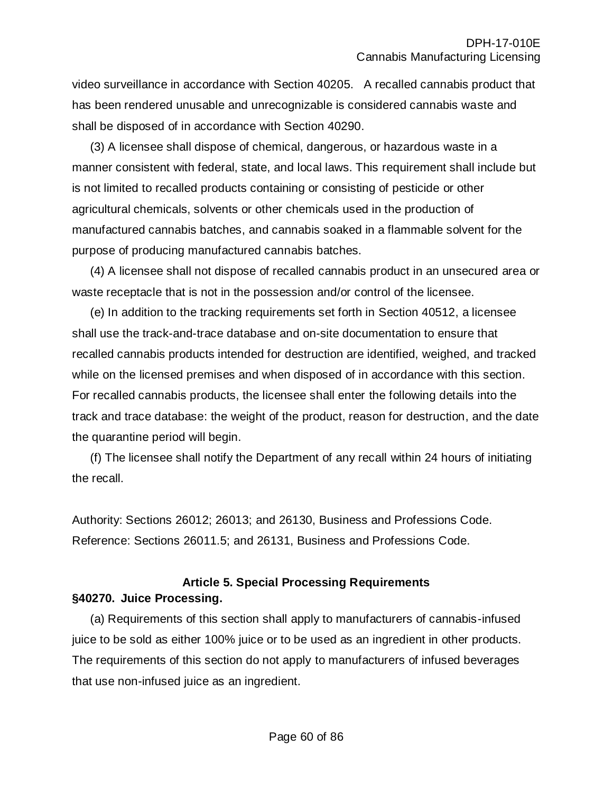video surveillance in accordance with Section 40205. A recalled cannabis product that has been rendered unusable and unrecognizable is considered cannabis waste and shall be disposed of in accordance with Section 40290.

(3) A licensee shall dispose of chemical, dangerous, or hazardous waste in a manner consistent with federal, state, and local laws. This requirement shall include but is not limited to recalled products containing or consisting of pesticide or other agricultural chemicals, solvents or other chemicals used in the production of manufactured cannabis batches, and cannabis soaked in a flammable solvent for the purpose of producing manufactured cannabis batches.

(4) A licensee shall not dispose of recalled cannabis product in an unsecured area or waste receptacle that is not in the possession and/or control of the licensee.

(e) In addition to the tracking requirements set forth in Section 40512, a licensee shall use the track-and-trace database and on-site documentation to ensure that recalled cannabis products intended for destruction are identified, weighed, and tracked while on the licensed premises and when disposed of in accordance with this section. For recalled cannabis products, the licensee shall enter the following details into the track and trace database: the weight of the product, reason for destruction, and the date the quarantine period will begin.

(f) The licensee shall notify the Department of any recall within 24 hours of initiating the recall.

Authority: Sections 26012; 26013; and 26130, Business and Professions Code. Reference: Sections 26011.5; and 26131, Business and Professions Code.

# **Article 5. Special Processing Requirements §40270. Juice Processing.**

(a) Requirements of this section shall apply to manufacturers of cannabis-infused juice to be sold as either 100% juice or to be used as an ingredient in other products. The requirements of this section do not apply to manufacturers of infused beverages that use non-infused juice as an ingredient.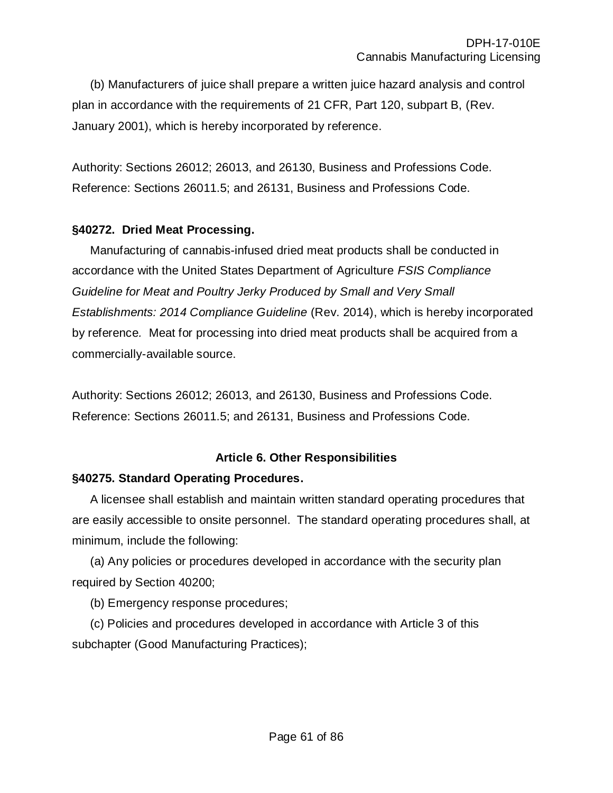(b) Manufacturers of juice shall prepare a written juice hazard analysis and control plan in accordance with the requirements of 21 CFR, Part 120, subpart B, (Rev. January 2001), which is hereby incorporated by reference.

Authority: Sections 26012; 26013, and 26130, Business and Professions Code. Reference: Sections 26011.5; and 26131, Business and Professions Code.

# **§40272. Dried Meat Processing.**

Manufacturing of cannabis-infused dried meat products shall be conducted in accordance with the United States Department of Agriculture *FSIS Compliance Guideline for Meat and Poultry Jerky Produced by Small and Very Small Establishments: 2014 Compliance Guideline* (Rev. 2014), which is hereby incorporated by reference*.* Meat for processing into dried meat products shall be acquired from a commercially-available source.

Authority: Sections 26012; 26013, and 26130, Business and Professions Code. Reference: Sections 26011.5; and 26131, Business and Professions Code.

# **Article 6. Other Responsibilities**

# **§40275. Standard Operating Procedures.**

A licensee shall establish and maintain written standard operating procedures that are easily accessible to onsite personnel. The standard operating procedures shall, at minimum, include the following:

(a) Any policies or procedures developed in accordance with the security plan required by Section 40200;

(b) Emergency response procedures;

(c) Policies and procedures developed in accordance with Article 3 of this subchapter (Good Manufacturing Practices);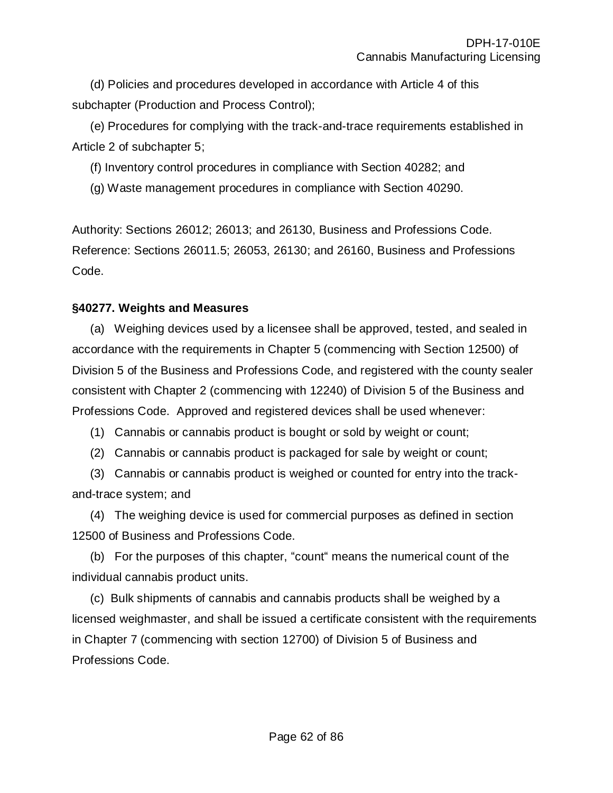(d) Policies and procedures developed in accordance with Article 4 of this subchapter (Production and Process Control);

(e) Procedures for complying with the track-and-trace requirements established in Article 2 of subchapter 5;

(f) Inventory control procedures in compliance with Section 40282; and

(g) Waste management procedures in compliance with Section 40290.

Authority: Sections 26012; 26013; and 26130, Business and Professions Code. Reference: Sections 26011.5; 26053, 26130; and 26160, Business and Professions Code.

# **§40277. Weights and Measures**

(a) Weighing devices used by a licensee shall be approved, tested, and sealed in accordance with the requirements in Chapter 5 (commencing with Section 12500) of Division 5 of the Business and Professions Code, and registered with the county sealer consistent with Chapter 2 (commencing with 12240) of Division 5 of the Business and Professions Code. Approved and registered devices shall be used whenever:

- (1) Cannabis or cannabis product is bought or sold by weight or count;
- (2) Cannabis or cannabis product is packaged for sale by weight or count;

(3) Cannabis or cannabis product is weighed or counted for entry into the trackand-trace system; and

(4) The weighing device is used for commercial purposes as defined in section 12500 of Business and Professions Code.

(b) For the purposes of this chapter, "count" means the numerical count of the individual cannabis product units.

(c) Bulk shipments of cannabis and cannabis products shall be weighed by a licensed weighmaster, and shall be issued a certificate consistent with the requirements in Chapter 7 (commencing with section 12700) of Division 5 of Business and Professions Code.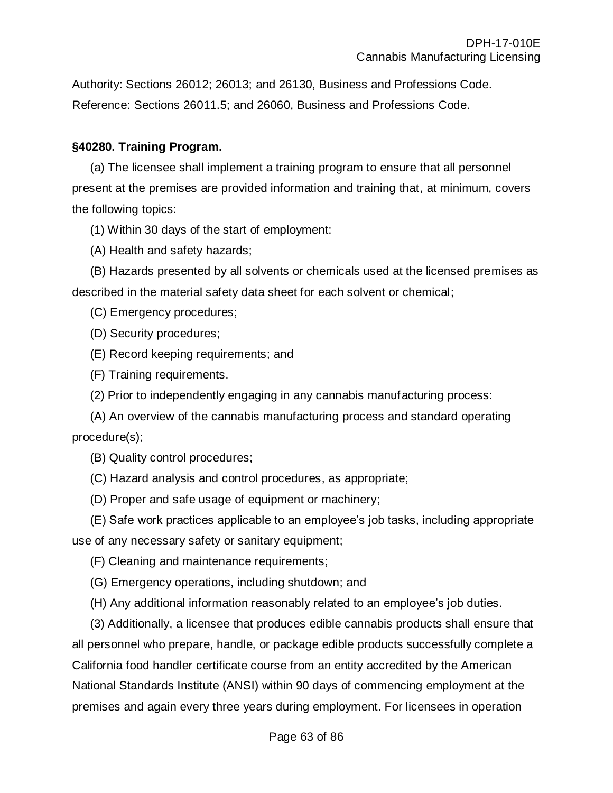Authority: Sections 26012; 26013; and 26130, Business and Professions Code. Reference: Sections 26011.5; and 26060, Business and Professions Code.

# **§40280. Training Program.**

(a) The licensee shall implement a training program to ensure that all personnel present at the premises are provided information and training that, at minimum, covers the following topics:

(1) Within 30 days of the start of employment:

(A) Health and safety hazards;

(B) Hazards presented by all solvents or chemicals used at the licensed premises as described in the material safety data sheet for each solvent or chemical;

(C) Emergency procedures;

(D) Security procedures;

(E) Record keeping requirements; and

(F) Training requirements.

(2) Prior to independently engaging in any cannabis manufacturing process:

(A) An overview of the cannabis manufacturing process and standard operating procedure(s);

(B) Quality control procedures;

(C) Hazard analysis and control procedures, as appropriate;

(D) Proper and safe usage of equipment or machinery;

(E) Safe work practices applicable to an employee's job tasks, including appropriate use of any necessary safety or sanitary equipment;

(F) Cleaning and maintenance requirements;

(G) Emergency operations, including shutdown; and

(H) Any additional information reasonably related to an employee's job duties.

(3) Additionally, a licensee that produces edible cannabis products shall ensure that all personnel who prepare, handle, or package edible products successfully complete a California food handler certificate course from an entity accredited by the American National Standards Institute (ANSI) within 90 days of commencing employment at the premises and again every three years during employment. For licensees in operation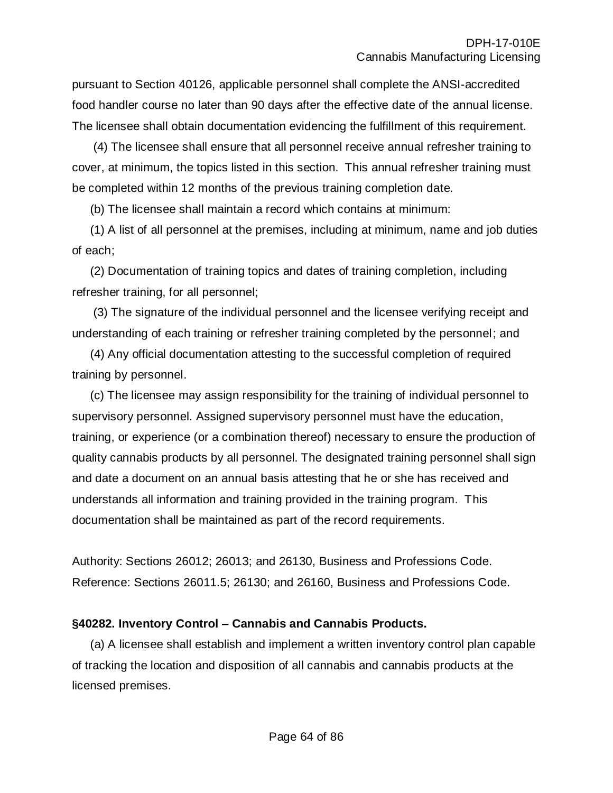pursuant to Section 40126, applicable personnel shall complete the ANSI-accredited food handler course no later than 90 days after the effective date of the annual license. The licensee shall obtain documentation evidencing the fulfillment of this requirement.

(4) The licensee shall ensure that all personnel receive annual refresher training to cover, at minimum, the topics listed in this section. This annual refresher training must be completed within 12 months of the previous training completion date.

(b) The licensee shall maintain a record which contains at minimum:

(1) A list of all personnel at the premises, including at minimum, name and job duties of each;

(2) Documentation of training topics and dates of training completion, including refresher training, for all personnel;

(3) The signature of the individual personnel and the licensee verifying receipt and understanding of each training or refresher training completed by the personnel; and

(4) Any official documentation attesting to the successful completion of required training by personnel.

(c) The licensee may assign responsibility for the training of individual personnel to supervisory personnel. Assigned supervisory personnel must have the education, training, or experience (or a combination thereof) necessary to ensure the production of quality cannabis products by all personnel. The designated training personnel shall sign and date a document on an annual basis attesting that he or she has received and understands all information and training provided in the training program. This documentation shall be maintained as part of the record requirements.

Authority: Sections 26012; 26013; and 26130, Business and Professions Code. Reference: Sections 26011.5; 26130; and 26160, Business and Professions Code.

# **§40282. Inventory Control – Cannabis and Cannabis Products.**

(a) A licensee shall establish and implement a written inventory control plan capable of tracking the location and disposition of all cannabis and cannabis products at the licensed premises.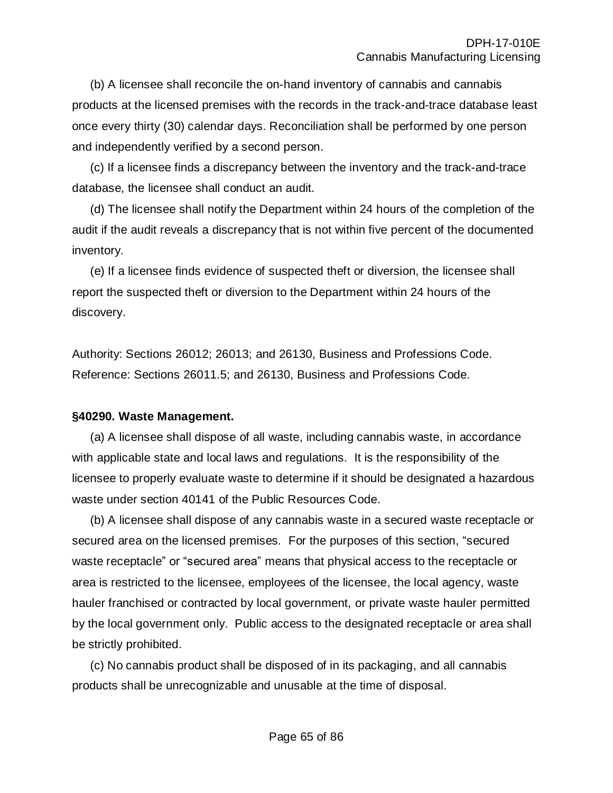(b) A licensee shall reconcile the on-hand inventory of cannabis and cannabis products at the licensed premises with the records in the track-and-trace database least once every thirty (30) calendar days. Reconciliation shall be performed by one person and independently verified by a second person.

(c) If a licensee finds a discrepancy between the inventory and the track-and-trace database, the licensee shall conduct an audit.

(d) The licensee shall notify the Department within 24 hours of the completion of the audit if the audit reveals a discrepancy that is not within five percent of the documented inventory.

(e) If a licensee finds evidence of suspected theft or diversion, the licensee shall report the suspected theft or diversion to the Department within 24 hours of the discovery.

Authority: Sections 26012; 26013; and 26130, Business and Professions Code. Reference: Sections 26011.5; and 26130, Business and Professions Code.

# **§40290. Waste Management.**

(a) A licensee shall dispose of all waste, including cannabis waste, in accordance with applicable state and local laws and regulations. It is the responsibility of the licensee to properly evaluate waste to determine if it should be designated a hazardous waste under section 40141 of the Public Resources Code.

(b) A licensee shall dispose of any cannabis waste in a secured waste receptacle or secured area on the licensed premises. For the purposes of this section, "secured waste receptacle" or "secured area" means that physical access to the receptacle or area is restricted to the licensee, employees of the licensee, the local agency, waste hauler franchised or contracted by local government, or private waste hauler permitted by the local government only. Public access to the designated receptacle or area shall be strictly prohibited.

(c) No cannabis product shall be disposed of in its packaging, and all cannabis products shall be unrecognizable and unusable at the time of disposal.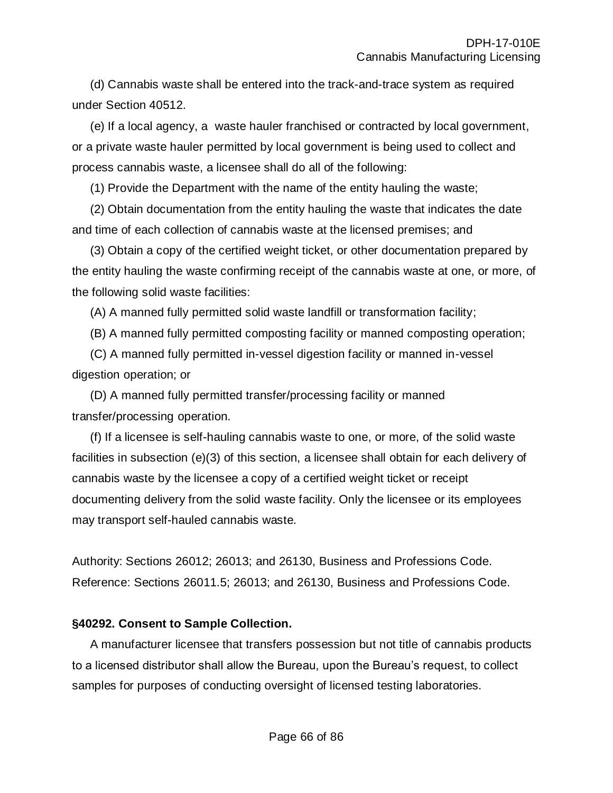(d) Cannabis waste shall be entered into the track-and-trace system as required under Section 40512.

(e) If a local agency, a waste hauler franchised or contracted by local government, or a private waste hauler permitted by local government is being used to collect and process cannabis waste, a licensee shall do all of the following:

(1) Provide the Department with the name of the entity hauling the waste;

(2) Obtain documentation from the entity hauling the waste that indicates the date and time of each collection of cannabis waste at the licensed premises; and

(3) Obtain a copy of the certified weight ticket, or other documentation prepared by the entity hauling the waste confirming receipt of the cannabis waste at one, or more, of the following solid waste facilities:

(A) A manned fully permitted solid waste landfill or transformation facility;

(B) A manned fully permitted composting facility or manned composting operation;

(C) A manned fully permitted in-vessel digestion facility or manned in-vessel digestion operation; or

(D) A manned fully permitted transfer/processing facility or manned transfer/processing operation.

(f) If a licensee is self-hauling cannabis waste to one, or more, of the solid waste facilities in subsection (e)(3) of this section, a licensee shall obtain for each delivery of cannabis waste by the licensee a copy of a certified weight ticket or receipt documenting delivery from the solid waste facility. Only the licensee or its employees may transport self-hauled cannabis waste.

Authority: Sections 26012; 26013; and 26130, Business and Professions Code. Reference: Sections 26011.5; 26013; and 26130, Business and Professions Code.

#### **§40292. Consent to Sample Collection.**

A manufacturer licensee that transfers possession but not title of cannabis products to a licensed distributor shall allow the Bureau, upon the Bureau's request, to collect samples for purposes of conducting oversight of licensed testing laboratories.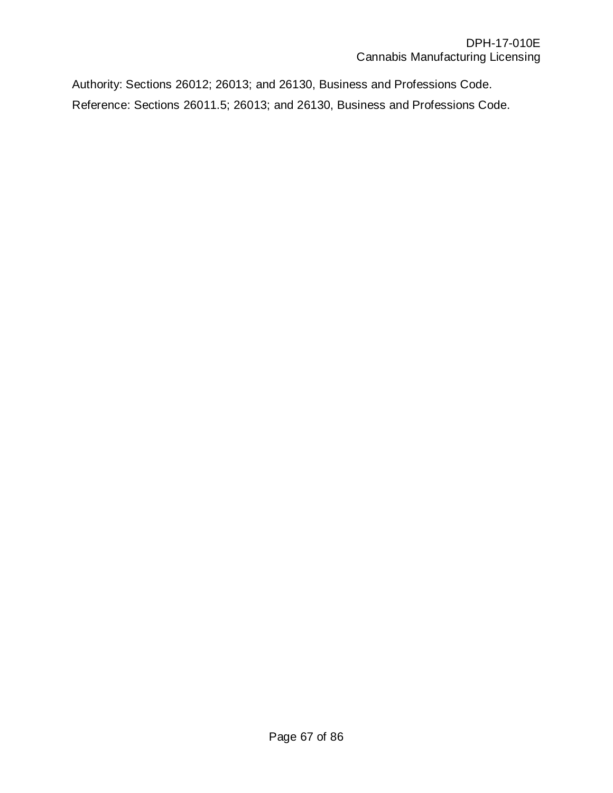Authority: Sections 26012; 26013; and 26130, Business and Professions Code. Reference: Sections 26011.5; 26013; and 26130, Business and Professions Code.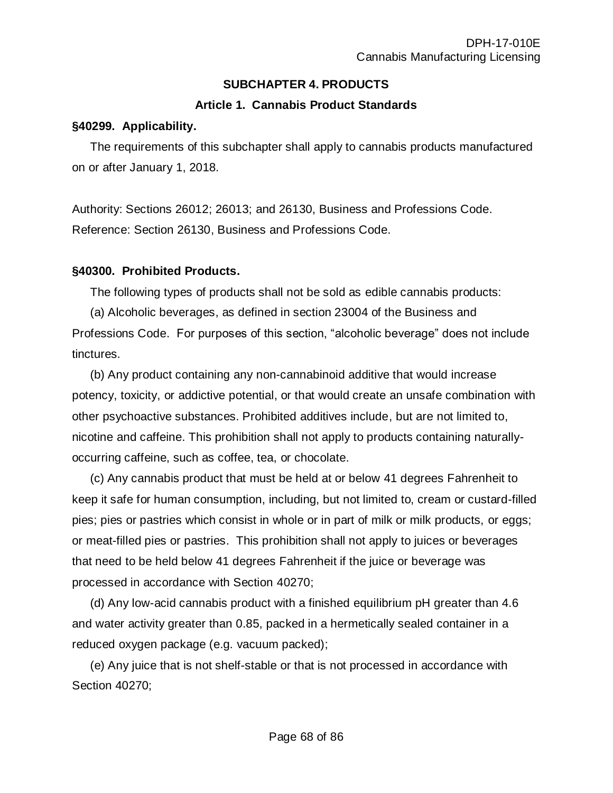# **SUBCHAPTER 4. PRODUCTS**

# **Article 1. Cannabis Product Standards**

#### **§40299. Applicability.**

The requirements of this subchapter shall apply to cannabis products manufactured on or after January 1, 2018.

Authority: Sections 26012; 26013; and 26130, Business and Professions Code. Reference: Section 26130, Business and Professions Code.

# **§40300. Prohibited Products.**

The following types of products shall not be sold as edible cannabis products:

(a) Alcoholic beverages, as defined in section 23004 of the Business and Professions Code. For purposes of this section, "alcoholic beverage" does not include tinctures.

(b) Any product containing any non-cannabinoid additive that would increase potency, toxicity, or addictive potential, or that would create an unsafe combination with other psychoactive substances. Prohibited additives include, but are not limited to, nicotine and caffeine. This prohibition shall not apply to products containing naturallyoccurring caffeine, such as coffee, tea, or chocolate.

(c) Any cannabis product that must be held at or below 41 degrees Fahrenheit to keep it safe for human consumption, including, but not limited to, cream or custard-filled pies; pies or pastries which consist in whole or in part of milk or milk products, or eggs; or meat-filled pies or pastries. This prohibition shall not apply to juices or beverages that need to be held below 41 degrees Fahrenheit if the juice or beverage was processed in accordance with Section 40270;

(d) Any low-acid cannabis product with a finished equilibrium pH greater than 4.6 and water activity greater than 0.85, packed in a hermetically sealed container in a reduced oxygen package (e.g. vacuum packed);

(e) Any juice that is not shelf-stable or that is not processed in accordance with Section 40270;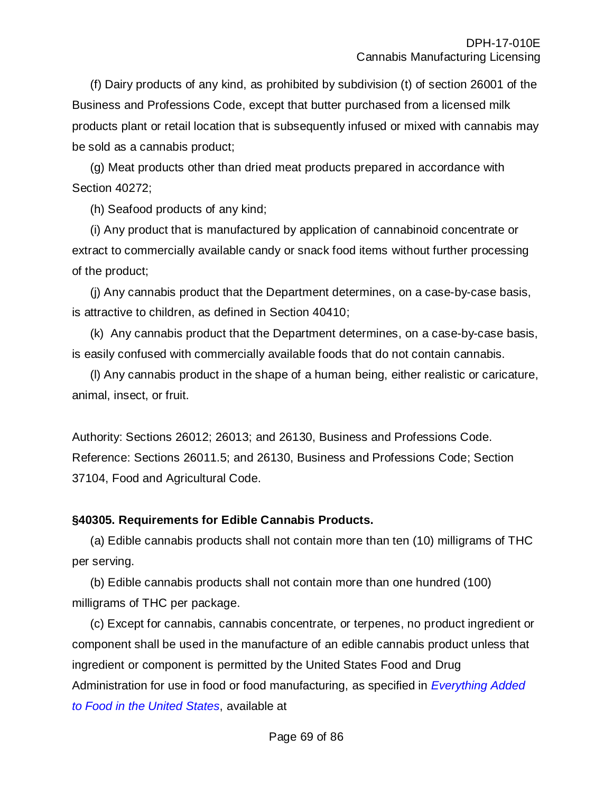(f) Dairy products of any kind, as prohibited by subdivision (t) of section 26001 of the Business and Professions Code, except that butter purchased from a licensed milk products plant or retail location that is subsequently infused or mixed with cannabis may be sold as a cannabis product;

(g) Meat products other than dried meat products prepared in accordance with Section 40272;

(h) Seafood products of any kind;

(i) Any product that is manufactured by application of cannabinoid concentrate or extract to commercially available candy or snack food items without further processing of the product;

(j) Any cannabis product that the Department determines, on a case-by-case basis, is attractive to children, as defined in Section 40410;

(k) Any cannabis product that the Department determines, on a case-by-case basis, is easily confused with commercially available foods that do not contain cannabis.

(l) Any cannabis product in the shape of a human being, either realistic or caricature, animal, insect, or fruit.

Authority: Sections 26012; 26013; and 26130, Business and Professions Code. Reference: Sections 26011.5; and 26130, Business and Professions Code; Section 37104, Food and Agricultural Code.

# **§40305. Requirements for Edible Cannabis Products.**

(a) Edible cannabis products shall not contain more than ten (10) milligrams of THC per serving.

(b) Edible cannabis products shall not contain more than one hundred (100) milligrams of THC per package.

(c) Except for cannabis, cannabis concentrate, or terpenes, no product ingredient or component shall be used in the manufacture of an edible cannabis product unless that ingredient or component is permitted by the United States Food and Drug [Administration for use in food or food manufacturing, as specified in](https://www.fda.gov/Food/IngredientsPackagingLabeling/FoodAdditivesIngredients/ucm 115326.htm) *Everything Added to Food in the United States*, available at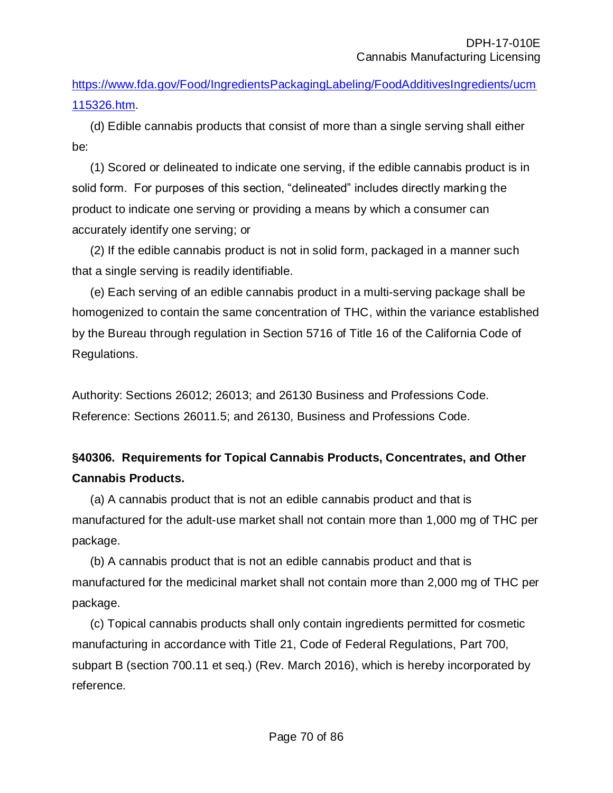[https://www.fda.gov/Food/IngredientsPackagingLabeling/FoodAdditivesIngredients/ucm](https://www.fda.gov/Food/IngredientsPackagingLabeling/FoodAdditivesIngredients/ucm115326.htm) [115326.htm.](https://www.fda.gov/Food/IngredientsPackagingLabeling/FoodAdditivesIngredients/ucm115326.htm)

(d) Edible cannabis products that consist of more than a single serving shall either be:

(1) Scored or delineated to indicate one serving, if the edible cannabis product is in solid form. For purposes of this section, "delineated" includes directly marking the product to indicate one serving or providing a means by which a consumer can accurately identify one serving; or

(2) If the edible cannabis product is not in solid form, packaged in a manner such that a single serving is readily identifiable.

(e) Each serving of an edible cannabis product in a multi-serving package shall be homogenized to contain the same concentration of THC, within the variance established by the Bureau through regulation in Section 5716 of Title 16 of the California Code of Regulations.

Authority: Sections 26012; 26013; and 26130 Business and Professions Code. Reference: Sections 26011.5; and 26130, Business and Professions Code.

# **§40306. Requirements for Topical Cannabis Products, Concentrates, and Other Cannabis Products.**

(a) A cannabis product that is not an edible cannabis product and that is manufactured for the adult-use market shall not contain more than 1,000 mg of THC per package.

(b) A cannabis product that is not an edible cannabis product and that is manufactured for the medicinal market shall not contain more than 2,000 mg of THC per package.

(c) Topical cannabis products shall only contain ingredients permitted for cosmetic manufacturing in accordance with Title 21, Code of Federal Regulations, Part 700, subpart B (section 700.11 et seq.) (Rev. March 2016), which is hereby incorporated by reference.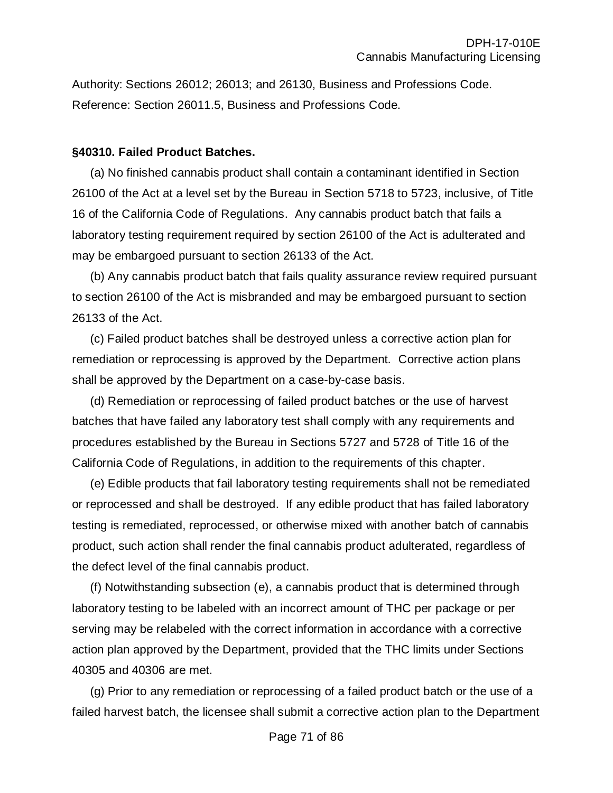Authority: Sections 26012; 26013; and 26130, Business and Professions Code. Reference: Section 26011.5, Business and Professions Code.

#### **§40310. Failed Product Batches.**

(a) No finished cannabis product shall contain a contaminant identified in Section 26100 of the Act at a level set by the Bureau in Section 5718 to 5723, inclusive, of Title 16 of the California Code of Regulations. Any cannabis product batch that fails a laboratory testing requirement required by section 26100 of the Act is adulterated and may be embargoed pursuant to section 26133 of the Act.

(b) Any cannabis product batch that fails quality assurance review required pursuant to section 26100 of the Act is misbranded and may be embargoed pursuant to section 26133 of the Act.

(c) Failed product batches shall be destroyed unless a corrective action plan for remediation or reprocessing is approved by the Department. Corrective action plans shall be approved by the Department on a case-by-case basis.

(d) Remediation or reprocessing of failed product batches or the use of harvest batches that have failed any laboratory test shall comply with any requirements and procedures established by the Bureau in Sections 5727 and 5728 of Title 16 of the California Code of Regulations, in addition to the requirements of this chapter.

(e) Edible products that fail laboratory testing requirements shall not be remediated or reprocessed and shall be destroyed. If any edible product that has failed laboratory testing is remediated, reprocessed, or otherwise mixed with another batch of cannabis product, such action shall render the final cannabis product adulterated, regardless of the defect level of the final cannabis product.

(f) Notwithstanding subsection (e), a cannabis product that is determined through laboratory testing to be labeled with an incorrect amount of THC per package or per serving may be relabeled with the correct information in accordance with a corrective action plan approved by the Department, provided that the THC limits under Sections 40305 and 40306 are met.

(g) Prior to any remediation or reprocessing of a failed product batch or the use of a failed harvest batch, the licensee shall submit a corrective action plan to the Department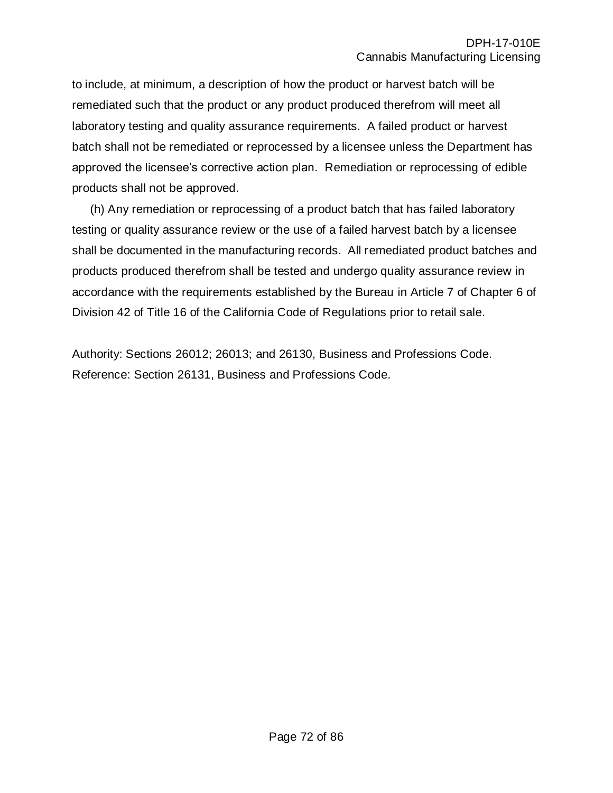to include, at minimum, a description of how the product or harvest batch will be remediated such that the product or any product produced therefrom will meet all laboratory testing and quality assurance requirements. A failed product or harvest batch shall not be remediated or reprocessed by a licensee unless the Department has approved the licensee's corrective action plan. Remediation or reprocessing of edible products shall not be approved.

(h) Any remediation or reprocessing of a product batch that has failed laboratory testing or quality assurance review or the use of a failed harvest batch by a licensee shall be documented in the manufacturing records. All remediated product batches and products produced therefrom shall be tested and undergo quality assurance review in accordance with the requirements established by the Bureau in Article 7 of Chapter 6 of Division 42 of Title 16 of the California Code of Regulations prior to retail sale.

Authority: Sections 26012; 26013; and 26130, Business and Professions Code. Reference: Section 26131, Business and Professions Code.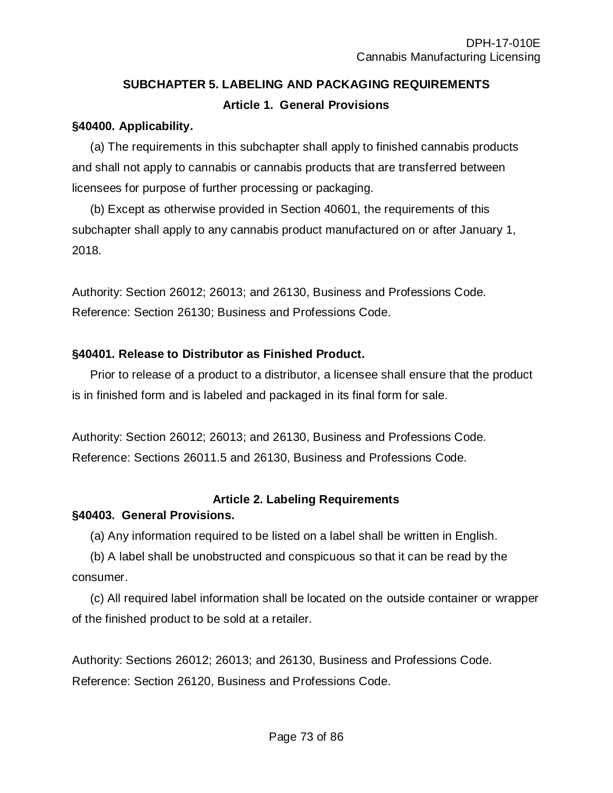# **SUBCHAPTER 5. LABELING AND PACKAGING REQUIREMENTS Article 1. General Provisions**

#### **§40400. Applicability.**

(a) The requirements in this subchapter shall apply to finished cannabis products and shall not apply to cannabis or cannabis products that are transferred between licensees for purpose of further processing or packaging.

(b) Except as otherwise provided in Section 40601, the requirements of this subchapter shall apply to any cannabis product manufactured on or after January 1, 2018.

Authority: Section 26012; 26013; and 26130, Business and Professions Code. Reference: Section 26130; Business and Professions Code.

## **§40401. Release to Distributor as Finished Product.**

Prior to release of a product to a distributor, a licensee shall ensure that the product is in finished form and is labeled and packaged in its final form for sale.

Authority: Section 26012; 26013; and 26130, Business and Professions Code. Reference: Sections 26011.5 and 26130, Business and Professions Code.

# **Article 2. Labeling Requirements**

# **§40403. General Provisions.**

(a) Any information required to be listed on a label shall be written in English.

(b) A label shall be unobstructed and conspicuous so that it can be read by the consumer.

(c) All required label information shall be located on the outside container or wrapper of the finished product to be sold at a retailer.

Authority: Sections 26012; 26013; and 26130, Business and Professions Code. Reference: Section 26120, Business and Professions Code.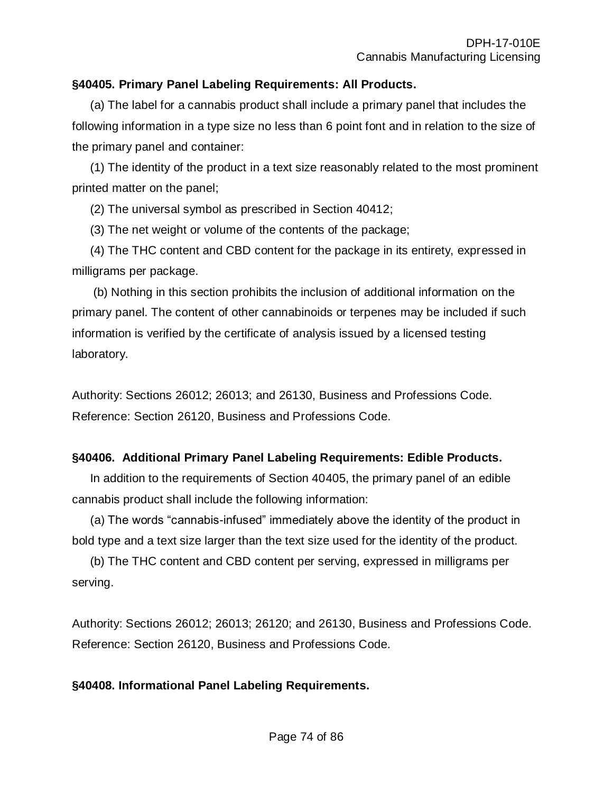## **§40405. Primary Panel Labeling Requirements: All Products.**

(a) The label for a cannabis product shall include a primary panel that includes the following information in a type size no less than 6 point font and in relation to the size of the primary panel and container:

(1) The identity of the product in a text size reasonably related to the most prominent printed matter on the panel;

(2) The universal symbol as prescribed in Section 40412;

(3) The net weight or volume of the contents of the package;

(4) The THC content and CBD content for the package in its entirety, expressed in milligrams per package.

(b) Nothing in this section prohibits the inclusion of additional information on the primary panel. The content of other cannabinoids or terpenes may be included if such information is verified by the certificate of analysis issued by a licensed testing laboratory.

Authority: Sections 26012; 26013; and 26130, Business and Professions Code. Reference: Section 26120, Business and Professions Code.

# **§40406. Additional Primary Panel Labeling Requirements: Edible Products.**

In addition to the requirements of Section 40405, the primary panel of an edible cannabis product shall include the following information:

(a) The words "cannabis-infused" immediately above the identity of the product in bold type and a text size larger than the text size used for the identity of the product.

(b) The THC content and CBD content per serving, expressed in milligrams per serving.

Authority: Sections 26012; 26013; 26120; and 26130, Business and Professions Code. Reference: Section 26120, Business and Professions Code.

# **§40408. Informational Panel Labeling Requirements.**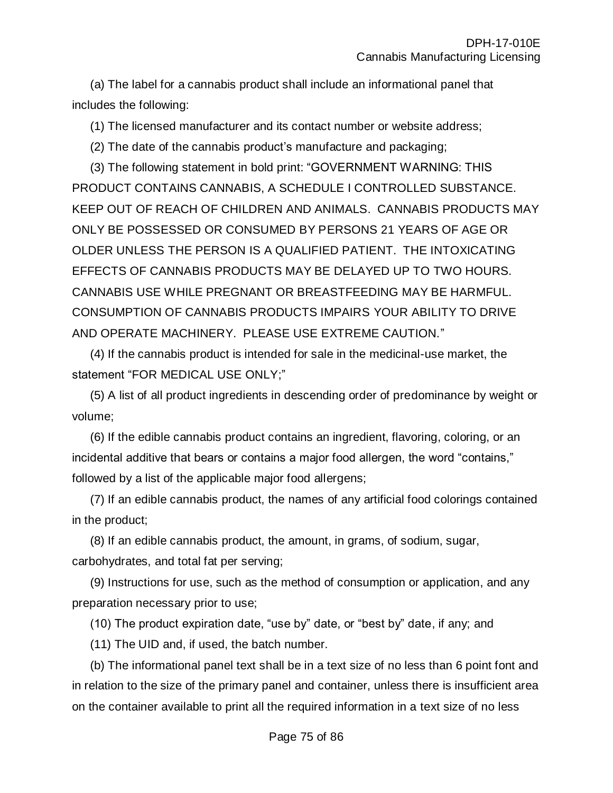(a) The label for a cannabis product shall include an informational panel that includes the following:

(1) The licensed manufacturer and its contact number or website address;

(2) The date of the cannabis product's manufacture and packaging;

(3) The following statement in bold print: "GOVERNMENT WARNING: THIS PRODUCT CONTAINS CANNABIS, A SCHEDULE I CONTROLLED SUBSTANCE. KEEP OUT OF REACH OF CHILDREN AND ANIMALS. CANNABIS PRODUCTS MAY ONLY BE POSSESSED OR CONSUMED BY PERSONS 21 YEARS OF AGE OR OLDER UNLESS THE PERSON IS A QUALIFIED PATIENT. THE INTOXICATING EFFECTS OF CANNABIS PRODUCTS MAY BE DELAYED UP TO TWO HOURS. CANNABIS USE WHILE PREGNANT OR BREASTFEEDING MAY BE HARMFUL. CONSUMPTION OF CANNABIS PRODUCTS IMPAIRS YOUR ABILITY TO DRIVE AND OPERATE MACHINERY. PLEASE USE EXTREME CAUTION."

(4) If the cannabis product is intended for sale in the medicinal-use market, the statement "FOR MEDICAL USE ONLY;"

(5) A list of all product ingredients in descending order of predominance by weight or volume;

(6) If the edible cannabis product contains an ingredient, flavoring, coloring, or an incidental additive that bears or contains a major food allergen, the word "contains," followed by a list of the applicable major food allergens;

(7) If an edible cannabis product, the names of any artificial food colorings contained in the product;

(8) If an edible cannabis product, the amount, in grams, of sodium, sugar, carbohydrates, and total fat per serving;

(9) Instructions for use, such as the method of consumption or application, and any preparation necessary prior to use;

(10) The product expiration date, "use by" date, or "best by" date, if any; and

(11) The UID and, if used, the batch number.

(b) The informational panel text shall be in a text size of no less than 6 point font and in relation to the size of the primary panel and container, unless there is insufficient area on the container available to print all the required information in a text size of no less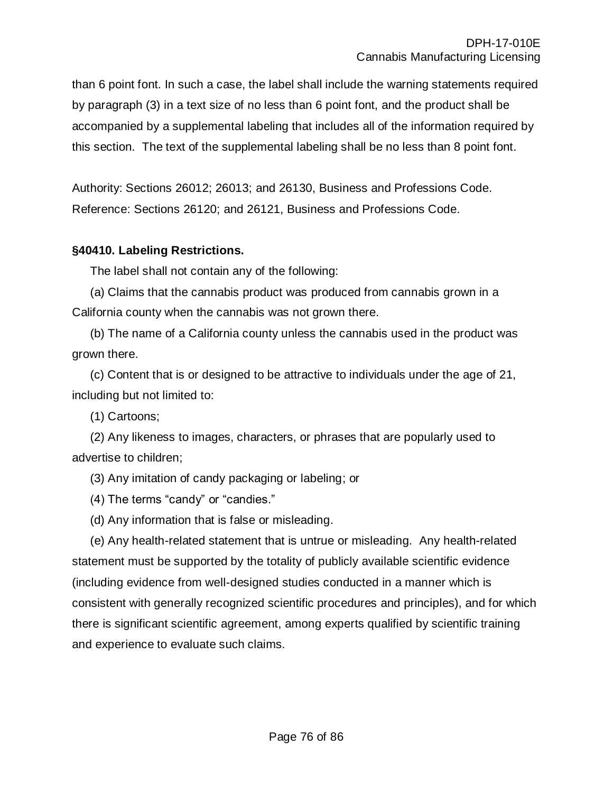than 6 point font. In such a case, the label shall include the warning statements required by paragraph (3) in a text size of no less than 6 point font, and the product shall be accompanied by a supplemental labeling that includes all of the information required by this section. The text of the supplemental labeling shall be no less than 8 point font.

Authority: Sections 26012; 26013; and 26130, Business and Professions Code. Reference: Sections 26120; and 26121, Business and Professions Code.

#### **§40410. Labeling Restrictions.**

The label shall not contain any of the following:

(a) Claims that the cannabis product was produced from cannabis grown in a California county when the cannabis was not grown there.

(b) The name of a California county unless the cannabis used in the product was grown there.

(c) Content that is or designed to be attractive to individuals under the age of 21, including but not limited to:

(1) Cartoons;

(2) Any likeness to images, characters, or phrases that are popularly used to advertise to children;

(3) Any imitation of candy packaging or labeling; or

(4) The terms "candy" or "candies."

(d) Any information that is false or misleading.

(e) Any health-related statement that is untrue or misleading. Any health-related statement must be supported by the totality of publicly available scientific evidence (including evidence from well-designed studies conducted in a manner which is consistent with generally recognized scientific procedures and principles), and for which there is significant scientific agreement, among experts qualified by scientific training and experience to evaluate such claims.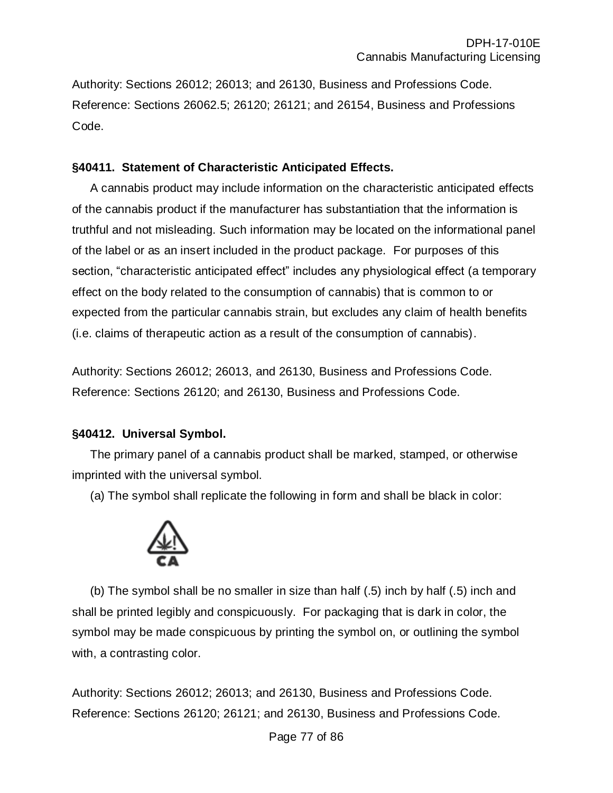Authority: Sections 26012; 26013; and 26130, Business and Professions Code. Reference: Sections 26062.5; 26120; 26121; and 26154, Business and Professions Code.

#### **§40411. Statement of Characteristic Anticipated Effects.**

A cannabis product may include information on the characteristic anticipated effects of the cannabis product if the manufacturer has substantiation that the information is truthful and not misleading. Such information may be located on the informational panel of the label or as an insert included in the product package. For purposes of this section, "characteristic anticipated effect" includes any physiological effect (a temporary effect on the body related to the consumption of cannabis) that is common to or expected from the particular cannabis strain, but excludes any claim of health benefits (i.e. claims of therapeutic action as a result of the consumption of cannabis).

Authority: Sections 26012; 26013, and 26130, Business and Professions Code. Reference: Sections 26120; and 26130, Business and Professions Code.

# **§40412. Universal Symbol.**

The primary panel of a cannabis product shall be marked, stamped, or otherwise imprinted with the universal symbol.

(a) The symbol shall replicate the following in form and shall be black in color:



(b) The symbol shall be no smaller in size than half (.5) inch by half (.5) inch and shall be printed legibly and conspicuously. For packaging that is dark in color, the symbol may be made conspicuous by printing the symbol on, or outlining the symbol with, a contrasting color.

Authority: Sections 26012; 26013; and 26130, Business and Professions Code. Reference: Sections 26120; 26121; and 26130, Business and Professions Code.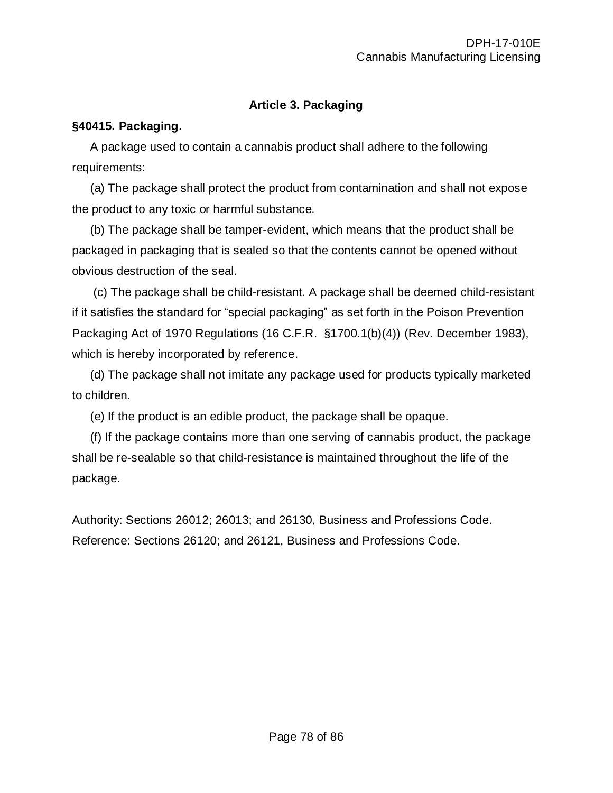# **Article 3. Packaging**

#### **§40415. Packaging.**

A package used to contain a cannabis product shall adhere to the following requirements:

(a) The package shall protect the product from contamination and shall not expose the product to any toxic or harmful substance.

(b) The package shall be tamper-evident, which means that the product shall be packaged in packaging that is sealed so that the contents cannot be opened without obvious destruction of the seal.

(c) The package shall be child-resistant. A package shall be deemed child-resistant if it satisfies the standard for "special packaging" as set forth in the Poison Prevention Packaging Act of 1970 Regulations (16 C.F.R. §1700.1(b)(4)) (Rev. December 1983), which is hereby incorporated by reference.

(d) The package shall not imitate any package used for products typically marketed to children.

(e) If the product is an edible product, the package shall be opaque.

(f) If the package contains more than one serving of cannabis product, the package shall be re-sealable so that child-resistance is maintained throughout the life of the package.

Authority: Sections 26012; 26013; and 26130, Business and Professions Code. Reference: Sections 26120; and 26121, Business and Professions Code.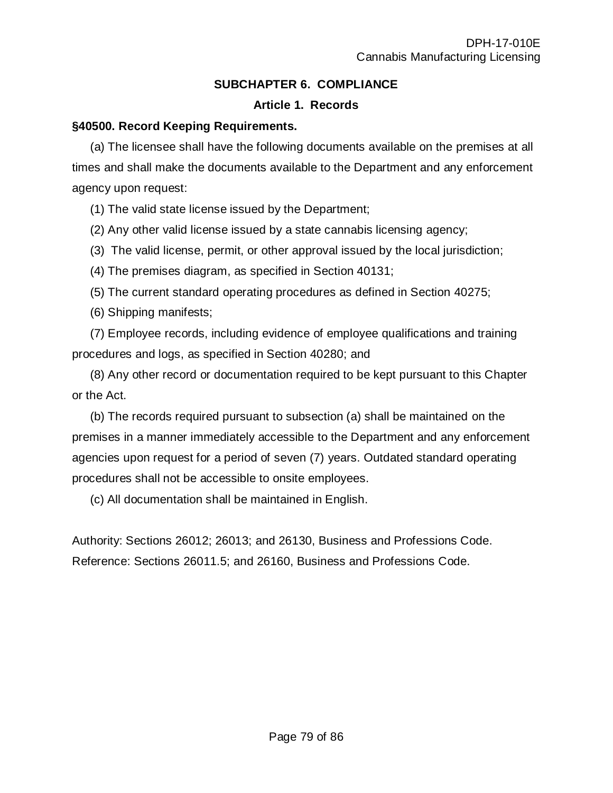## **SUBCHAPTER 6. COMPLIANCE**

#### **Article 1. Records**

#### **§40500. Record Keeping Requirements.**

(a) The licensee shall have the following documents available on the premises at all times and shall make the documents available to the Department and any enforcement agency upon request:

(1) The valid state license issued by the Department;

(2) Any other valid license issued by a state cannabis licensing agency;

(3) The valid license, permit, or other approval issued by the local jurisdiction;

(4) The premises diagram, as specified in Section 40131;

(5) The current standard operating procedures as defined in Section 40275;

(6) Shipping manifests;

(7) Employee records, including evidence of employee qualifications and training procedures and logs, as specified in Section 40280; and

(8) Any other record or documentation required to be kept pursuant to this Chapter or the Act.

(b) The records required pursuant to subsection (a) shall be maintained on the premises in a manner immediately accessible to the Department and any enforcement agencies upon request for a period of seven (7) years. Outdated standard operating procedures shall not be accessible to onsite employees.

(c) All documentation shall be maintained in English.

Authority: Sections 26012; 26013; and 26130, Business and Professions Code. Reference: Sections 26011.5; and 26160, Business and Professions Code.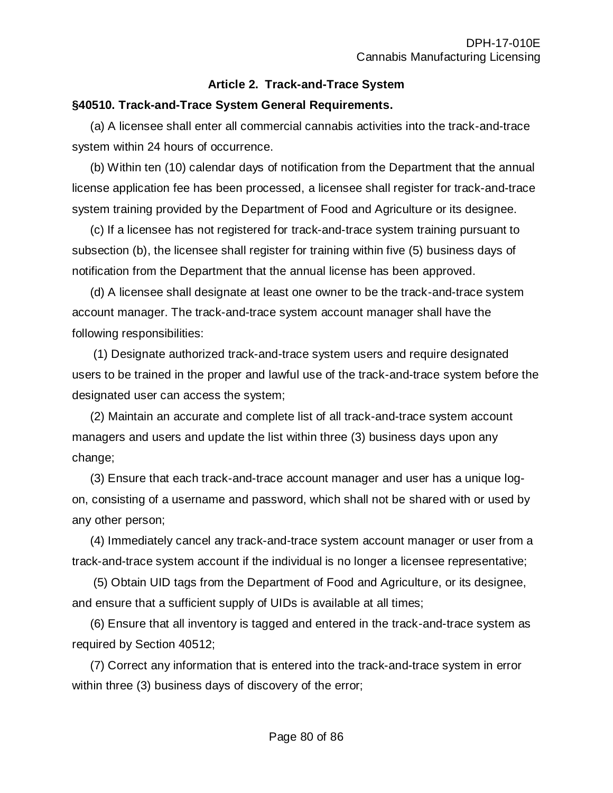# **Article 2. Track-and-Trace System**

#### **§40510. Track-and-Trace System General Requirements.**

(a) A licensee shall enter all commercial cannabis activities into the track-and-trace system within 24 hours of occurrence.

(b) Within ten (10) calendar days of notification from the Department that the annual license application fee has been processed, a licensee shall register for track-and-trace system training provided by the Department of Food and Agriculture or its designee.

(c) If a licensee has not registered for track-and-trace system training pursuant to subsection (b), the licensee shall register for training within five (5) business days of notification from the Department that the annual license has been approved.

(d) A licensee shall designate at least one owner to be the track-and-trace system account manager. The track-and-trace system account manager shall have the following responsibilities:

(1) Designate authorized track-and-trace system users and require designated users to be trained in the proper and lawful use of the track-and-trace system before the designated user can access the system;

(2) Maintain an accurate and complete list of all track-and-trace system account managers and users and update the list within three (3) business days upon any change;

(3) Ensure that each track-and-trace account manager and user has a unique logon, consisting of a username and password, which shall not be shared with or used by any other person;

(4) Immediately cancel any track-and-trace system account manager or user from a track-and-trace system account if the individual is no longer a licensee representative;

(5) Obtain UID tags from the Department of Food and Agriculture, or its designee, and ensure that a sufficient supply of UIDs is available at all times;

(6) Ensure that all inventory is tagged and entered in the track-and-trace system as required by Section 40512;

(7) Correct any information that is entered into the track-and-trace system in error within three (3) business days of discovery of the error;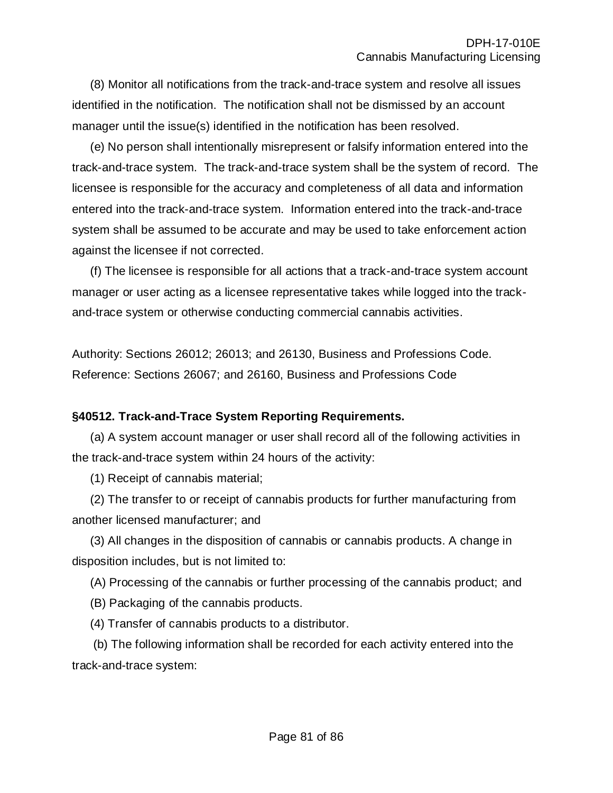(8) Monitor all notifications from the track-and-trace system and resolve all issues identified in the notification. The notification shall not be dismissed by an account manager until the issue(s) identified in the notification has been resolved.

(e) No person shall intentionally misrepresent or falsify information entered into the track-and-trace system. The track-and-trace system shall be the system of record. The licensee is responsible for the accuracy and completeness of all data and information entered into the track-and-trace system. Information entered into the track-and-trace system shall be assumed to be accurate and may be used to take enforcement action against the licensee if not corrected.

(f) The licensee is responsible for all actions that a track-and-trace system account manager or user acting as a licensee representative takes while logged into the trackand-trace system or otherwise conducting commercial cannabis activities.

Authority: Sections 26012; 26013; and 26130, Business and Professions Code. Reference: Sections 26067; and 26160, Business and Professions Code

#### **§40512. Track-and-Trace System Reporting Requirements.**

(a) A system account manager or user shall record all of the following activities in the track-and-trace system within 24 hours of the activity:

(1) Receipt of cannabis material;

(2) The transfer to or receipt of cannabis products for further manufacturing from another licensed manufacturer; and

(3) All changes in the disposition of cannabis or cannabis products. A change in disposition includes, but is not limited to:

(A) Processing of the cannabis or further processing of the cannabis product; and

(B) Packaging of the cannabis products.

(4) Transfer of cannabis products to a distributor.

(b) The following information shall be recorded for each activity entered into the track-and-trace system: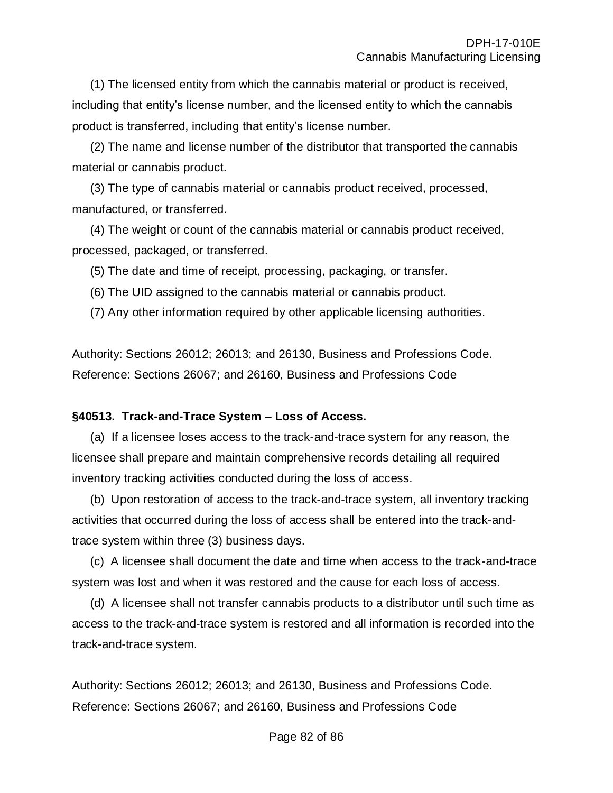(1) The licensed entity from which the cannabis material or product is received, including that entity's license number, and the licensed entity to which the cannabis product is transferred, including that entity's license number.

(2) The name and license number of the distributor that transported the cannabis material or cannabis product.

(3) The type of cannabis material or cannabis product received, processed, manufactured, or transferred.

(4) The weight or count of the cannabis material or cannabis product received, processed, packaged, or transferred.

(5) The date and time of receipt, processing, packaging, or transfer.

(6) The UID assigned to the cannabis material or cannabis product.

(7) Any other information required by other applicable licensing authorities.

Authority: Sections 26012; 26013; and 26130, Business and Professions Code. Reference: Sections 26067; and 26160, Business and Professions Code

#### **§40513. Track-and-Trace System – Loss of Access.**

(a) If a licensee loses access to the track-and-trace system for any reason, the licensee shall prepare and maintain comprehensive records detailing all required inventory tracking activities conducted during the loss of access.

(b) Upon restoration of access to the track-and-trace system, all inventory tracking activities that occurred during the loss of access shall be entered into the track-andtrace system within three (3) business days.

(c) A licensee shall document the date and time when access to the track-and-trace system was lost and when it was restored and the cause for each loss of access.

(d) A licensee shall not transfer cannabis products to a distributor until such time as access to the track-and-trace system is restored and all information is recorded into the track-and-trace system.

Authority: Sections 26012; 26013; and 26130, Business and Professions Code. Reference: Sections 26067; and 26160, Business and Professions Code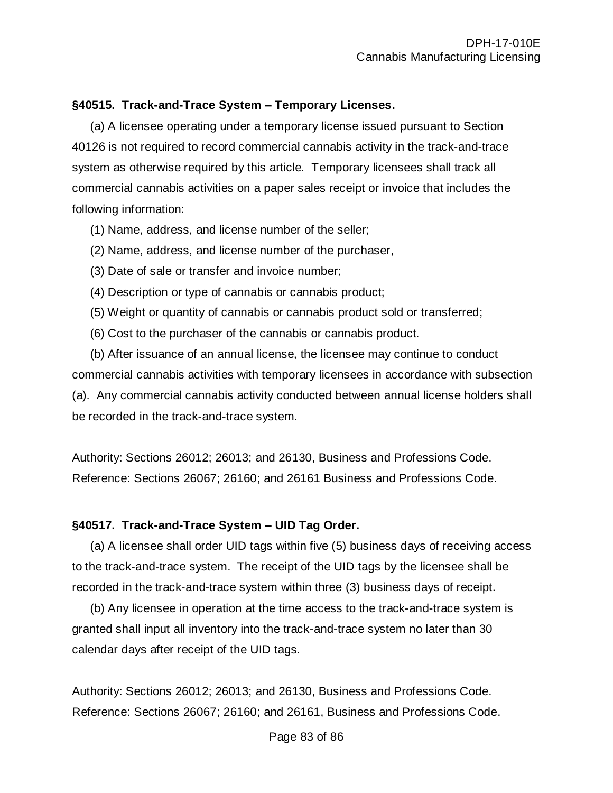#### **§40515. Track-and-Trace System – Temporary Licenses.**

(a) A licensee operating under a temporary license issued pursuant to Section 40126 is not required to record commercial cannabis activity in the track-and-trace system as otherwise required by this article. Temporary licensees shall track all commercial cannabis activities on a paper sales receipt or invoice that includes the following information:

- (1) Name, address, and license number of the seller;
- (2) Name, address, and license number of the purchaser,
- (3) Date of sale or transfer and invoice number;
- (4) Description or type of cannabis or cannabis product;
- (5) Weight or quantity of cannabis or cannabis product sold or transferred;
- (6) Cost to the purchaser of the cannabis or cannabis product.

(b) After issuance of an annual license, the licensee may continue to conduct commercial cannabis activities with temporary licensees in accordance with subsection (a). Any commercial cannabis activity conducted between annual license holders shall be recorded in the track-and-trace system.

Authority: Sections 26012; 26013; and 26130, Business and Professions Code. Reference: Sections 26067; 26160; and 26161 Business and Professions Code.

#### **§40517. Track-and-Trace System – UID Tag Order.**

(a) A licensee shall order UID tags within five (5) business days of receiving access to the track-and-trace system. The receipt of the UID tags by the licensee shall be recorded in the track-and-trace system within three (3) business days of receipt.

(b) Any licensee in operation at the time access to the track-and-trace system is granted shall input all inventory into the track-and-trace system no later than 30 calendar days after receipt of the UID tags.

Authority: Sections 26012; 26013; and 26130, Business and Professions Code. Reference: Sections 26067; 26160; and 26161, Business and Professions Code.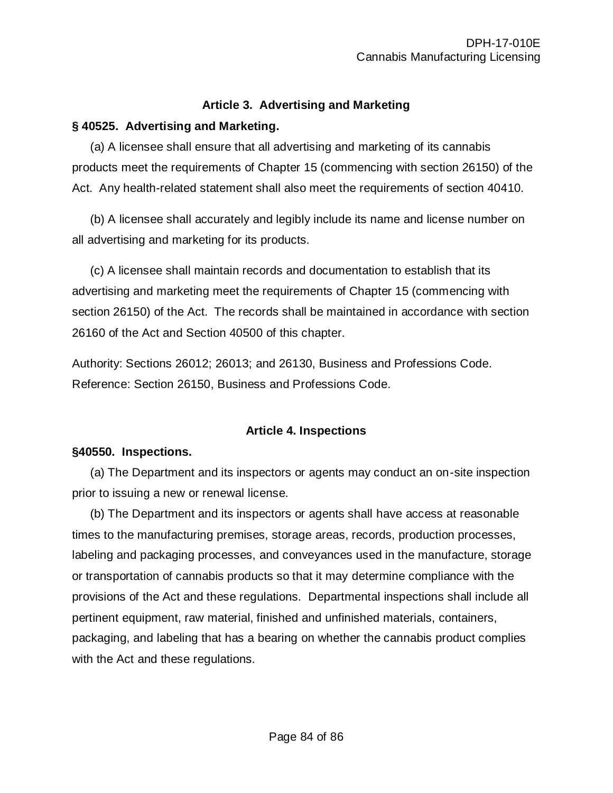#### **Article 3. Advertising and Marketing**

## **§ 40525. Advertising and Marketing.**

(a) A licensee shall ensure that all advertising and marketing of its cannabis products meet the requirements of Chapter 15 (commencing with section 26150) of the Act. Any health-related statement shall also meet the requirements of section 40410.

(b) A licensee shall accurately and legibly include its name and license number on all advertising and marketing for its products.

(c) A licensee shall maintain records and documentation to establish that its advertising and marketing meet the requirements of Chapter 15 (commencing with section 26150) of the Act. The records shall be maintained in accordance with section 26160 of the Act and Section 40500 of this chapter.

Authority: Sections 26012; 26013; and 26130, Business and Professions Code. Reference: Section 26150, Business and Professions Code.

# **Article 4. Inspections**

# **§40550. Inspections.**

(a) The Department and its inspectors or agents may conduct an on-site inspection prior to issuing a new or renewal license.

(b) The Department and its inspectors or agents shall have access at reasonable times to the manufacturing premises, storage areas, records, production processes, labeling and packaging processes, and conveyances used in the manufacture, storage or transportation of cannabis products so that it may determine compliance with the provisions of the Act and these regulations. Departmental inspections shall include all pertinent equipment, raw material, finished and unfinished materials, containers, packaging, and labeling that has a bearing on whether the cannabis product complies with the Act and these regulations.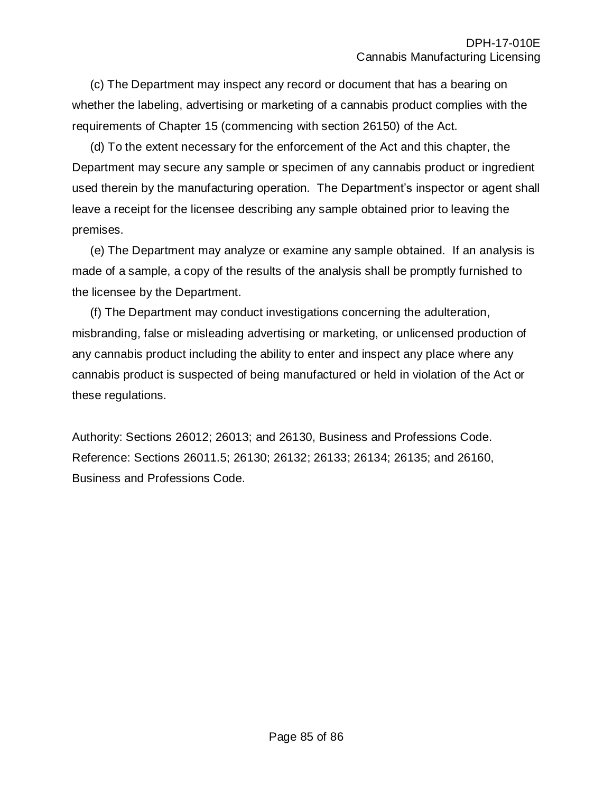(c) The Department may inspect any record or document that has a bearing on whether the labeling, advertising or marketing of a cannabis product complies with the requirements of Chapter 15 (commencing with section 26150) of the Act.

(d) To the extent necessary for the enforcement of the Act and this chapter, the Department may secure any sample or specimen of any cannabis product or ingredient used therein by the manufacturing operation. The Department's inspector or agent shall leave a receipt for the licensee describing any sample obtained prior to leaving the premises.

(e) The Department may analyze or examine any sample obtained. If an analysis is made of a sample, a copy of the results of the analysis shall be promptly furnished to the licensee by the Department.

(f) The Department may conduct investigations concerning the adulteration, misbranding, false or misleading advertising or marketing, or unlicensed production of any cannabis product including the ability to enter and inspect any place where any cannabis product is suspected of being manufactured or held in violation of the Act or these regulations.

Authority: Sections 26012; 26013; and 26130, Business and Professions Code. Reference: Sections 26011.5; 26130; 26132; 26133; 26134; 26135; and 26160, Business and Professions Code.